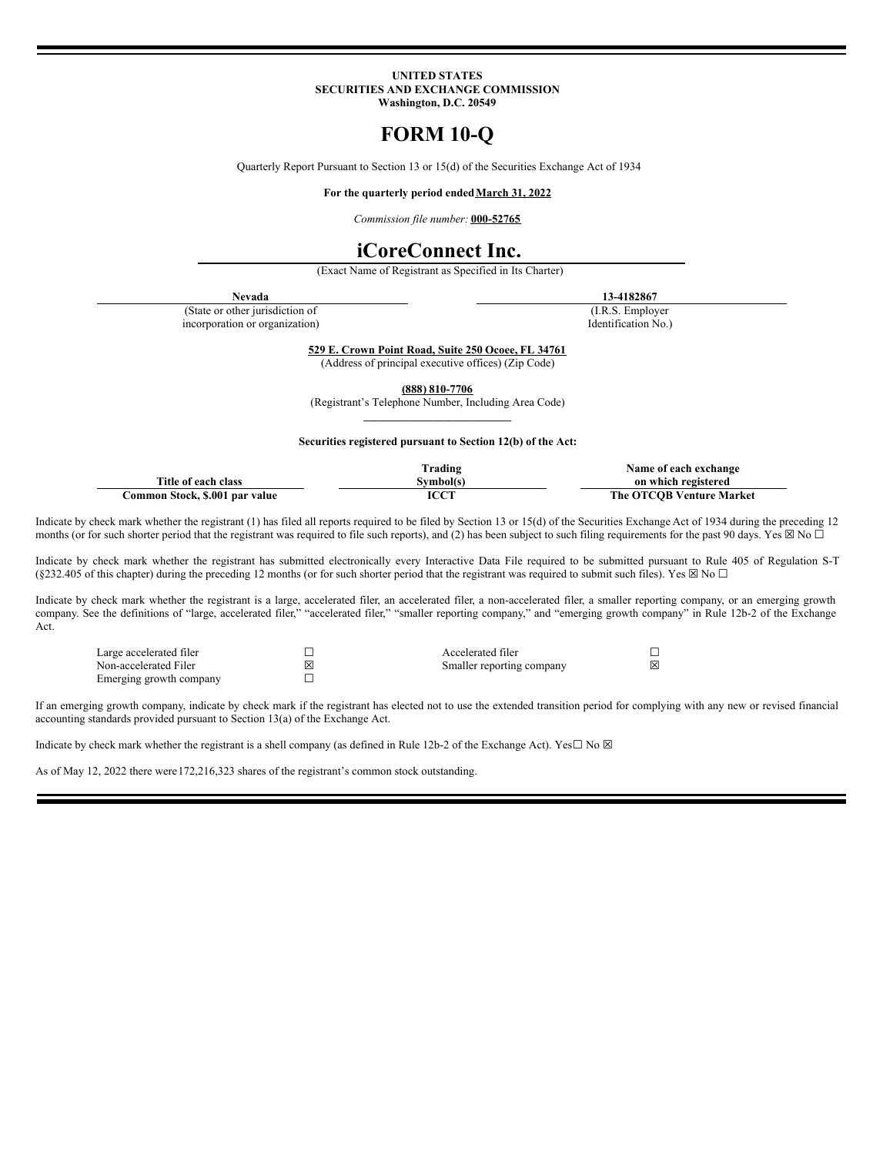# **UNITED STATES SECURITIES AND EXCHANGE COMMISSION**

**Washington, D.C. 20549**

# **FORM 10-Q**

Quarterly Report Pursuant to Section 13 or 15(d) of the Securities Exchange Act of 1934

**For the quarterly period endedMarch 31, 2022**

*Commission file number:* **000-52765**

# **iCoreConnect Inc.**

(Exact Name of Registrant as Specified in Its Charter)

(State or other jurisdiction of incorporation or organization)

**Nevada 13-4182867**

(I.R.S. Employer Identification No.)

**529 E. Crown Point Road, Suite 250 Ocoee, FL 34761**

(Address of principal executive offices) (Zip Code)

**(888) 810-7706**

(Registrant's Telephone Number, Including Area Code) **\_\_\_\_\_\_\_\_\_\_\_\_\_\_\_\_\_\_\_\_\_\_\_\_\_\_**

### **Securities registered pursuant to Section 12(b) of the Act:**

|                                | Trading     | Name of each exchange    |
|--------------------------------|-------------|--------------------------|
| Title of each class            | Svmbol(s)   | on which registered      |
| Common Stock, \$.001 par value | <b>ICCT</b> | The OTCOB Venture Market |

Indicate by check mark whether the registrant (1) has filed all reports required to be filed by Section 13 or 15(d) of the Securities Exchange Act of 1934 during the preceding 12 months (or for such shorter period that the registrant was required to file such reports), and (2) has been subject to such filing requirements for the past 90 days. Yes  $\boxtimes$  No  $\Box$ 

Indicate by check mark whether the registrant has submitted electronically every Interactive Data File required to be submitted pursuant to Rule 405 of Regulation S-T (§232.405 of this chapter) during the preceding 12 months (or for such shorter period that the registrant was required to submit such files). Yes  $\boxtimes$  No  $\Box$ 

Indicate by check mark whether the registrant is a large, accelerated filer, an accelerated filer, a non-accelerated filer, a smaller reporting company, or an emerging growth company. See the definitions of "large, accelerated filer," "accelerated filer," "smaller reporting company," and "emerging growth company" in Rule 12b-2 of the Exchange Act.

| Large accelerated filer |   | Accelerated filer         |   |
|-------------------------|---|---------------------------|---|
| Non-accelerated Filer   | × | Smaller reporting company | 冈 |
| Emerging growth company |   |                           |   |

If an emerging growth company, indicate by check mark if the registrant has elected not to use the extended transition period for complying with any new or revised financial accounting standards provided pursuant to Section 13(a) of the Exchange Act.

Indicate by check mark whether the registrant is a shell company (as defined in Rule 12b-2 of the Exchange Act). Yes $\Box$  No  $\boxtimes$ 

As of May 12, 2022 there were172,216,323 shares of the registrant's common stock outstanding.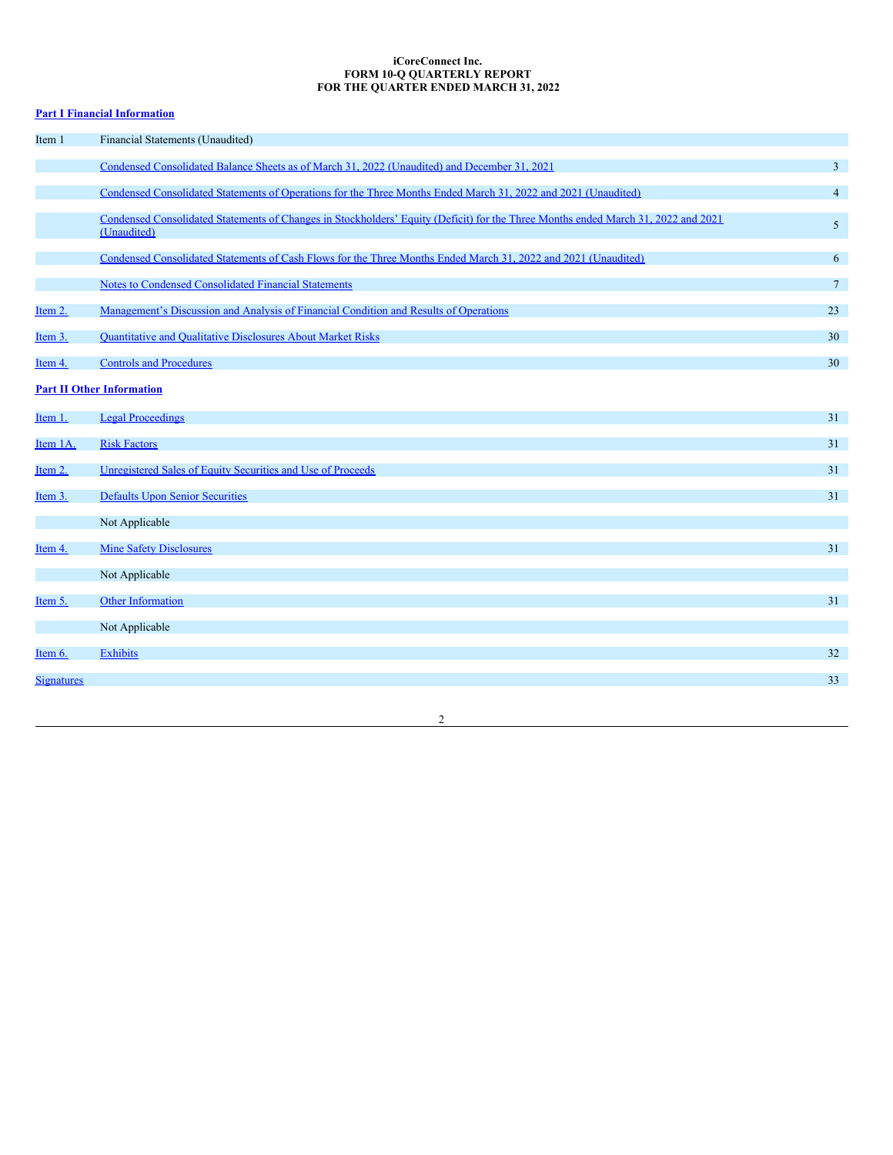### <span id="page-1-0"></span>**iCoreConnect Inc. FORM 10-Q QUARTERLY REPORT FOR THE QUARTER ENDED MARCH 31, 2022**

# **Part I Financial [Information](#page-2-0)**

| Item 1            | Financial Statements (Unaudited)                                                                                                                 |                |
|-------------------|--------------------------------------------------------------------------------------------------------------------------------------------------|----------------|
|                   | Condensed Consolidated Balance Sheets as of March 31, 2022 (Unaudited) and December 31, 2021                                                     | 3              |
|                   | Condensed Consolidated Statements of Operations for the Three Months Ended March 31, 2022 and 2021 (Unaudited)                                   | $\overline{4}$ |
|                   | Condensed Consolidated Statements of Changes in Stockholders' Equity (Deficit) for the Three Months ended March 31, 2022 and 2021<br>(Unaudited) | 5              |
|                   | Condensed Consolidated Statements of Cash Flows for the Three Months Ended March 31, 2022 and 2021 (Unaudited)                                   | 6              |
|                   | <b>Notes to Condensed Consolidated Financial Statements</b>                                                                                      | $\overline{7}$ |
| Item 2.           | Management's Discussion and Analysis of Financial Condition and Results of Operations                                                            | 23             |
| Item 3.           | Quantitative and Qualitative Disclosures About Market Risks                                                                                      | 30             |
| Item 4.           | <b>Controls and Procedures</b>                                                                                                                   | 30             |
|                   | <b>Part II Other Information</b>                                                                                                                 |                |
| Item 1.           | <b>Legal Proceedings</b>                                                                                                                         | 31             |
| Item 1A.          | <b>Risk Factors</b>                                                                                                                              | 31             |
| Item 2.           | Unregistered Sales of Equity Securities and Use of Proceeds                                                                                      | 31             |
| Item 3.           | <b>Defaults Upon Senior Securities</b>                                                                                                           | 31             |
|                   | Not Applicable                                                                                                                                   |                |
| Item 4.           | <b>Mine Safety Disclosures</b>                                                                                                                   | 31             |
|                   | Not Applicable                                                                                                                                   |                |
| Item 5.           | Other Information                                                                                                                                | 31             |
|                   | Not Applicable                                                                                                                                   |                |
| Item $6.$         | <b>Exhibits</b>                                                                                                                                  | 32             |
| <b>Signatures</b> |                                                                                                                                                  | 33             |
|                   |                                                                                                                                                  |                |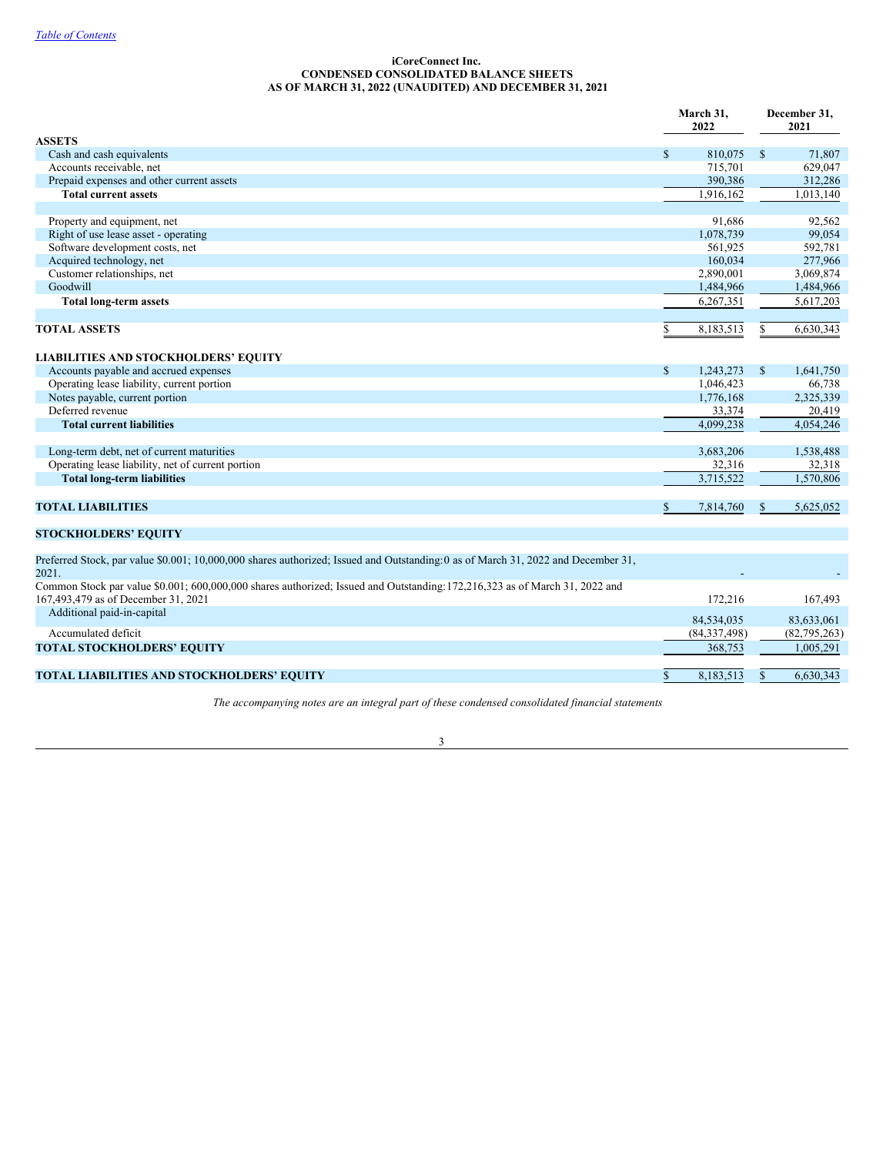### <span id="page-2-1"></span>**iCoreConnect Inc. CONDENSED CONSOLIDATED BALANCE SHEETS AS OF MARCH 31, 2022 (UNAUDITED) AND DECEMBER 31, 2021**

<span id="page-2-0"></span>

|                                                                                                                                                                    |              | March 31,<br>2022  |               | December 31,<br>2021 |
|--------------------------------------------------------------------------------------------------------------------------------------------------------------------|--------------|--------------------|---------------|----------------------|
| <b>ASSETS</b>                                                                                                                                                      |              |                    |               |                      |
| Cash and cash equivalents                                                                                                                                          | $\mathbb{S}$ | 810.075<br>715.701 | $\mathbf S$   | 71.807               |
| Accounts receivable, net                                                                                                                                           |              |                    |               | 629,047              |
| Prepaid expenses and other current assets                                                                                                                          |              | 390,386            |               | 312,286              |
| <b>Total current assets</b>                                                                                                                                        |              | 1,916,162          |               | 1,013,140            |
| Property and equipment, net                                                                                                                                        |              | 91,686             |               | 92,562               |
| Right of use lease asset - operating                                                                                                                               |              | 1,078,739          |               | 99,054               |
| Software development costs, net                                                                                                                                    |              | 561,925            |               | 592,781              |
| Acquired technology, net                                                                                                                                           |              | 160,034            |               | 277,966              |
| Customer relationships, net                                                                                                                                        |              | 2,890,001          |               | 3,069,874            |
| Goodwill                                                                                                                                                           |              | 1,484,966          |               | 1,484,966            |
| <b>Total long-term assets</b>                                                                                                                                      |              | 6,267,351          |               | 5,617,203            |
| <b>TOTAL ASSETS</b>                                                                                                                                                | \$           | 8,183,513          | \$            | 6,630,343            |
|                                                                                                                                                                    |              |                    |               |                      |
| <b>LIABILITIES AND STOCKHOLDERS' EQUITY</b>                                                                                                                        |              |                    |               |                      |
| Accounts payable and accrued expenses                                                                                                                              | \$           | 1,243,273          | <sup>\$</sup> | 1,641,750            |
| Operating lease liability, current portion                                                                                                                         |              | 1,046,423          |               | 66,738               |
| Notes payable, current portion                                                                                                                                     |              | 1,776,168          |               | 2,325,339            |
| Deferred revenue                                                                                                                                                   |              | 33,374             |               | 20,419               |
| <b>Total current liabilities</b>                                                                                                                                   |              | 4,099,238          |               | 4,054,246            |
| Long-term debt, net of current maturities                                                                                                                          |              | 3,683,206          |               | 1,538,488            |
| Operating lease liability, net of current portion                                                                                                                  |              | 32,316             |               | 32,318               |
| <b>Total long-term liabilities</b>                                                                                                                                 |              | 3,715,522          |               | 1,570,806            |
| <b>TOTAL LIABILITIES</b>                                                                                                                                           | \$           | 7,814,760          | \$            | 5,625,052            |
|                                                                                                                                                                    |              |                    |               |                      |
| <b>STOCKHOLDERS' EQUITY</b>                                                                                                                                        |              |                    |               |                      |
| Preferred Stock, par value \$0.001; 10,000,000 shares authorized; Issued and Outstanding: 0 as of March 31, 2022 and December 31,<br>2021.                         |              |                    |               |                      |
| Common Stock par value \$0.001; 600,000,000 shares authorized; Issued and Outstanding: 172,216,323 as of March 31, 2022 and<br>167,493,479 as of December 31, 2021 |              | 172,216            |               | 167,493              |
| Additional paid-in-capital                                                                                                                                         |              | 84,534,035         |               | 83,633,061           |
| Accumulated deficit                                                                                                                                                |              | (84, 337, 498)     |               | (82,795,263)         |
| TOTAL STOCKHOLDERS' EQUITY                                                                                                                                         |              | 368,753            |               | 1,005,291            |
| TOTAL LIABILITIES AND STOCKHOLDERS' EQUITY                                                                                                                         | \$           | 8,183,513          | $\mathbb{S}$  | 6.630.343            |
|                                                                                                                                                                    |              |                    |               |                      |

*The accompanying notes are an integral part of these condensed consolidated financial statements*

3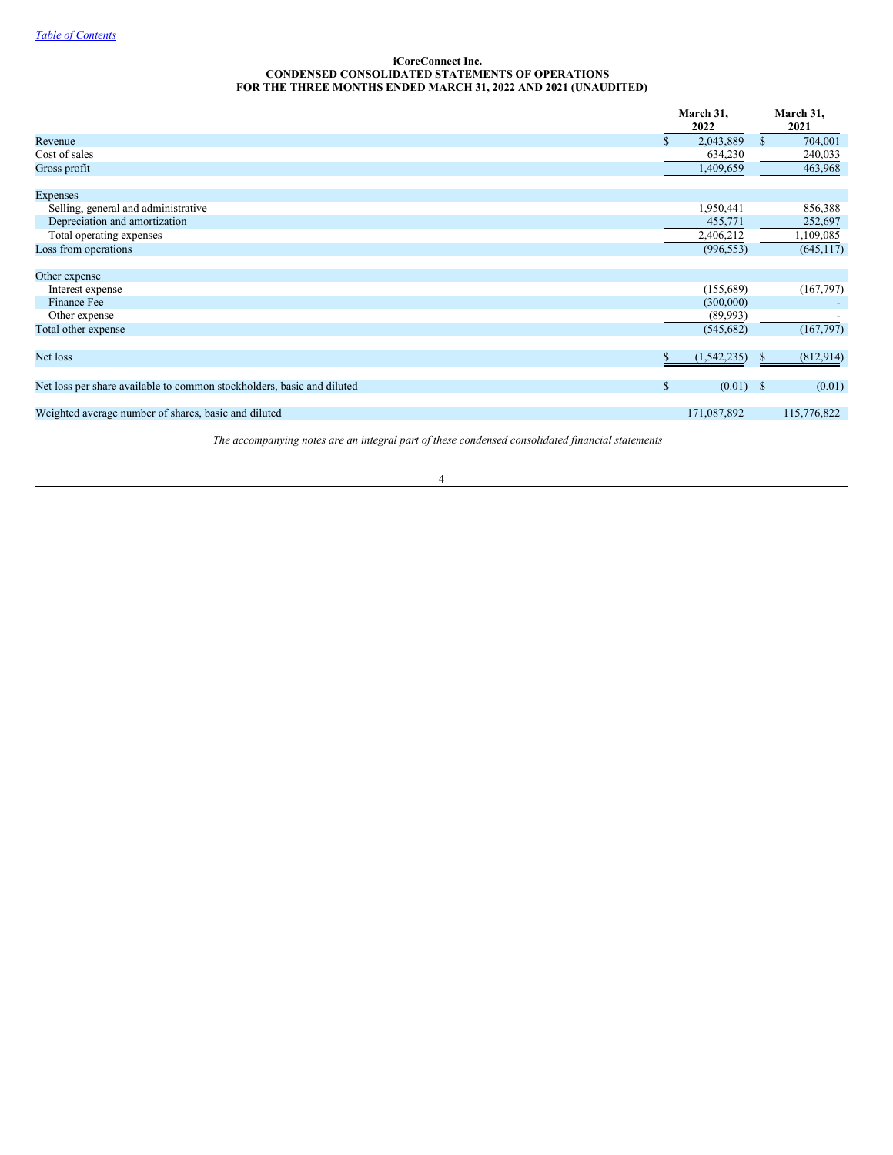### <span id="page-3-0"></span>**iCoreConnect Inc. CONDENSED CONSOLIDATED STATEMENTS OF OPERATIONS FOR THE THREE MONTHS ENDED MARCH 31, 2022 AND 2021 (UNAUDITED)**

|                                                                        |              | March 31,<br>2022 |               | March 31,<br>2021 |  |
|------------------------------------------------------------------------|--------------|-------------------|---------------|-------------------|--|
| Revenue                                                                | $\mathbf{s}$ | 2,043,889         | \$            | 704,001           |  |
| Cost of sales                                                          |              | 634,230           |               | 240,033           |  |
| Gross profit                                                           |              | 1,409,659         |               | 463,968           |  |
| <b>Expenses</b>                                                        |              |                   |               |                   |  |
| Selling, general and administrative                                    |              | 1,950,441         |               | 856,388           |  |
| Depreciation and amortization                                          |              | 455,771           |               | 252,697           |  |
| Total operating expenses                                               |              | 2,406,212         |               | 1,109,085         |  |
| Loss from operations                                                   |              | (996, 553)        |               | (645, 117)        |  |
|                                                                        |              |                   |               |                   |  |
| Other expense                                                          |              |                   |               |                   |  |
| Interest expense                                                       |              | (155,689)         |               | (167, 797)        |  |
| Finance Fee                                                            |              | (300,000)         |               |                   |  |
| Other expense                                                          |              | (89,993)          |               |                   |  |
| Total other expense                                                    |              | (545, 682)        |               | (167, 797)        |  |
| Net loss                                                               | \$           | (1, 542, 235)     | <sup>S</sup>  | (812, 914)        |  |
|                                                                        |              |                   |               |                   |  |
| Net loss per share available to common stockholders, basic and diluted | \$           | (0.01)            | <sup>\$</sup> | (0.01)            |  |
| Weighted average number of shares, basic and diluted                   |              | 171,087,892       |               | 115,776,822       |  |

*The accompanying notes are an integral part of these condensed consolidated financial statements*

4

<u> 1980 - Johann Barbara, martxa a</u>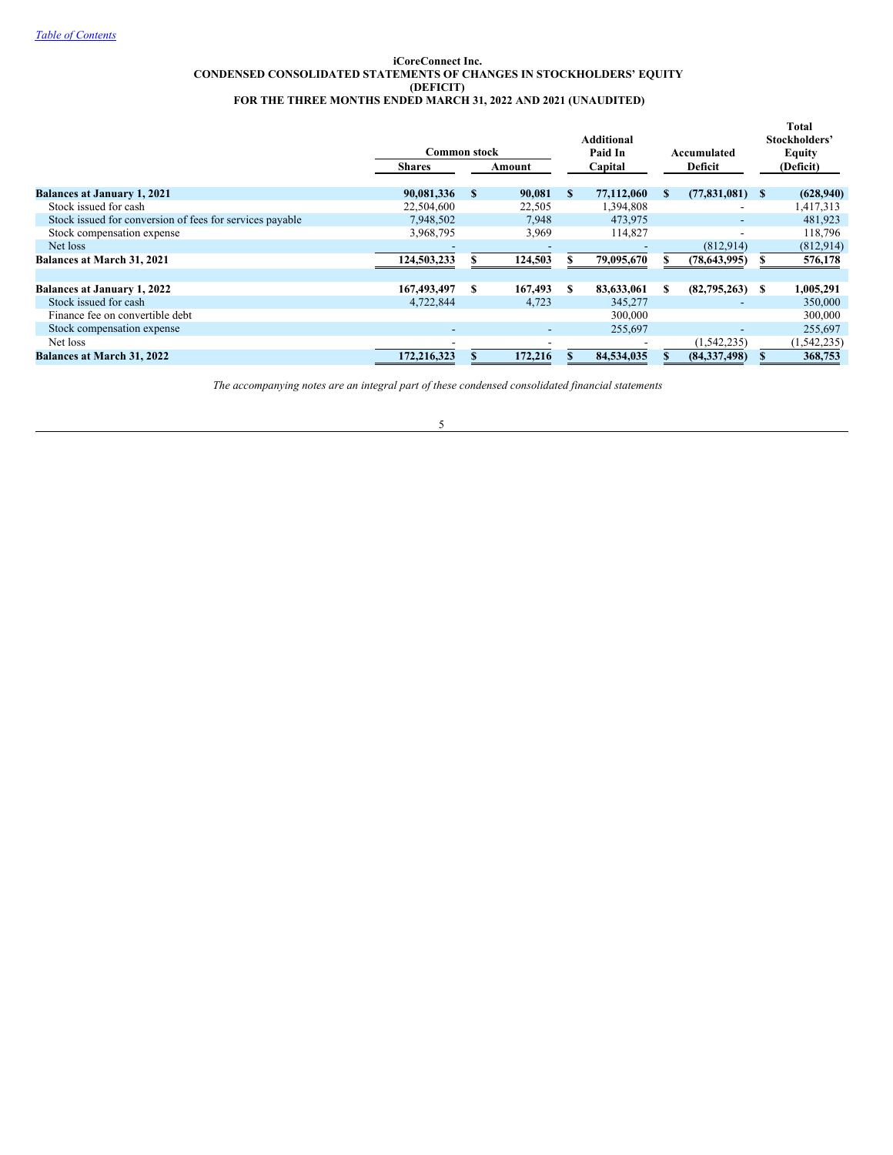### <span id="page-4-0"></span>**iCoreConnect Inc. CONDENSED CONSOLIDATED STATEMENTS OF CHANGES IN STOCKHOLDERS' EQUITY (DEFICIT) FOR THE THREE MONTHS ENDED MARCH 31, 2022 AND 2021 (UNAUDITED)**

|                                                          | <b>Common stock</b> |    |         |   | <b>Additional</b><br>Paid In |    | Accumulated              |   | <b>Total</b><br>Stockholders'<br><b>Equity</b> |
|----------------------------------------------------------|---------------------|----|---------|---|------------------------------|----|--------------------------|---|------------------------------------------------|
|                                                          | <b>Shares</b>       |    | Amount  |   | Capital                      |    | Deficit                  |   | (Deficit)                                      |
| <b>Balances at January 1, 2021</b>                       | 90,081,336          | -S | 90,081  | S | 77,112,060                   | S. | (77, 831, 081)           | S | (628, 940)                                     |
| Stock issued for cash                                    | 22,504,600          |    | 22,505  |   | 1,394,808                    |    |                          |   | 1,417,313                                      |
| Stock issued for conversion of fees for services payable | 7,948,502           |    | 7,948   |   | 473,975                      |    | -                        |   | 481,923                                        |
| Stock compensation expense                               | 3,968,795           |    | 3,969   |   | 114,827                      |    |                          |   | 118,796                                        |
| Net loss                                                 |                     |    |         |   |                              |    | (812, 914)               |   | (812, 914)                                     |
| Balances at March 31, 2021                               | 124,503,233         |    | 124,503 |   | 79,095,670                   |    | (78, 643, 995)           |   | 576,178                                        |
|                                                          |                     |    |         |   |                              |    |                          |   |                                                |
| <b>Balances at January 1, 2022</b>                       | 167,493,497         | -S | 167,493 | S | 83,633,061                   | S  | (82, 795, 263)           | S | 1,005,291                                      |
| Stock issued for cash                                    | 4,722,844           |    | 4,723   |   | 345,277                      |    |                          |   | 350,000                                        |
| Finance fee on convertible debt                          |                     |    |         |   | 300,000                      |    |                          |   | 300,000                                        |
| Stock compensation expense                               |                     |    |         |   | 255,697                      |    | $\overline{\phantom{a}}$ |   | 255,697                                        |
| Net loss                                                 |                     |    |         |   |                              |    | (1,542,235)              |   | (1, 542, 235)                                  |
| <b>Balances at March 31, 2022</b>                        | 172.216.323         |    | 172,216 |   | 84,534,035                   |    | (84, 337, 498)           |   | 368,753                                        |

*The accompanying notes are an integral part of these condensed consolidated financial statements*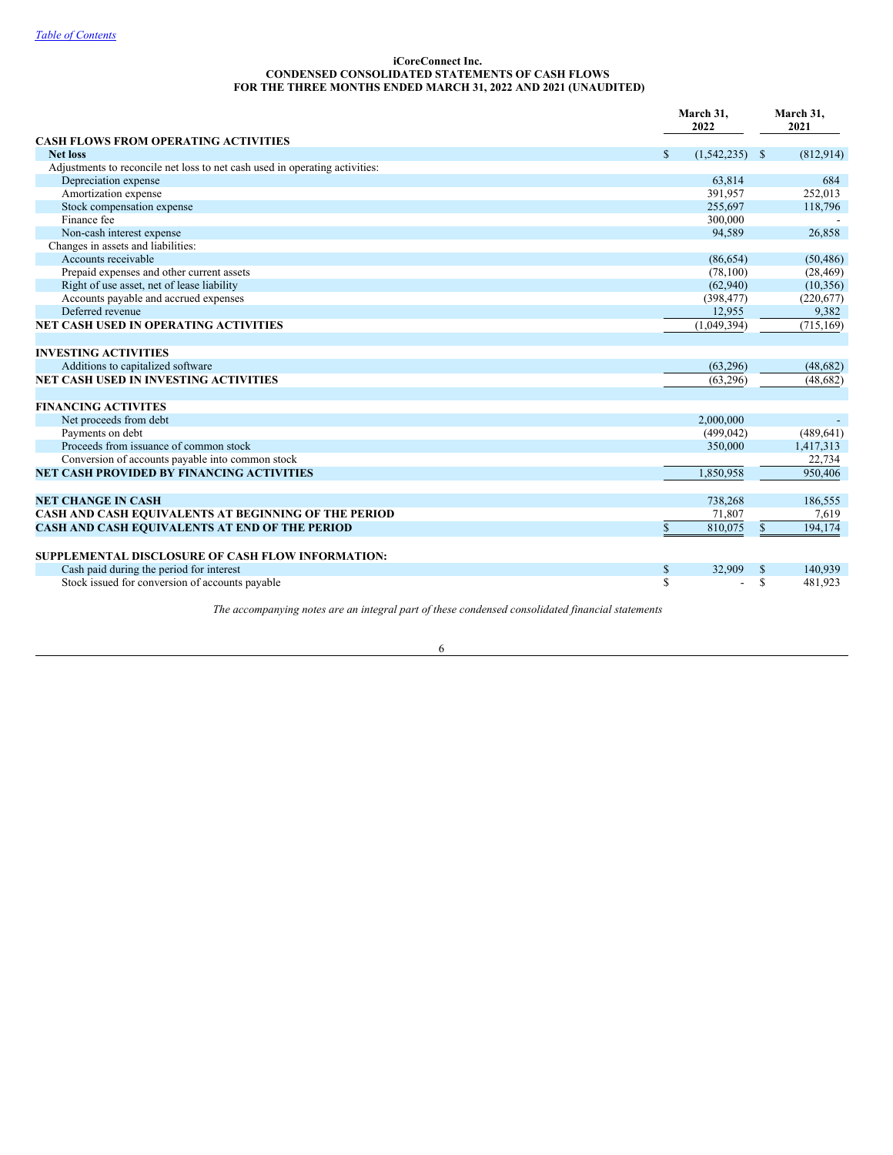### <span id="page-5-0"></span>**iCoreConnect Inc. CONDENSED CONSOLIDATED STATEMENTS OF CASH FLOWS FOR THE THREE MONTHS ENDED MARCH 31, 2022 AND 2021 (UNAUDITED)**

|                                                                             | March 31,<br>2022                | March 31,<br>2021        |  |
|-----------------------------------------------------------------------------|----------------------------------|--------------------------|--|
| <b>CASH FLOWS FROM OPERATING ACTIVITIES</b>                                 |                                  |                          |  |
| <b>Net loss</b>                                                             | $\mathbb{S}$<br>$(1,542,235)$ \$ | (812, 914)               |  |
| Adjustments to reconcile net loss to net cash used in operating activities: |                                  |                          |  |
| Depreciation expense                                                        | 63,814                           | 684                      |  |
| Amortization expense                                                        | 391,957                          | 252,013                  |  |
| Stock compensation expense                                                  | 255,697                          | 118,796                  |  |
| Finance fee                                                                 | 300,000                          |                          |  |
| Non-cash interest expense                                                   | 94.589                           | 26,858                   |  |
| Changes in assets and liabilities:                                          |                                  |                          |  |
| Accounts receivable                                                         | (86, 654)                        | (50, 486)                |  |
| Prepaid expenses and other current assets                                   | (78, 100)                        | (28, 469)                |  |
| Right of use asset, net of lease liability                                  | (62,940)                         | (10, 356)                |  |
| Accounts payable and accrued expenses                                       | (398, 477)                       | (220, 677)               |  |
| Deferred revenue                                                            | 12,955                           | 9,382                    |  |
| <b>NET CASH USED IN OPERATING ACTIVITIES</b>                                | (1,049,394)                      | (715, 169)               |  |
|                                                                             |                                  |                          |  |
| <b>INVESTING ACTIVITIES</b>                                                 |                                  |                          |  |
| Additions to capitalized software                                           | (63,296)                         | (48, 682)                |  |
| NET CASH USED IN INVESTING ACTIVITIES                                       | (63, 296)                        | (48, 682)                |  |
|                                                                             |                                  |                          |  |
| <b>FINANCING ACTIVITES</b>                                                  |                                  |                          |  |
| Net proceeds from debt                                                      | 2,000,000                        |                          |  |
| Payments on debt                                                            | (499, 042)                       | (489, 641)               |  |
| Proceeds from issuance of common stock                                      | 350,000                          | 1,417,313                |  |
| Conversion of accounts payable into common stock                            |                                  | 22,734                   |  |
| NET CASH PROVIDED BY FINANCING ACTIVITIES                                   | 1,850,958                        | 950,406                  |  |
|                                                                             |                                  |                          |  |
| <b>NET CHANGE IN CASH</b>                                                   | 738,268                          | 186,555                  |  |
| CASH AND CASH EQUIVALENTS AT BEGINNING OF THE PERIOD                        | 71,807                           | 7,619                    |  |
| CASH AND CASH EQUIVALENTS AT END OF THE PERIOD                              | 810,075<br>\$                    | 194,174<br>\$            |  |
|                                                                             |                                  |                          |  |
| SUPPLEMENTAL DISCLOSURE OF CASH FLOW INFORMATION:                           |                                  |                          |  |
| Cash paid during the period for interest                                    | 32,909<br>\$                     | 140.939<br><sup>\$</sup> |  |
| Stock issued for conversion of accounts payable                             | \$                               | \$<br>481,923            |  |

*The accompanying notes are an integral part of these condensed consolidated financial statements*

6

<u> 1989 - Johann Stoff, Amerikaansk politiker (</u>

<u> 1989 - Johann Barn, mars eta bainar eta idazlea (</u>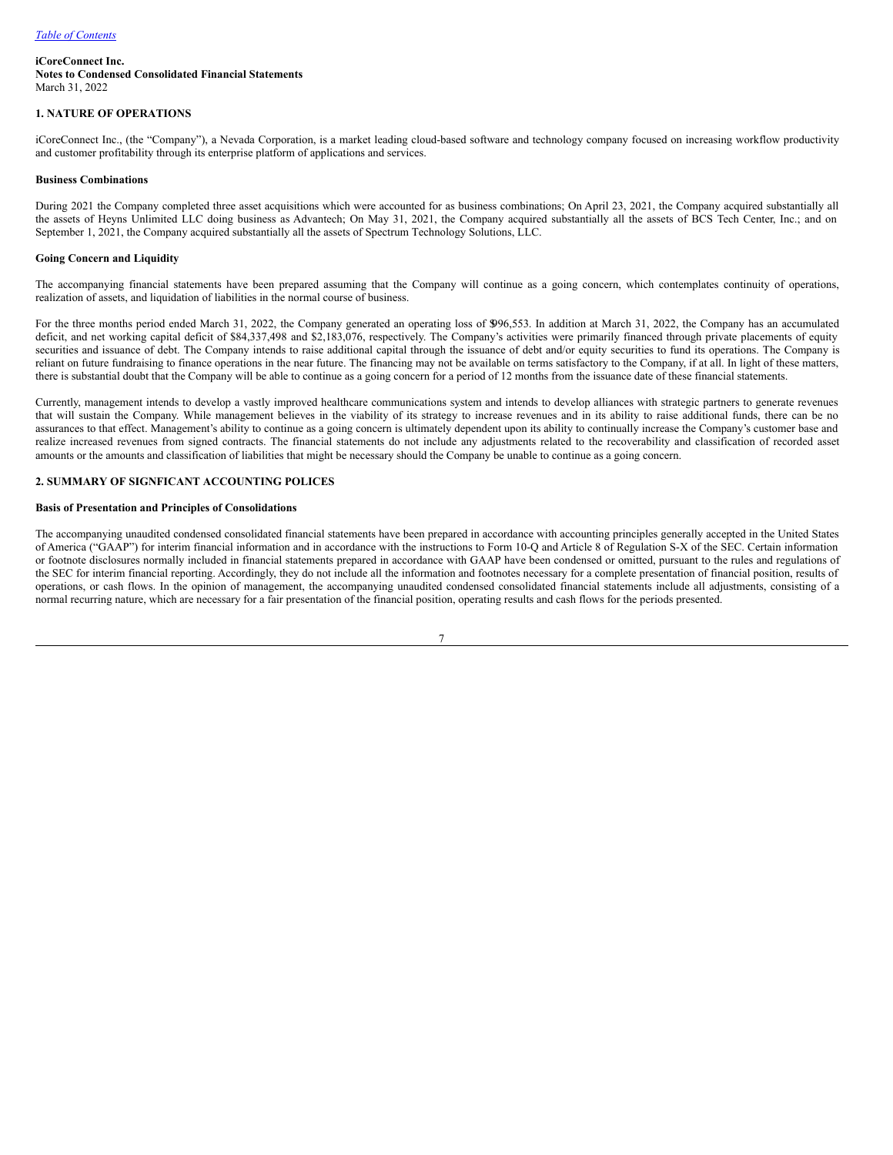### <span id="page-6-0"></span>**iCoreConnect Inc. Notes to Condensed Consolidated Financial Statements** March 31, 2022

# **1. NATURE OF OPERATIONS**

iCoreConnect Inc., (the "Company"), a Nevada Corporation, is a market leading cloud-based software and technology company focused on increasing workflow productivity and customer profitability through its enterprise platform of applications and services.

### **Business Combinations**

During 2021 the Company completed three asset acquisitions which were accounted for as business combinations; On April 23, 2021, the Company acquired substantially all the assets of Heyns Unlimited LLC doing business as Advantech; On May 31, 2021, the Company acquired substantially all the assets of BCS Tech Center, Inc.; and on September 1, 2021, the Company acquired substantially all the assets of Spectrum Technology Solutions, LLC.

# **Going Concern and Liquidity**

The accompanying financial statements have been prepared assuming that the Company will continue as a going concern, which contemplates continuity of operations, realization of assets, and liquidation of liabilities in the normal course of business.

For the three months period ended March 31, 2022, the Company generated an operating loss of \$96,553. In addition at March 31, 2022, the Company has an accumulated deficit, and net working capital deficit of \$84,337,498 and \$2,183,076, respectively. The Company's activities were primarily financed through private placements of equity securities and issuance of debt. The Company intends to raise additional capital through the issuance of debt and/or equity securities to fund its operations. The Company is reliant on future fundraising to finance operations in the near future. The financing may not be available on terms satisfactory to the Company, if at all. In light of these matters, there is substantial doubt that the Company will be able to continue as a going concern for a period of 12 months from the issuance date of these financial statements.

Currently, management intends to develop a vastly improved healthcare communications system and intends to develop alliances with strategic partners to generate revenues that will sustain the Company. While management believes in the viability of its strategy to increase revenues and in its ability to raise additional funds, there can be no assurances to that effect. Management's ability to continue as a going concern is ultimately dependent upon its ability to continually increase the Company's customer base and realize increased revenues from signed contracts. The financial statements do not include any adjustments related to the recoverability and classification of recorded asset amounts or the amounts and classification of liabilities that might be necessary should the Company be unable to continue as a going concern.

### **2. SUMMARY OF SIGNFICANT ACCOUNTING POLICES**

### **Basis of Presentation and Principles of Consolidations**

The accompanying unaudited condensed consolidated financial statements have been prepared in accordance with accounting principles generally accepted in the United States of America ("GAAP") for interim financial information and in accordance with the instructions to Form 10-Q and Article 8 of Regulation S-X of the SEC. Certain information or footnote disclosures normally included in financial statements prepared in accordance with GAAP have been condensed or omitted, pursuant to the rules and regulations of the SEC for interim financial reporting. Accordingly, they do not include all the information and footnotes necessary for a complete presentation of financial position, results of operations, or cash flows. In the opinion of management, the accompanying unaudited condensed consolidated financial statements include all adjustments, consisting of a normal recurring nature, which are necessary for a fair presentation of the financial position, operating results and cash flows for the periods presented.

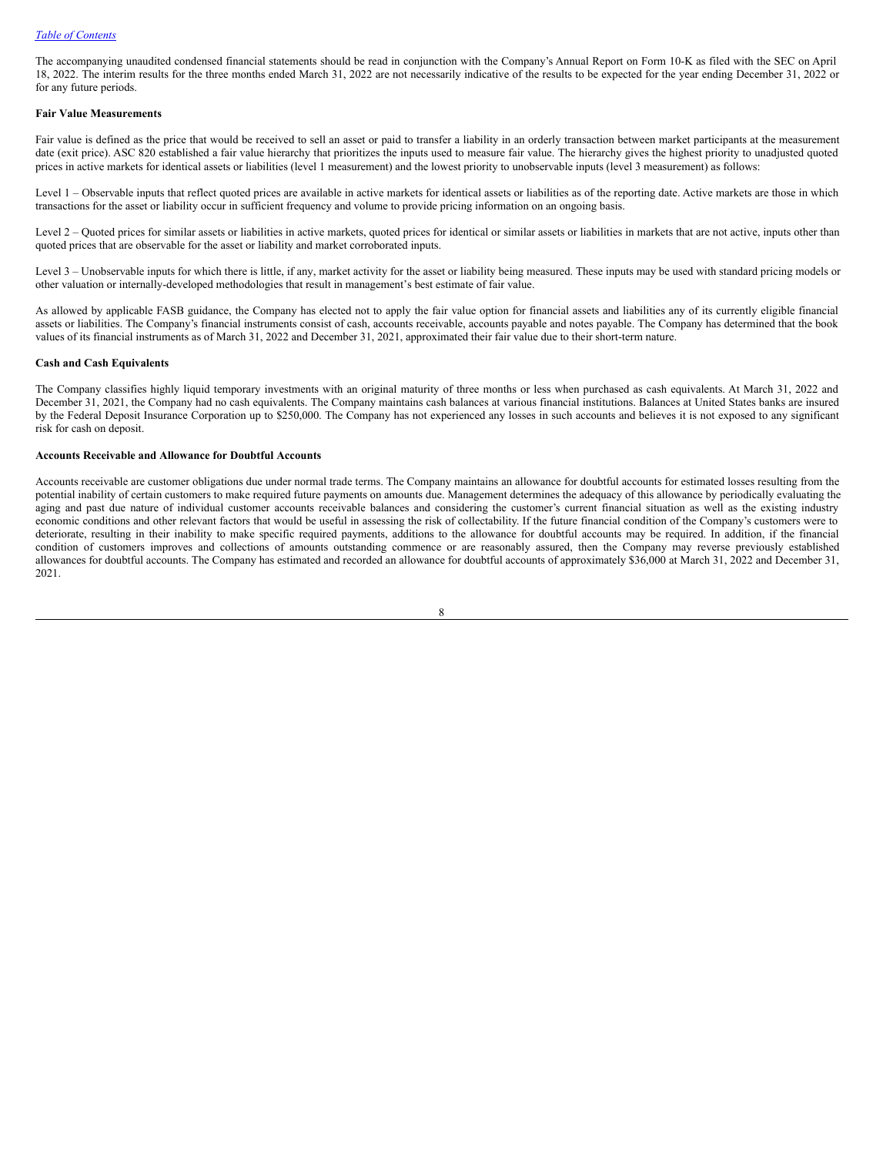The accompanying unaudited condensed financial statements should be read in conjunction with the Company's Annual Report on Form 10-K as filed with the SEC on April 18, 2022. The interim results for the three months ended March 31, 2022 are not necessarily indicative of the results to be expected for the year ending December 31, 2022 or for any future periods.

### **Fair Value Measurements**

Fair value is defined as the price that would be received to sell an asset or paid to transfer a liability in an orderly transaction between market participants at the measurement date (exit price). ASC 820 established a fair value hierarchy that prioritizes the inputs used to measure fair value. The hierarchy gives the highest priority to unadjusted quoted prices in active markets for identical assets or liabilities (level 1 measurement) and the lowest priority to unobservable inputs (level 3 measurement) as follows:

Level 1 – Observable inputs that reflect quoted prices are available in active markets for identical assets or liabilities as of the reporting date. Active markets are those in which transactions for the asset or liability occur in sufficient frequency and volume to provide pricing information on an ongoing basis.

Level 2 - Quoted prices for similar assets or liabilities in active markets, quoted prices for identical or similar assets or liabilities in markets that are not active, inputs other than quoted prices that are observable for the asset or liability and market corroborated inputs.

Level 3 - Unobservable inputs for which there is little, if any, market activity for the asset or liability being measured. These inputs may be used with standard pricing models or other valuation or internally-developed methodologies that result in management's best estimate of fair value.

As allowed by applicable FASB guidance, the Company has elected not to apply the fair value option for financial assets and liabilities any of its currently eligible financial assets or liabilities. The Company's financial instruments consist of cash, accounts receivable, accounts payable and notes payable. The Company has determined that the book values of its financial instruments as of March 31, 2022 and December 31, 2021, approximated their fair value due to their short-term nature.

### **Cash and Cash Equivalents**

The Company classifies highly liquid temporary investments with an original maturity of three months or less when purchased as cash equivalents. At March 31, 2022 and December 31, 2021, the Company had no cash equivalents. The Company maintains cash balances at various financial institutions. Balances at United States banks are insured by the Federal Deposit Insurance Corporation up to \$250,000. The Company has not experienced any losses in such accounts and believes it is not exposed to any significant risk for cash on deposit.

# **Accounts Receivable and Allowance for Doubtful Accounts**

Accounts receivable are customer obligations due under normal trade terms. The Company maintains an allowance for doubtful accounts for estimated losses resulting from the potential inability of certain customers to make required future payments on amounts due. Management determines the adequacy of this allowance by periodically evaluating the aging and past due nature of individual customer accounts receivable balances and considering the customer's current financial situation as well as the existing industry economic conditions and other relevant factors that would be useful in assessing the risk of collectability. If the future financial condition of the Company's customers were to deteriorate, resulting in their inability to make specific required payments, additions to the allowance for doubtful accounts may be required. In addition, if the financial condition of customers improves and collections of amounts outstanding commence or are reasonably assured, then the Company may reverse previously established allowances for doubtful accounts. The Company has estimated and recorded an allowance for doubtful accounts of approximately \$36,000 at March 31, 2022 and December 31, 2021.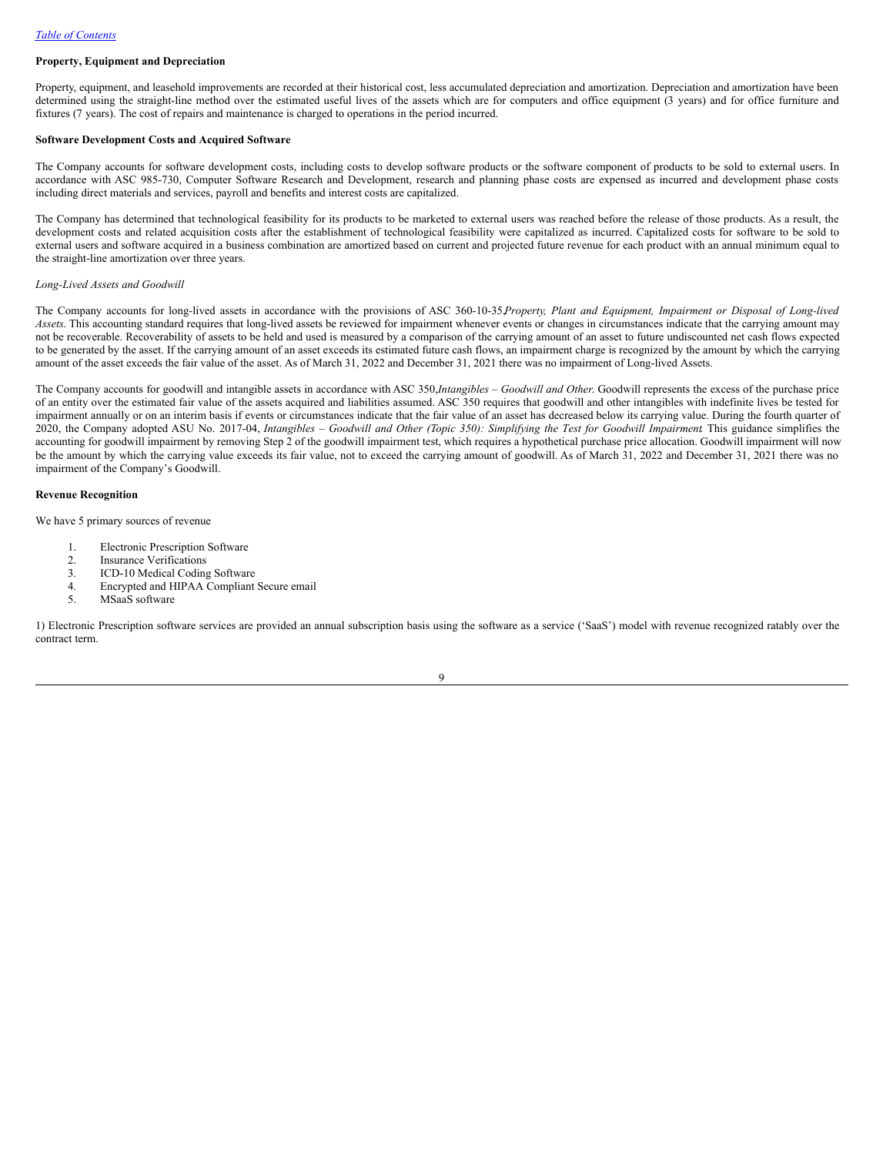# **Property, Equipment and Depreciation**

Property, equipment, and leasehold improvements are recorded at their historical cost, less accumulated depreciation and amortization. Depreciation and amortization have been determined using the straight-line method over the estimated useful lives of the assets which are for computers and office equipment (3 years) and for office furniture and fixtures (7 years). The cost of repairs and maintenance is charged to operations in the period incurred.

#### **Software Development Costs and Acquired Software**

The Company accounts for software development costs, including costs to develop software products or the software component of products to be sold to external users. In accordance with ASC 985-730, Computer Software Research and Development, research and planning phase costs are expensed as incurred and development phase costs including direct materials and services, payroll and benefits and interest costs are capitalized.

The Company has determined that technological feasibility for its products to be marketed to external users was reached before the release of those products. As a result, the development costs and related acquisition costs after the establishment of technological feasibility were capitalized as incurred. Capitalized costs for software to be sold to external users and software acquired in a business combination are amortized based on current and projected future revenue for each product with an annual minimum equal to the straight-line amortization over three years.

#### *Long-Lived Assets and Goodwill*

The Company accounts for long-lived assets in accordance with the provisions of ASC 360-10-35,*Property, Plant and Equipment, Impairment or Disposal of Long-lived Assets*. This accounting standard requires that long-lived assets be reviewed for impairment whenever events or changes in circumstances indicate that the carrying amount may not be recoverable. Recoverability of assets to be held and used is measured by a comparison of the carrying amount of an asset to future undiscounted net cash flows expected to be generated by the asset. If the carrying amount of an asset exceeds its estimated future cash flows, an impairment charge is recognized by the amount by which the carrying amount of the asset exceeds the fair value of the asset. As of March 31, 2022 and December 31, 2021 there was no impairment of Long-lived Assets.

The Company accounts for goodwill and intangible assets in accordance with ASC 350,*Intangibles – Goodwill and Other*. Goodwill represents the excess of the purchase price of an entity over the estimated fair value of the assets acquired and liabilities assumed. ASC 350 requires that goodwill and other intangibles with indefinite lives be tested for impairment annually or on an interim basis if events or circumstances indicate that the fair value of an asset has decreased below its carrying value. During the fourth quarter of 2020, the Company adopted ASU No. 2017-04, Intangibles - Goodwill and Other (Topic 350): Simplifying the Test for Goodwill Impairment. This guidance simplifies the accounting for goodwill impairment by removing Step 2 of the goodwill impairment test, which requires a hypothetical purchase price allocation. Goodwill impairment will now be the amount by which the carrying value exceeds its fair value, not to exceed the carrying amount of goodwill. As of March 31, 2022 and December 31, 2021 there was no impairment of the Company's Goodwill.

### **Revenue Recognition**

We have 5 primary sources of revenue

- 1. Electronic Prescription Software
- 2. Insurance Verifications
- 3. ICD-10 Medical Coding Software
- 4. Encrypted and HIPAA Compliant Secure email
- 5. MSaaS software

1) Electronic Prescription software services are provided an annual subscription basis using the software as a service ('SaaS') model with revenue recognized ratably over the contract term.

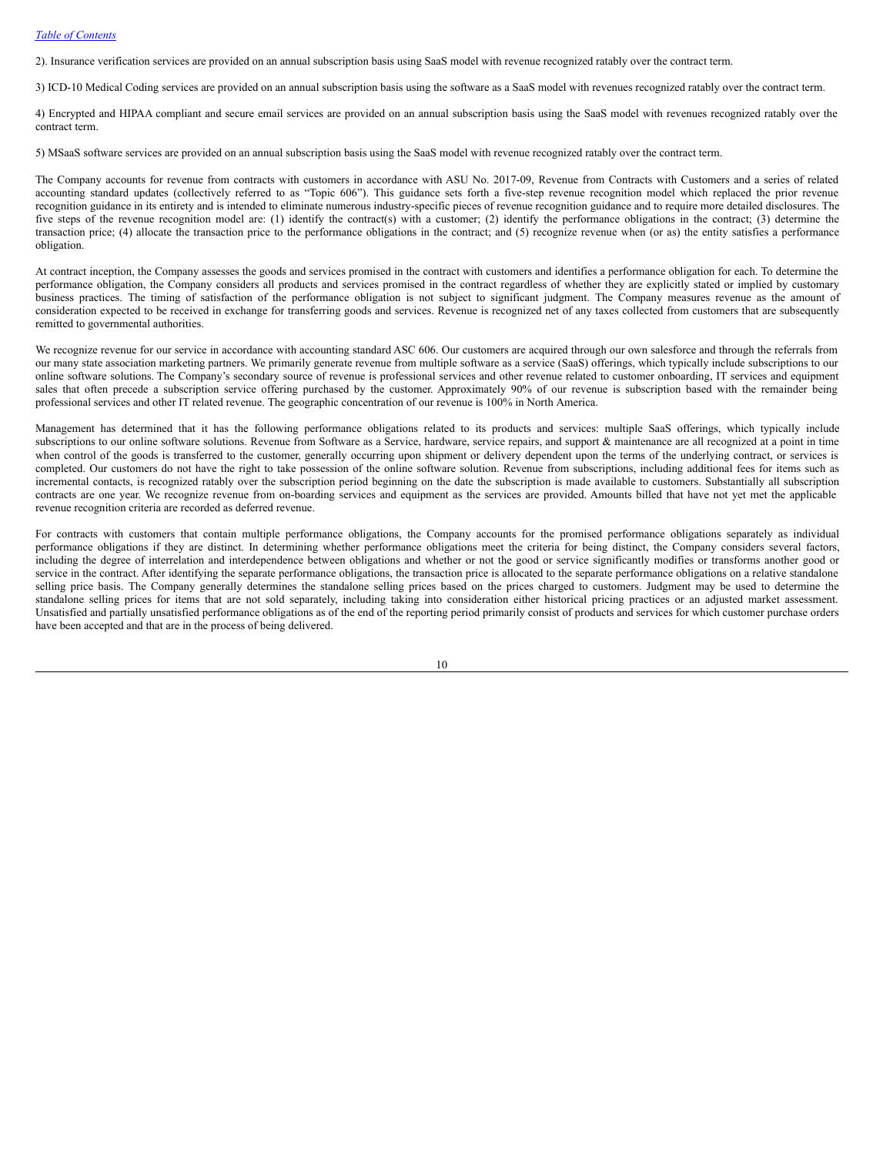### *Table of [Contents](#page-1-0)*

2). Insurance verification services are provided on an annual subscription basis using SaaS model with revenue recognized ratably over the contract term.

3) ICD-10 Medical Coding services are provided on an annual subscription basis using the software as a SaaS model with revenues recognized ratably over the contract term.

4) Encrypted and HIPAA compliant and secure email services are provided on an annual subscription basis using the SaaS model with revenues recognized ratably over the contract term.

5) MSaaS software services are provided on an annual subscription basis using the SaaS model with revenue recognized ratably over the contract term.

The Company accounts for revenue from contracts with customers in accordance with ASU No. 2017-09, Revenue from Contracts with Customers and a series of related accounting standard updates (collectively referred to as "Topic 606"). This guidance sets forth a five-step revenue recognition model which replaced the prior revenue recognition guidance in its entirety and is intended to eliminate numerous industry-specific pieces of revenue recognition guidance and to require more detailed disclosures. The five steps of the revenue recognition model are: (1) identify the contract(s) with a customer; (2) identify the performance obligations in the contract; (3) determine the transaction price; (4) allocate the transaction price to the performance obligations in the contract; and (5) recognize revenue when (or as) the entity satisfies a performance obligation.

At contract inception, the Company assesses the goods and services promised in the contract with customers and identifies a performance obligation for each. To determine the performance obligation, the Company considers all products and services promised in the contract regardless of whether they are explicitly stated or implied by customary business practices. The timing of satisfaction of the performance obligation is not subject to significant judgment. The Company measures revenue as the amount of consideration expected to be received in exchange for transferring goods and services. Revenue is recognized net of any taxes collected from customers that are subsequently remitted to governmental authorities.

We recognize revenue for our service in accordance with accounting standard ASC 606. Our customers are acquired through our own salesforce and through the referrals from our many state association marketing partners. We primarily generate revenue from multiple software as a service (SaaS) offerings, which typically include subscriptions to our online software solutions. The Company's secondary source of revenue is professional services and other revenue related to customer onboarding, IT services and equipment sales that often precede a subscription service offering purchased by the customer. Approximately 90% of our revenue is subscription based with the remainder being professional services and other IT related revenue. The geographic concentration of our revenue is 100% in North America.

Management has determined that it has the following performance obligations related to its products and services: multiple SaaS offerings, which typically include subscriptions to our online software solutions. Revenue from Software as a Service, hardware, service repairs, and support & maintenance are all recognized at a point in time when control of the goods is transferred to the customer, generally occurring upon shipment or delivery dependent upon the terms of the underlying contract, or services is completed. Our customers do not have the right to take possession of the online software solution. Revenue from subscriptions, including additional fees for items such as incremental contacts, is recognized ratably over the subscription period beginning on the date the subscription is made available to customers. Substantially all subscription contracts are one year. We recognize revenue from on-boarding services and equipment as the services are provided. Amounts billed that have not yet met the applicable revenue recognition criteria are recorded as deferred revenue.

For contracts with customers that contain multiple performance obligations, the Company accounts for the promised performance obligations separately as individual performance obligations if they are distinct. In determining whether performance obligations meet the criteria for being distinct, the Company considers several factors, including the degree of interrelation and interdependence between obligations and whether or not the good or service significantly modifies or transforms another good or service in the contract. After identifying the separate performance obligations, the transaction price is allocated to the separate performance obligations on a relative standalone selling price basis. The Company generally determines the standalone selling prices based on the prices charged to customers. Judgment may be used to determine the standalone selling prices for items that are not sold separately, including taking into consideration either historical pricing practices or an adjusted market assessment. Unsatisfied and partially unsatisfied performance obligations as of the end of the reporting period primarily consist of products and services for which customer purchase orders have been accepted and that are in the process of being delivered.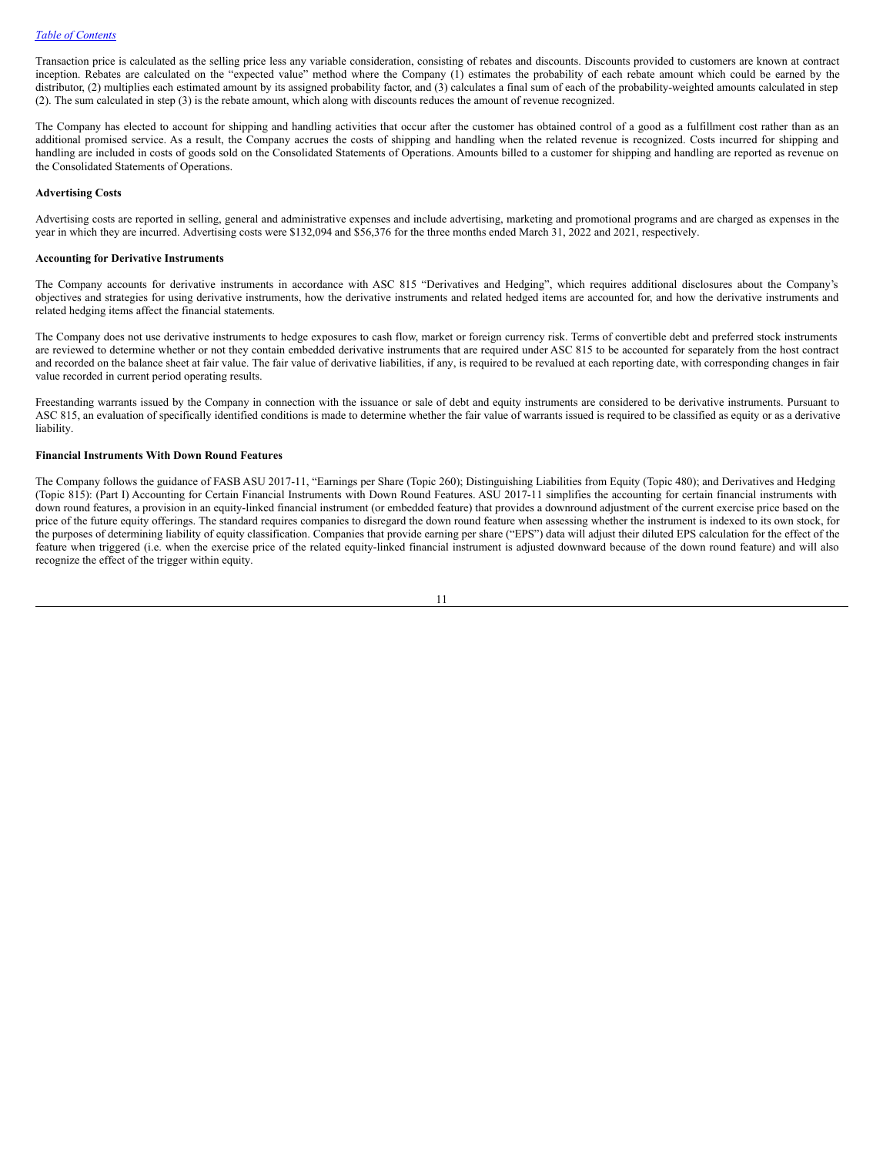Transaction price is calculated as the selling price less any variable consideration, consisting of rebates and discounts. Discounts provided to customers are known at contract inception. Rebates are calculated on the "expected value" method where the Company (1) estimates the probability of each rebate amount which could be earned by the distributor, (2) multiplies each estimated amount by its assigned probability factor, and (3) calculates a final sum of each of the probability-weighted amounts calculated in step (2). The sum calculated in step (3) is the rebate amount, which along with discounts reduces the amount of revenue recognized.

The Company has elected to account for shipping and handling activities that occur after the customer has obtained control of a good as a fulfillment cost rather than as an additional promised service. As a result, the Company accrues the costs of shipping and handling when the related revenue is recognized. Costs incurred for shipping and handling are included in costs of goods sold on the Consolidated Statements of Operations. Amounts billed to a customer for shipping and handling are reported as revenue on the Consolidated Statements of Operations.

### **Advertising Costs**

Advertising costs are reported in selling, general and administrative expenses and include advertising, marketing and promotional programs and are charged as expenses in the year in which they are incurred. Advertising costs were \$132,094 and \$56,376 for the three months ended March 31, 2022 and 2021, respectively.

### **Accounting for Derivative Instruments**

The Company accounts for derivative instruments in accordance with ASC 815 "Derivatives and Hedging", which requires additional disclosures about the Company's objectives and strategies for using derivative instruments, how the derivative instruments and related hedged items are accounted for, and how the derivative instruments and related hedging items affect the financial statements.

The Company does not use derivative instruments to hedge exposures to cash flow, market or foreign currency risk. Terms of convertible debt and preferred stock instruments are reviewed to determine whether or not they contain embedded derivative instruments that are required under ASC 815 to be accounted for separately from the host contract and recorded on the balance sheet at fair value. The fair value of derivative liabilities, if any, is required to be revalued at each reporting date, with corresponding changes in fair value recorded in current period operating results.

Freestanding warrants issued by the Company in connection with the issuance or sale of debt and equity instruments are considered to be derivative instruments. Pursuant to ASC 815, an evaluation of specifically identified conditions is made to determine whether the fair value of warrants issued is required to be classified as equity or as a derivative liability.

# **Financial Instruments With Down Round Features**

The Company follows the guidance of FASB ASU 2017-11, "Earnings per Share (Topic 260); Distinguishing Liabilities from Equity (Topic 480); and Derivatives and Hedging (Topic 815): (Part I) Accounting for Certain Financial Instruments with Down Round Features. ASU 2017-11 simplifies the accounting for certain financial instruments with down round features, a provision in an equity-linked financial instrument (or embedded feature) that provides a downround adjustment of the current exercise price based on the price of the future equity offerings. The standard requires companies to disregard the down round feature when assessing whether the instrument is indexed to its own stock, for the purposes of determining liability of equity classification. Companies that provide earning per share ("EPS") data will adjust their diluted EPS calculation for the effect of the feature when triggered (i.e. when the exercise price of the related equity-linked financial instrument is adjusted downward because of the down round feature) and will also recognize the effect of the trigger within equity.

$$
1\\1
$$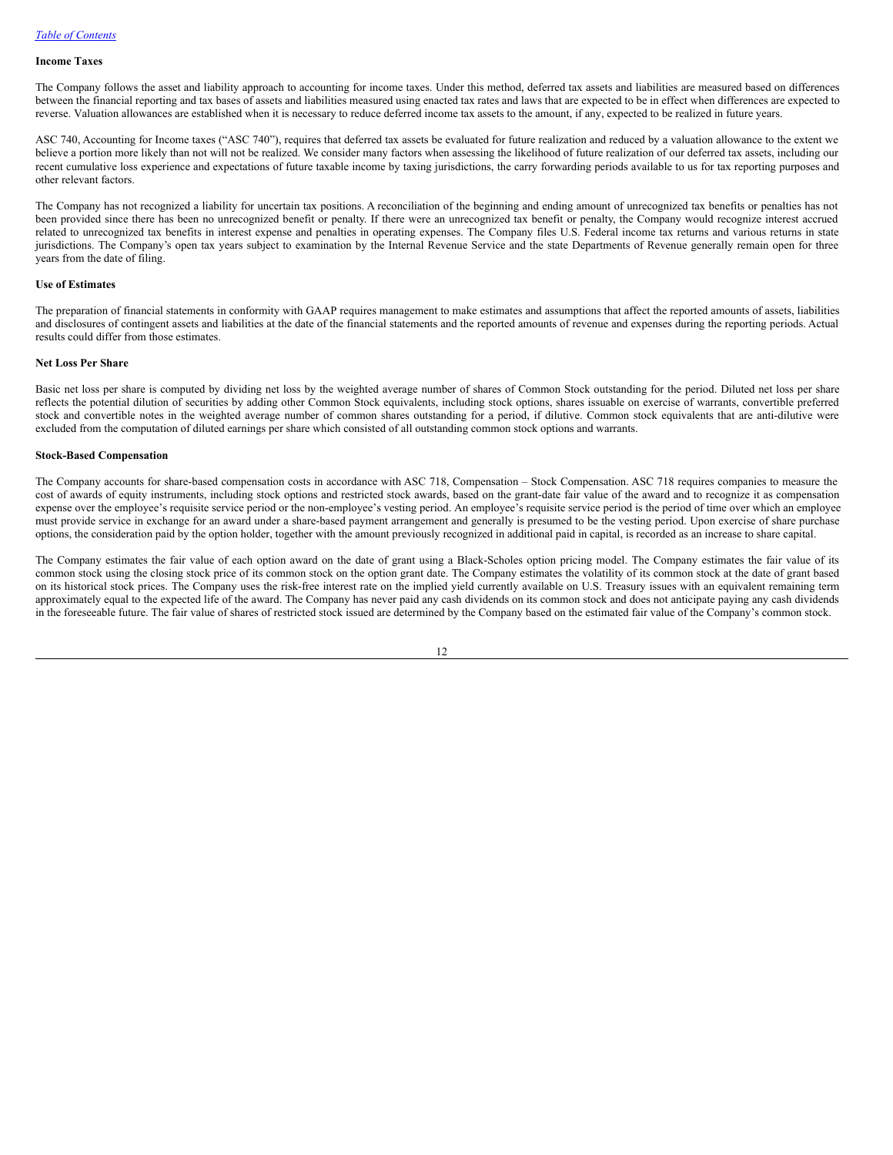### **Income Taxes**

The Company follows the asset and liability approach to accounting for income taxes. Under this method, deferred tax assets and liabilities are measured based on differences between the financial reporting and tax bases of assets and liabilities measured using enacted tax rates and laws that are expected to be in effect when differences are expected to reverse. Valuation allowances are established when it is necessary to reduce deferred income tax assets to the amount, if any, expected to be realized in future years.

ASC 740, Accounting for Income taxes ("ASC 740"), requires that deferred tax assets be evaluated for future realization and reduced by a valuation allowance to the extent we believe a portion more likely than not will not be realized. We consider many factors when assessing the likelihood of future realization of our deferred tax assets, including our recent cumulative loss experience and expectations of future taxable income by taxing jurisdictions, the carry forwarding periods available to us for tax reporting purposes and other relevant factors.

The Company has not recognized a liability for uncertain tax positions. A reconciliation of the beginning and ending amount of unrecognized tax benefits or penalties has not been provided since there has been no unrecognized benefit or penalty. If there were an unrecognized tax benefit or penalty, the Company would recognize interest accrued related to unrecognized tax benefits in interest expense and penalties in operating expenses. The Company files U.S. Federal income tax returns and various returns in state jurisdictions. The Company's open tax years subject to examination by the Internal Revenue Service and the state Departments of Revenue generally remain open for three years from the date of filing.

### **Use of Estimates**

The preparation of financial statements in conformity with GAAP requires management to make estimates and assumptions that affect the reported amounts of assets, liabilities and disclosures of contingent assets and liabilities at the date of the financial statements and the reported amounts of revenue and expenses during the reporting periods. Actual results could differ from those estimates.

# **Net Loss Per Share**

Basic net loss per share is computed by dividing net loss by the weighted average number of shares of Common Stock outstanding for the period. Diluted net loss per share reflects the potential dilution of securities by adding other Common Stock equivalents, including stock options, shares issuable on exercise of warrants, convertible preferred stock and convertible notes in the weighted average number of common shares outstanding for a period, if dilutive. Common stock equivalents that are anti-dilutive were excluded from the computation of diluted earnings per share which consisted of all outstanding common stock options and warrants.

### **Stock-Based Compensation**

The Company accounts for share-based compensation costs in accordance with ASC 718, Compensation – Stock Compensation. ASC 718 requires companies to measure the cost of awards of equity instruments, including stock options and restricted stock awards, based on the grant-date fair value of the award and to recognize it as compensation expense over the employee's requisite service period or the non-employee's vesting period. An employee's requisite service period is the period of time over which an employee must provide service in exchange for an award under a share-based payment arrangement and generally is presumed to be the vesting period. Upon exercise of share purchase options, the consideration paid by the option holder, together with the amount previously recognized in additional paid in capital, is recorded as an increase to share capital.

The Company estimates the fair value of each option award on the date of grant using a Black-Scholes option pricing model. The Company estimates the fair value of its common stock using the closing stock price of its common stock on the option grant date. The Company estimates the volatility of its common stock at the date of grant based on its historical stock prices. The Company uses the risk-free interest rate on the implied yield currently available on U.S. Treasury issues with an equivalent remaining term approximately equal to the expected life of the award. The Company has never paid any cash dividends on its common stock and does not anticipate paying any cash dividends in the foreseeable future. The fair value of shares of restricted stock issued are determined by the Company based on the estimated fair value of the Company's common stock.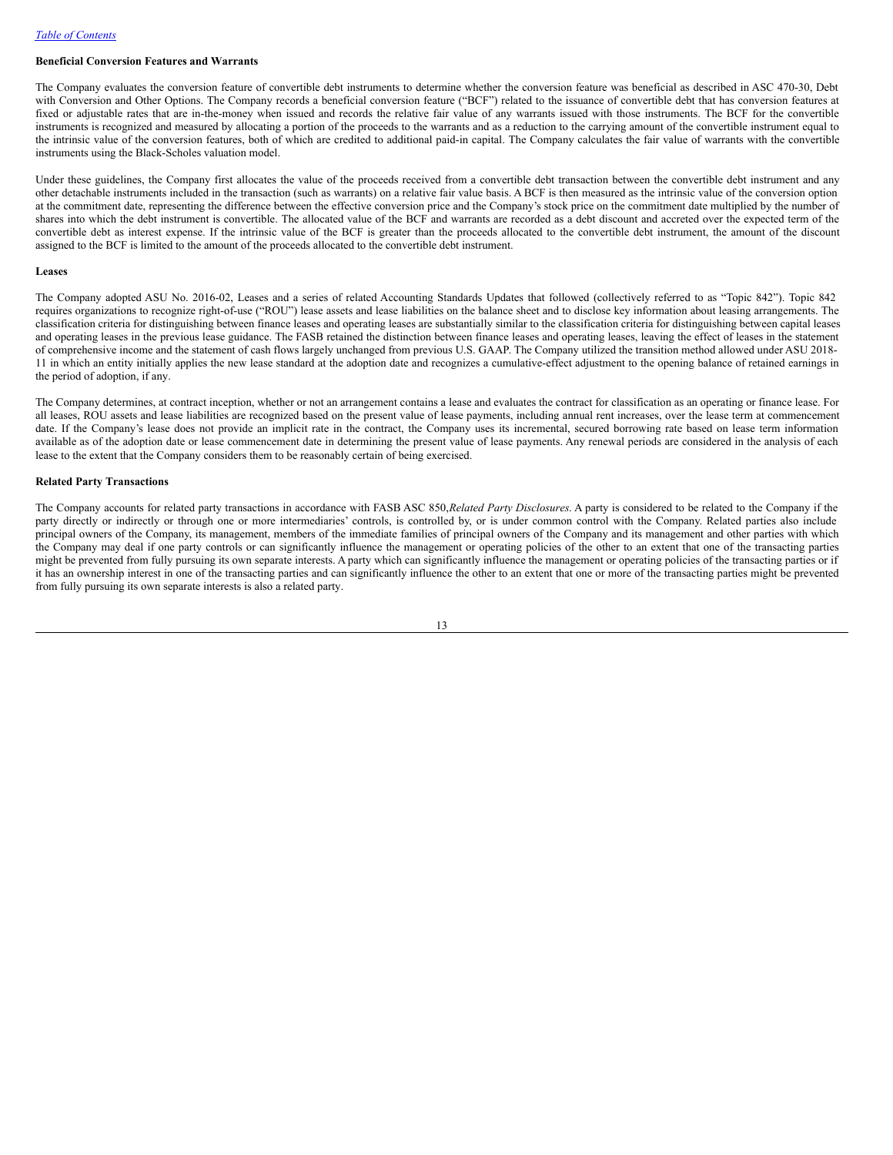# **Beneficial Conversion Features and Warrants**

The Company evaluates the conversion feature of convertible debt instruments to determine whether the conversion feature was beneficial as described in ASC 470-30, Debt with Conversion and Other Options. The Company records a beneficial conversion feature ("BCF") related to the issuance of convertible debt that has conversion features at fixed or adjustable rates that are in-the-money when issued and records the relative fair value of any warrants issued with those instruments. The BCF for the convertible instruments is recognized and measured by allocating a portion of the proceeds to the warrants and as a reduction to the carrying amount of the convertible instrument equal to the intrinsic value of the conversion features, both of which are credited to additional paid-in capital. The Company calculates the fair value of warrants with the convertible instruments using the Black-Scholes valuation model.

Under these guidelines, the Company first allocates the value of the proceeds received from a convertible debt transaction between the convertible debt instrument and any other detachable instruments included in the transaction (such as warrants) on a relative fair value basis. A BCF is then measured as the intrinsic value of the conversion option at the commitment date, representing the difference between the effective conversion price and the Company's stock price on the commitment date multiplied by the number of shares into which the debt instrument is convertible. The allocated value of the BCF and warrants are recorded as a debt discount and accreted over the expected term of the convertible debt as interest expense. If the intrinsic value of the BCF is greater than the proceeds allocated to the convertible debt instrument, the amount of the discount assigned to the BCF is limited to the amount of the proceeds allocated to the convertible debt instrument.

#### **Leases**

The Company adopted ASU No. 2016-02, Leases and a series of related Accounting Standards Updates that followed (collectively referred to as "Topic 842"). Topic 842 requires organizations to recognize right-of-use ("ROU") lease assets and lease liabilities on the balance sheet and to disclose key information about leasing arrangements. The classification criteria for distinguishing between finance leases and operating leases are substantially similar to the classification criteria for distinguishing between capital leases and operating leases in the previous lease guidance. The FASB retained the distinction between finance leases and operating leases, leaving the effect of leases in the statement of comprehensive income and the statement of cash flows largely unchanged from previous U.S. GAAP. The Company utilized the transition method allowed under ASU 2018- 11 in which an entity initially applies the new lease standard at the adoption date and recognizes a cumulative-effect adjustment to the opening balance of retained earnings in the period of adoption, if any.

The Company determines, at contract inception, whether or not an arrangement contains a lease and evaluates the contract for classification as an operating or finance lease. For all leases, ROU assets and lease liabilities are recognized based on the present value of lease payments, including annual rent increases, over the lease term at commencement date. If the Company's lease does not provide an implicit rate in the contract, the Company uses its incremental, secured borrowing rate based on lease term information available as of the adoption date or lease commencement date in determining the present value of lease payments. Any renewal periods are considered in the analysis of each lease to the extent that the Company considers them to be reasonably certain of being exercised.

### **Related Party Transactions**

The Company accounts for related party transactions in accordance with FASB ASC 850,*Related Party Disclosures*. A party is considered to be related to the Company if the party directly or indirectly or through one or more intermediaries' controlls, is controlled by, or is under common control with the Company. Related parties also include principal owners of the Company, its management, members of the immediate families of principal owners of the Company and its management and other parties with which the Company may deal if one party controls or can significantly influence the management or operating policies of the other to an extent that one of the transacting parties might be prevented from fully pursuing its own separate interests. A party which can significantly influence the management or operating policies of the transacting parties or if it has an ownership interest in one of the transacting parties and can significantly influence the other to an extent that one or more of the transacting parties might be prevented from fully pursuing its own separate interests is also a related party.

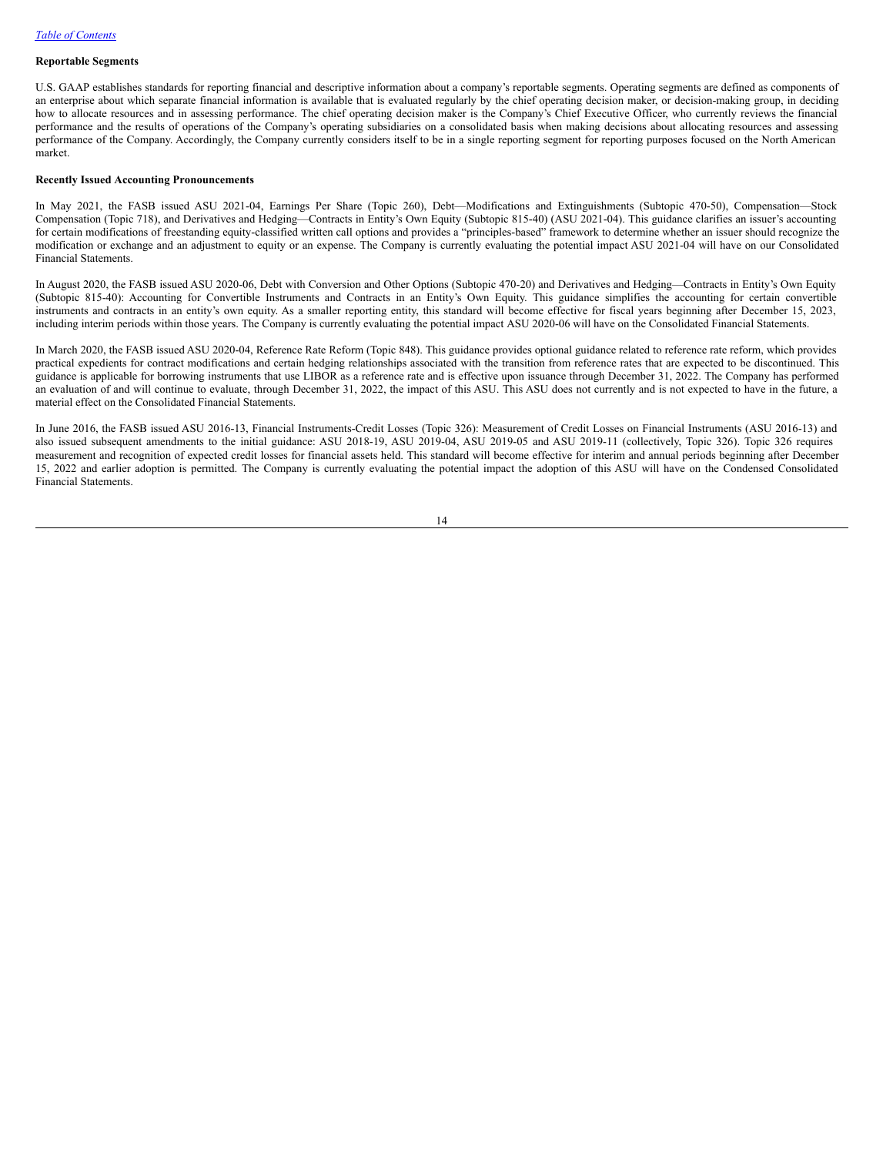### **Reportable Segments**

U.S. GAAP establishes standards for reporting financial and descriptive information about a company's reportable segments. Operating segments are defined as components of an enterprise about which separate financial information is available that is evaluated regularly by the chief operating decision maker, or decision-making group, in deciding how to allocate resources and in assessing performance. The chief operating decision maker is the Company's Chief Executive Officer, who currently reviews the financial performance and the results of operations of the Company's operating subsidiaries on a consolidated basis when making decisions about allocating resources and assessing performance of the Company. Accordingly, the Company currently considers itself to be in a single reporting segment for reporting purposes focused on the North American market.

#### **Recently Issued Accounting Pronouncements**

In May 2021, the FASB issued ASU 2021-04, Earnings Per Share (Topic 260), Debt—Modifications and Extinguishments (Subtopic 470-50), Compensation—Stock Compensation (Topic 718), and Derivatives and Hedging—Contracts in Entity's Own Equity (Subtopic 815-40) (ASU 2021-04). This guidance clarifies an issuer's accounting for certain modifications of freestanding equity-classified written call options and provides a "principles-based" framework to determine whether an issuer should recognize the modification or exchange and an adjustment to equity or an expense. The Company is currently evaluating the potential impact ASU 2021-04 will have on our Consolidated Financial Statements.

In August 2020, the FASB issued ASU 2020-06, Debt with Conversion and Other Options (Subtopic 470-20) and Derivatives and Hedging—Contracts in Entity's Own Equity (Subtopic 815-40): Accounting for Convertible Instruments and Contracts in an Entity's Own Equity. This guidance simplifies the accounting for certain convertible instruments and contracts in an entity's own equity. As a smaller reporting entity, this standard will become effective for fiscal years beginning after December 15, 2023, including interim periods within those years. The Company is currently evaluating the potential impact ASU 2020-06 will have on the Consolidated Financial Statements.

In March 2020, the FASB issued ASU 2020-04, Reference Rate Reform (Topic 848). This guidance provides optional guidance related to reference rate reform, which provides practical expedients for contract modifications and certain hedging relationships associated with the transition from reference rates that are expected to be discontinued. This guidance is applicable for borrowing instruments that use LIBOR as a reference rate and is effective upon issuance through December 31, 2022. The Company has performed an evaluation of and will continue to evaluate, through December 31, 2022, the impact of this ASU. This ASU does not currently and is not expected to have in the future, a material effect on the Consolidated Financial Statements.

In June 2016, the FASB issued ASU 2016-13, Financial Instruments-Credit Losses (Topic 326): Measurement of Credit Losses on Financial Instruments (ASU 2016-13) and also issued subsequent amendments to the initial guidance: ASU 2018-19, ASU 2019-04, ASU 2019-05 and ASU 2019-11 (collectively, Topic 326). Topic 326 requires measurement and recognition of expected credit losses for financial assets held. This standard will become effective for interim and annual periods beginning after December 15, 2022 and earlier adoption is permitted. The Company is currently evaluating the potential impact the adoption of this ASU will have on the Condensed Consolidated Financial Statements.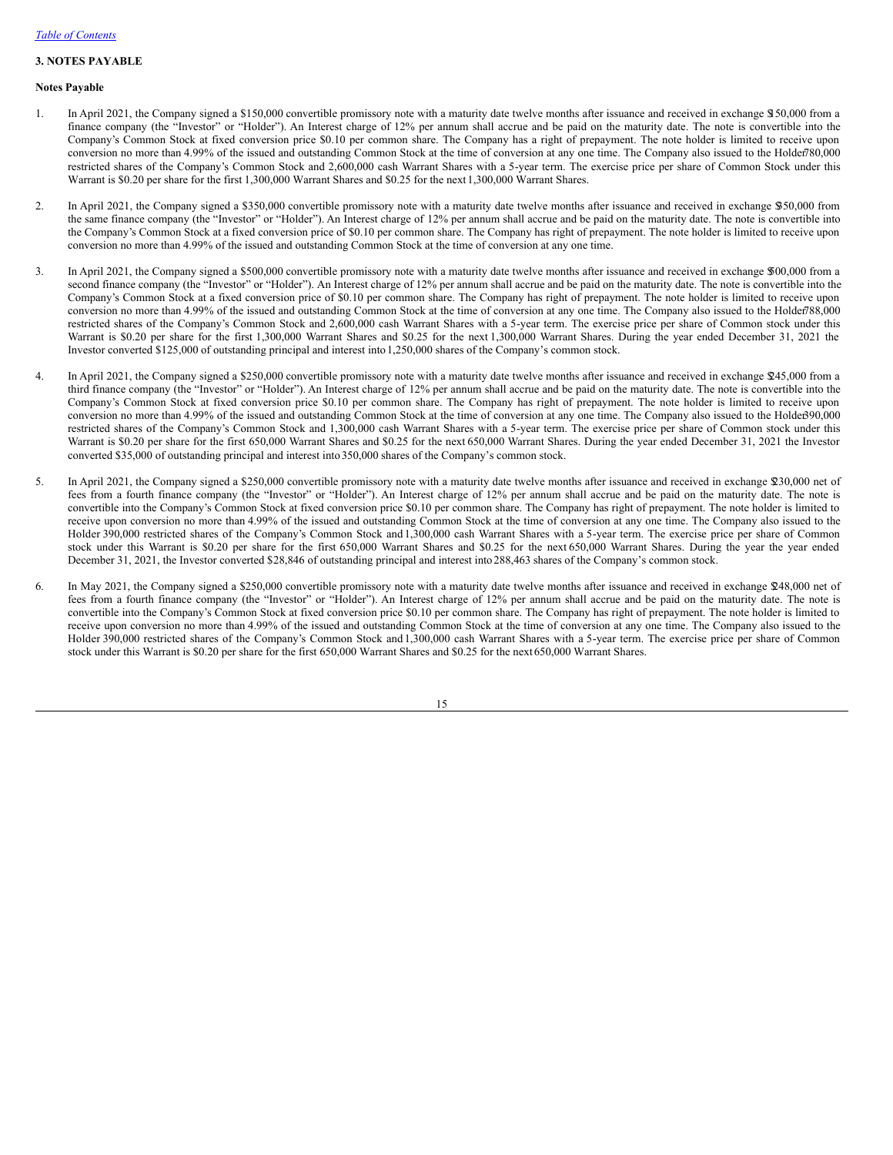# **3. NOTES PAYABLE**

#### **Notes Payable**

- 1. In April 2021, the Company signed a \$150,000 convertible promissory note with a maturity date twelve months after issuance and received in exchange \$150,000 from a finance company (the "Investor" or "Holder"). An Interest charge of 12% per annum shall accrue and be paid on the maturity date. The note is convertible into the Company's Common Stock at fixed conversion price \$0.10 per common share. The Company has a right of prepayment. The note holder is limited to receive upon conversion no more than 4.99% of the issued and outstanding Common Stock at the time of conversion at any one time. The Company also issued to the Holder780,000 restricted shares of the Company's Common Stock and 2,600,000 cash Warrant Shares with a 5-year term. The exercise price per share of Common Stock under this Warrant is \$0.20 per share for the first 1,300,000 Warrant Shares and \$0.25 for the next 1,300,000 Warrant Shares.
- 2. In April 2021, the Company signed a \$350,000 convertible promissory note with a maturity date twelve months after issuance and received in exchange \$350,000 from the same finance company (the "Investor" or "Holder"). An Interest charge of 12% per annum shall accrue and be paid on the maturity date. The note is convertible into the Company's Common Stock at a fixed conversion price of \$0.10 per common share. The Company has right of prepayment. The note holder is limited to receive upon conversion no more than 4.99% of the issued and outstanding Common Stock at the time of conversion at any one time.
- 3. In April 2021, the Company signed a \$500,000 convertible promissory note with a maturity date twelve months after issuance and received in exchange \$500,000 from a second finance company (the "Investor" or "Holder"). An Interest charge of 12% per annum shall accrue and be paid on the maturity date. The note is convertible into the Company's Common Stock at a fixed conversion price of \$0.10 per common share. The Company has right of prepayment. The note holder is limited to receive upon conversion no more than 4.99% of the issued and outstanding Common Stock at the time of conversion at any one time. The Company also issued to the Holder788,000 restricted shares of the Company's Common Stock and 2,600,000 cash Warrant Shares with a 5-year term. The exercise price per share of Common stock under this Warrant is \$0.20 per share for the first 1,300,000 Warrant Shares and \$0.25 for the next 1,300,000 Warrant Shares. During the year ended December 31, 2021 the Investor converted \$125,000 of outstanding principal and interest into 1,250,000 shares of the Company's common stock.
- 4. In April 2021, the Company signed a \$250,000 convertible promissory note with a maturity date twelve months after issuance and received in exchange \$245,000 from a third finance company (the "Investor" or "Holder"). An Interest charge of 12% per annum shall accrue and be paid on the maturity date. The note is convertible into the Company's Common Stock at fixed conversion price \$0.10 per common share. The Company has right of prepayment. The note holder is limited to receive upon conversion no more than 4.99% of the issued and outstanding Common Stock at the time of conversion at any one time. The Company also issued to the Holder390,000 restricted shares of the Company's Common Stock and 1,300,000 cash Warrant Shares with a 5-year term. The exercise price per share of Common stock under this Warrant is \$0.20 per share for the first 650,000 Warrant Shares and \$0.25 for the next 650,000 Warrant Shares. During the year ended December 31, 2021 the Investor converted \$35,000 of outstanding principal and interest into 350,000 shares of the Company's common stock.
- 5. In April 2021, the Company signed a \$250,000 convertible promissory note with a maturity date twelve months after issuance and received in exchange \$230,000 net of fees from a fourth finance company (the "Investor" or "Holder"). An Interest charge of 12% per annum shall accrue and be paid on the maturity date. The note is convertible into the Company's Common Stock at fixed conversion price \$0.10 per common share. The Company has right of prepayment. The note holder is limited to receive upon conversion no more than 4.99% of the issued and outstanding Common Stock at the time of conversion at any one time. The Company also issued to the Holder 390,000 restricted shares of the Company's Common Stock and 1,300,000 cash Warrant Shares with a 5-year term. The exercise price per share of Common stock under this Warrant is \$0.20 per share for the first 650,000 Warrant Shares and \$0.25 for the next 650,000 Warrant Shares. During the year the year ended December 31, 2021, the Investor converted \$28,846 of outstanding principal and interest into 288,463 shares of the Company's common stock.
- 6. In May 2021, the Company signed a \$250,000 convertible promissory note with a maturity date twelve months after issuance and received in exchange \$248,000 net of fees from a fourth finance company (the "Investor" or "Holder"). An Interest charge of 12% per annum shall accrue and be paid on the maturity date. The note is convertible into the Company's Common Stock at fixed conversion price \$0.10 per common share. The Company has right of prepayment. The note holder is limited to receive upon conversion no more than 4.99% of the issued and outstanding Common Stock at the time of conversion at any one time. The Company also issued to the Holder 390,000 restricted shares of the Company's Common Stock and 1,300,000 cash Warrant Shares with a 5-year term. The exercise price per share of Common stock under this Warrant is \$0.20 per share for the first 650,000 Warrant Shares and \$0.25 for the next 650,000 Warrant Shares.

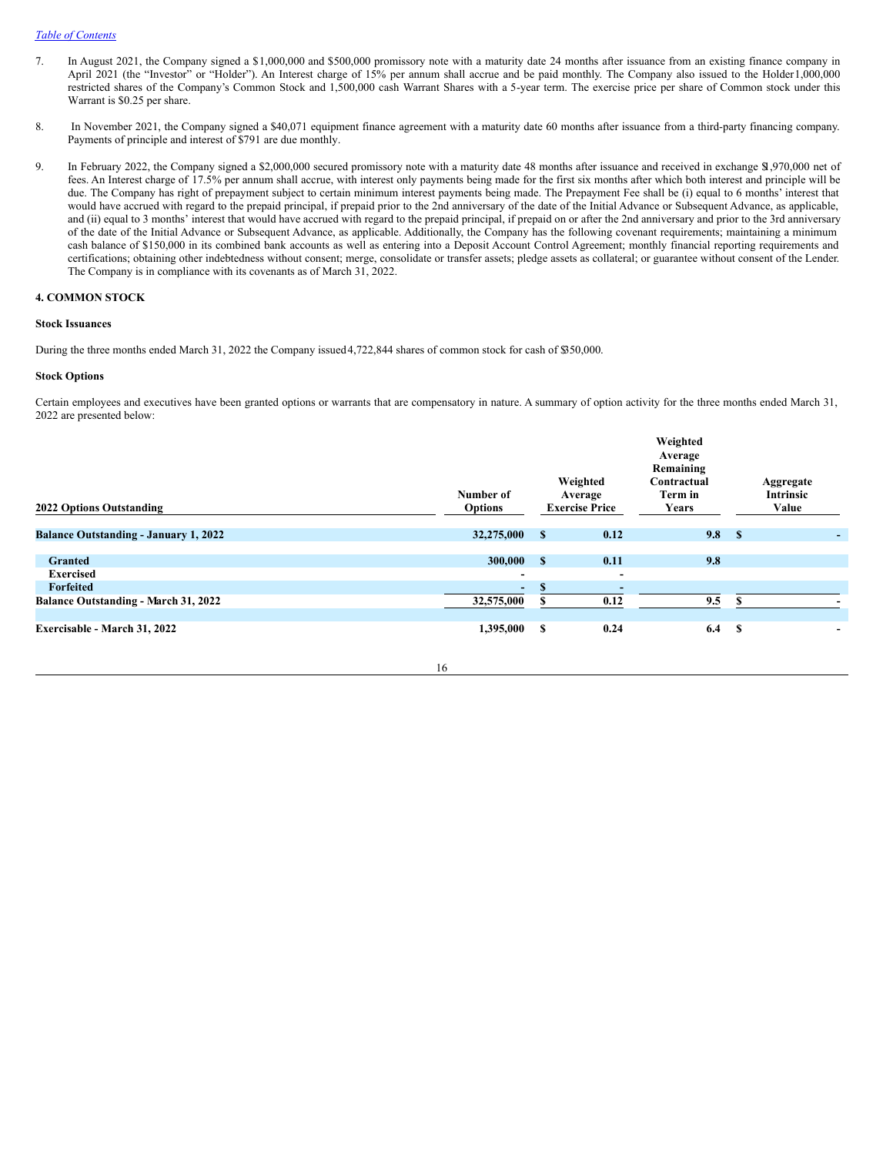### *Table of [Contents](#page-1-0)*

- 7. In August 2021, the Company signed a \$1,000,000 and \$500,000 promissory note with a maturity date 24 months after issuance from an existing finance company in April 2021 (the "Investor" or "Holder"). An Interest charge of 15% per annum shall accrue and be paid monthly. The Company also issued to the Holder1,000,000 restricted shares of the Company's Common Stock and 1,500,000 cash Warrant Shares with a 5-year term. The exercise price per share of Common stock under this Warrant is \$0.25 per share.
- 8. In November 2021, the Company signed a \$40,071 equipment finance agreement with a maturity date 60 months after issuance from a third-party financing company. Payments of principle and interest of \$791 are due monthly.
- 9. In February 2022, the Company signed a \$2,000,000 secured promissory note with a maturity date 48 months after issuance and received in exchange \$1,970,000 net of fees. An Interest charge of 17.5% per annum shall accrue, with interest only payments being made for the first six months after which both interest and principle will be due. The Company has right of prepayment subject to certain minimum interest payments being made. The Prepayment Fee shall be (i) equal to 6 months' interest that would have accrued with regard to the prepaid principal, if prepaid prior to the 2nd anniversary of the date of the Initial Advance or Subsequent Advance, as applicable, and (ii) equal to 3 months' interest that would have accrued with regard to the prepaid principal, if prepaid on or after the 2nd anniversary and prior to the 3rd anniversary of the date of the Initial Advance or Subsequent Advance, as applicable. Additionally, the Company has the following covenant requirements; maintaining a minimum cash balance of \$150,000 in its combined bank accounts as well as entering into a Deposit Account Control Agreement; monthly financial reporting requirements and certifications; obtaining other indebtedness without consent; merge, consolidate or transfer assets; pledge assets as collateral; or guarantee without consent of the Lender. The Company is in compliance with its covenants as of March 31, 2022.

# **4. COMMON STOCK**

### **Stock Issuances**

During the three months ended March 31, 2022 the Company issued 4,722,844 shares of common stock for cash of \$350,000.

# **Stock Options**

Certain employees and executives have been granted options or warrants that are compensatory in nature. A summary of option activity for the three months ended March 31, 2022 are presented below:

| <b>2022 Options Outstanding</b>              | Number of<br><b>Options</b>         |              | Weighted<br>Average<br><b>Exercise Price</b> | Weighted<br>Average<br>Remaining<br>Contractual<br>Term in<br>Years |    | Aggregate<br><b>Intrinsic</b><br>Value |
|----------------------------------------------|-------------------------------------|--------------|----------------------------------------------|---------------------------------------------------------------------|----|----------------------------------------|
| <b>Balance Outstanding - January 1, 2022</b> | 32,275,000                          | <sup>S</sup> | 0.12                                         | 9.8 <sub>5</sub>                                                    |    |                                        |
| <b>Granted</b><br><b>Exercised</b>           | 300,000<br>$\overline{\phantom{a}}$ | S            | 0.11<br>$\overline{\phantom{a}}$             | 9.8                                                                 |    |                                        |
| Forfeited                                    | $\overline{\phantom{0}}$            | $\mathbf{s}$ | $\overline{\phantom{a}}$                     |                                                                     |    |                                        |
| <b>Balance Outstanding - March 31, 2022</b>  | 32,575,000                          |              | 0.12                                         | 9.5                                                                 |    |                                        |
| Exercisable - March 31, 2022                 | 1,395,000                           | \$           | 0.24                                         | 6.4                                                                 | -S |                                        |

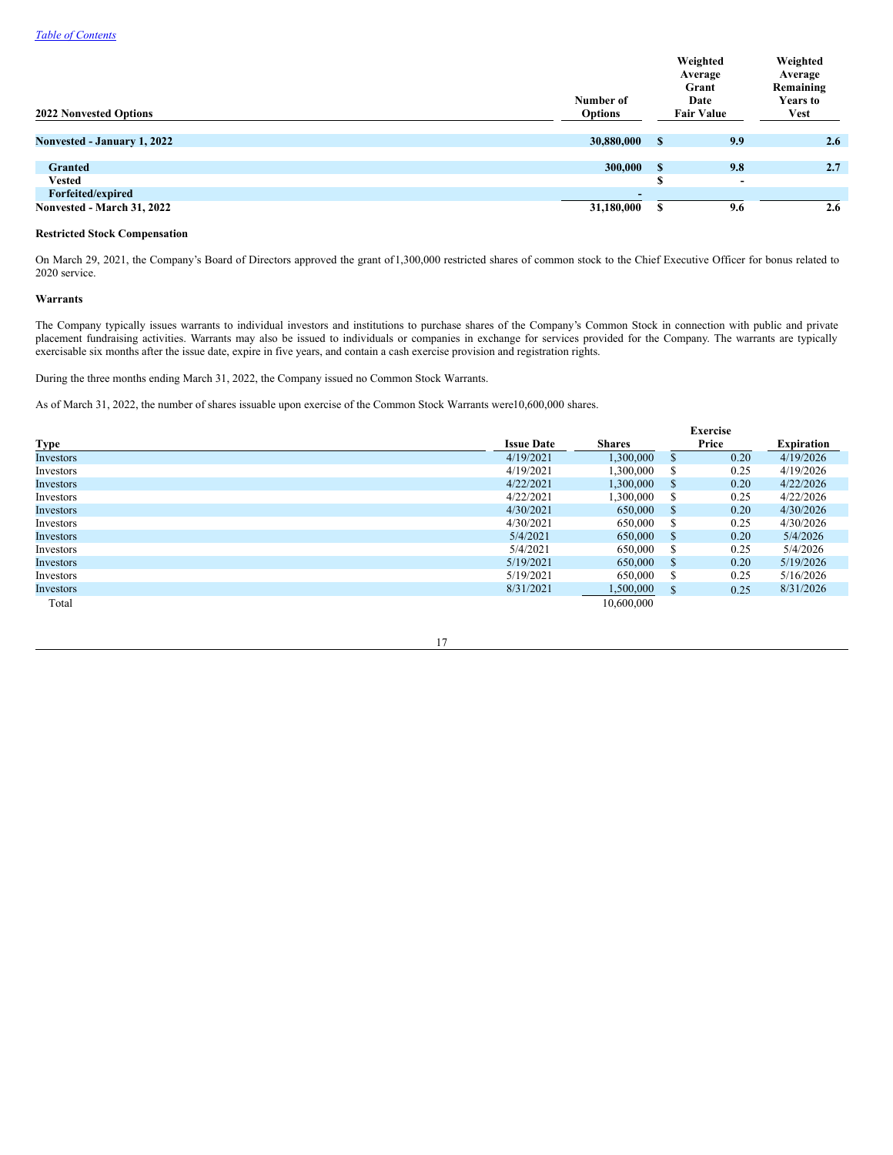| <b>2022 Nonvested Options</b>                   | Number of<br><b>Options</b> | Weighted<br>Average<br>Grant<br>Date<br><b>Fair Value</b> |                                 | Weighted<br>Average<br>Remaining<br><b>Years to</b><br><b>Vest</b> |  |
|-------------------------------------------------|-----------------------------|-----------------------------------------------------------|---------------------------------|--------------------------------------------------------------------|--|
| Nonvested - January 1, 2022                     | 30,880,000                  | - \$                                                      | 9.9                             | 2.6                                                                |  |
| Granted<br><b>Vested</b>                        | 300,000                     | - \$<br>4<br>э                                            | 9.8<br>$\overline{\phantom{0}}$ | 2.7                                                                |  |
| Forfeited/expired<br>Nonvested - March 31, 2022 | 31,180,000                  | S                                                         | 9.6                             | 2.6                                                                |  |

# **Restricted Stock Compensation**

On March 29, 2021, the Company's Board of Directors approved the grant of1,300,000 restricted shares of common stock to the Chief Executive Officer for bonus related to 2020 service.

### **Warrants**

The Company typically issues warrants to individual investors and institutions to purchase shares of the Company's Common Stock in connection with public and private placement fundraising activities. Warrants may also be issued to individuals or companies in exchange for services provided for the Company. The warrants are typically exercisable six months after the issue date, expire in five years, and contain a cash exercise provision and registration rights.

During the three months ending March 31, 2022, the Company issued no Common Stock Warrants.

As of March 31, 2022, the number of shares issuable upon exercise of the Common Stock Warrants were10,600,000 shares.

|             |                   | <b>Exercise</b> |               |       |                   |  |
|-------------|-------------------|-----------------|---------------|-------|-------------------|--|
| <b>Type</b> | <b>Issue Date</b> | <b>Shares</b>   |               | Price | <b>Expiration</b> |  |
| Investors   | 4/19/2021         | 1,300,000       |               | 0.20  | 4/19/2026         |  |
| Investors   | 4/19/2021         | 1.300.000       | S             | 0.25  | 4/19/2026         |  |
| Investors   | 4/22/2021         | 1.300,000       | <sup>\$</sup> | 0.20  | 4/22/2026         |  |
| Investors   | 4/22/2021         | 1,300,000       |               | 0.25  | 4/22/2026         |  |
| Investors   | 4/30/2021         | 650,000         | S             | 0.20  | 4/30/2026         |  |
| Investors   | 4/30/2021         | 650,000         | S             | 0.25  | 4/30/2026         |  |
| Investors   | 5/4/2021          | 650,000         | -8            | 0.20  | 5/4/2026          |  |
| Investors   | 5/4/2021          | 650,000         | -S            | 0.25  | 5/4/2026          |  |
| Investors   | 5/19/2021         | 650,000         | S             | 0.20  | 5/19/2026         |  |
| Investors   | 5/19/2021         | 650,000         | S             | 0.25  | 5/16/2026         |  |
| Investors   | 8/31/2021         | 1,500,000       |               | 0.25  | 8/31/2026         |  |
| Total       |                   | 10,600,000      |               |       |                   |  |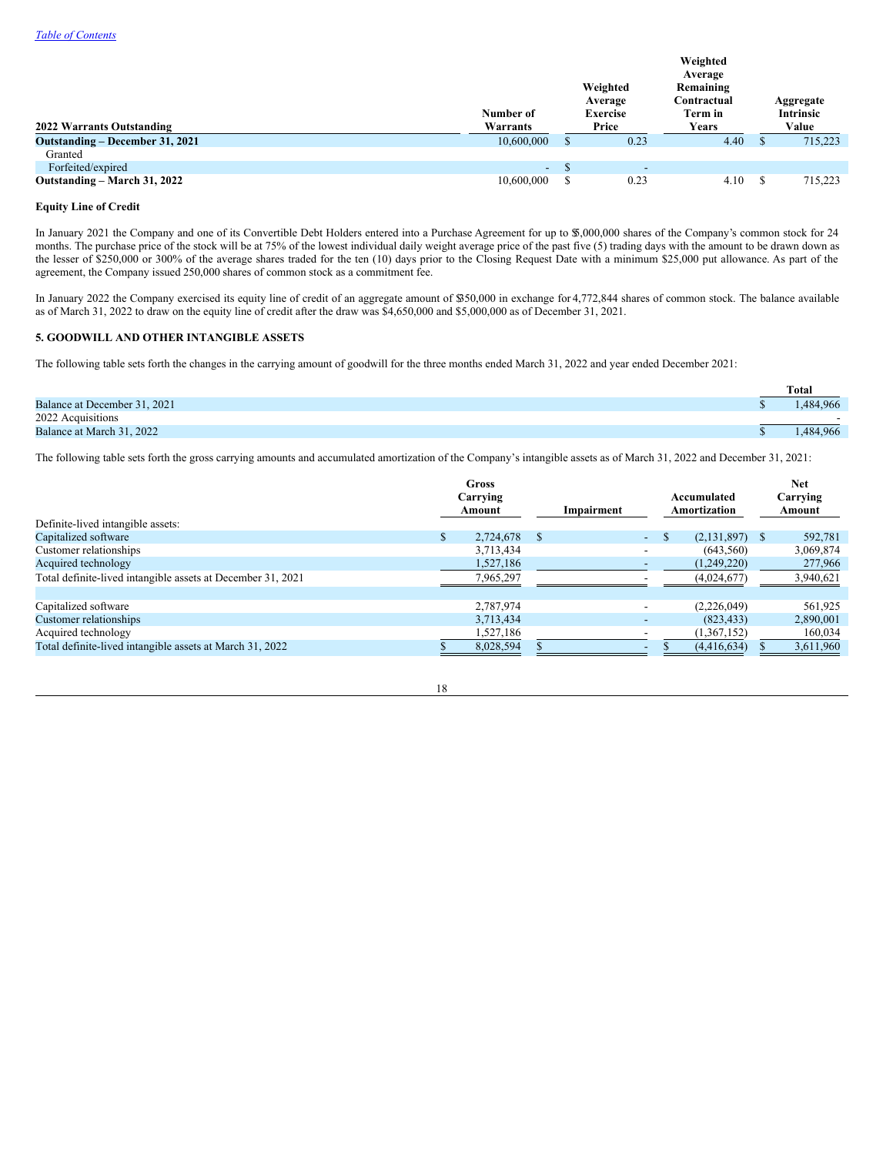|                                 | Number of  |   | Weighted<br>Average<br><b>Exercise</b> | Weighted<br>Average<br>Remaining<br>Contractual<br>Term in | Aggregate<br><b>Intrinsic</b> |
|---------------------------------|------------|---|----------------------------------------|------------------------------------------------------------|-------------------------------|
| 2022 Warrants Outstanding       | Warrants   |   | Price                                  | Years                                                      | Value                         |
| Outstanding – December 31, 2021 | 10,600,000 |   | 0.23                                   | 4.40                                                       | 715,223                       |
| Granted                         |            |   |                                        |                                                            |                               |
| Forfeited/expired               | $\sim$     | Ф | $\overline{\phantom{a}}$               |                                                            |                               |
| Outstanding – March 31, 2022    | 10,600,000 |   | 0.23                                   | 4.10                                                       | 715,223                       |

### **Equity Line of Credit**

In January 2021 the Company and one of its Convertible Debt Holders entered into a Purchase Agreement for up to \$5,000,000 shares of the Company's common stock for 24 months. The purchase price of the stock will be at 75% of the lowest individual daily weight average price of the past five (5) trading days with the amount to be drawn down as the lesser of \$250,000 or 300% of the average shares traded for the ten (10) days prior to the Closing Request Date with a minimum \$25,000 put allowance. As part of the agreement, the Company issued 250,000 shares of common stock as a commitment fee.

In January 2022 the Company exercised its equity line of credit of an aggregate amount of \$350,000 in exchange for 4,772,844 shares of common stock. The balance available as of March 31, 2022 to draw on the equity line of credit after the draw was \$4,650,000 and \$5,000,000 as of December 31, 2021.

# **5. GOODWILL AND OTHER INTANGIBLE ASSETS**

The following table sets forth the changes in the carrying amount of goodwill for the three months ended March 31, 2022 and year ended December 2021:

|                              | <b>Total</b> |
|------------------------------|--------------|
| Balance at December 31, 2021 | 1.484.966    |
| 2022 Acquisitions            |              |
| Balance at March 31, 2022    | 1.484.966    |

The following table sets forth the gross carrying amounts and accumulated amortization of the Company's intangible assets as of March 31, 2022 and December 31, 2021:

|                                                             | Gross<br>Carrying<br>Amount | Impairment               | Accumulated<br>Amortization | <b>Net</b><br>Carrying<br>Amount |
|-------------------------------------------------------------|-----------------------------|--------------------------|-----------------------------|----------------------------------|
| Definite-lived intangible assets:                           |                             |                          |                             |                                  |
| Capitalized software                                        | 2,724,678                   | $\Delta \sim 10^4$       | $(2,131,897)$ \$            | 592,781                          |
| Customer relationships                                      | 3,713,434                   | -                        | (643, 560)                  | 3,069,874                        |
| Acquired technology                                         | 1,527,186                   |                          | (1,249,220)                 | 277,966                          |
| Total definite-lived intangible assets at December 31, 2021 | 7,965,297                   |                          | (4,024,677)                 | 3,940,621                        |
| Capitalized software                                        | 2,787,974                   |                          | (2,226,049)                 | 561,925                          |
| Customer relationships                                      | 3,713,434                   | $\overline{\phantom{a}}$ | (823, 433)                  | 2,890,001                        |
| Acquired technology                                         | 1,527,186                   |                          | (1,367,152)                 | 160,034                          |
| Total definite-lived intangible assets at March 31, 2022    | 8,028,594                   |                          | (4,416,634)                 | 3,611,960                        |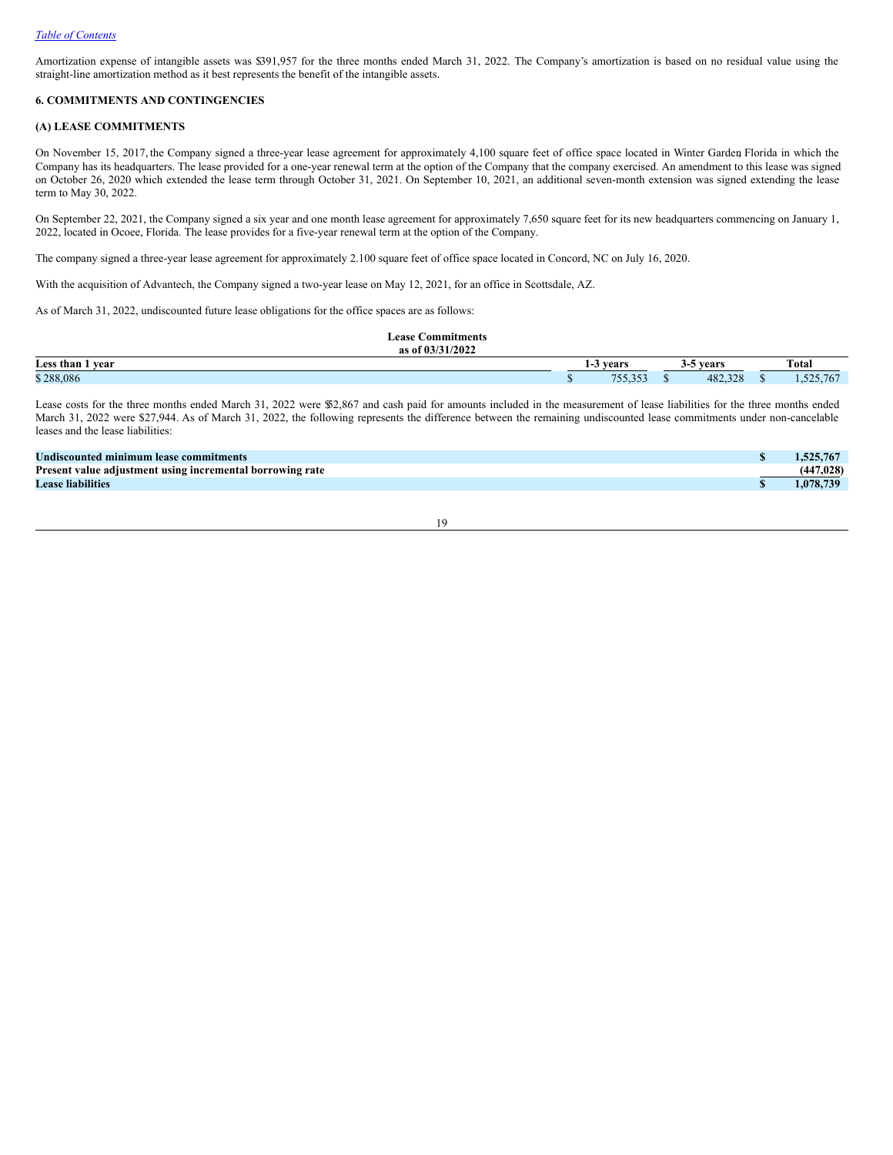Amortization expense of intangible assets was \$391,957 for the three months ended March 31, 2022. The Company's amortization is based on no residual value using the straight-line amortization method as it best represents the benefit of the intangible assets.

## **6. COMMITMENTS AND CONTINGENCIES**

# **(A) LEASE COMMITMENTS**

On November 15, 2017, the Company signed a three-year lease agreement for approximately 4,100 square feet of office space located in Winter Garden, Florida in which the Company has its headquarters. The lease provided for a one-year renewal term at the option of the Company that the company exercised. An amendment to this lease was signed on October 26, 2020 which extended the lease term through October 31, 2021. On September 10, 2021, an additional seven-month extension was signed extending the lease term to May 30, 2022.

On September 22, 2021, the Company signed a six year and one month lease agreement for approximately 7,650 square feet for its new headquarters commencing on January 1, 2022, located in Ocoee, Florida. The lease provides for a five-year renewal term at the option of the Company.

The company signed a three-year lease agreement for approximately 2.100 square feet of office space located in Concord, NC on July 16, 2020.

With the acquisition of Advantech, the Company signed a two-year lease on May 12, 2021, for an office in Scottsdale, AZ.

As of March 31, 2022, undiscounted future lease obligations for the office spaces are as follows:

#### **Lease Commitments as of 03/31/2022**

| Less than<br>vear | vears<br>--                   |  | 5 vears |  | <b>Total</b> |  |
|-------------------|-------------------------------|--|---------|--|--------------|--|
| \$288,086         | 754<br>- 353<br>, , , , , , , |  | 482.326 |  | 1,525,767    |  |
|                   |                               |  |         |  |              |  |

Lease costs for the three months ended March 31, 2022 were \$2,867 and cash paid for amounts included in the measurement of lease liabilities for the three months ended March 31, 2022 were \$27,944. As of March 31, 2022, the following represents the difference between the remaining undiscounted lease commitments under non-cancelable leases and the lease liabilities:

| Undiscounted minimum lease commitments                    | 1.525.767  |
|-----------------------------------------------------------|------------|
| Present value adjustment using incremental borrowing rate | (447, 028) |
| <b>Lease liabilities</b>                                  | 1.078.739  |
|                                                           |            |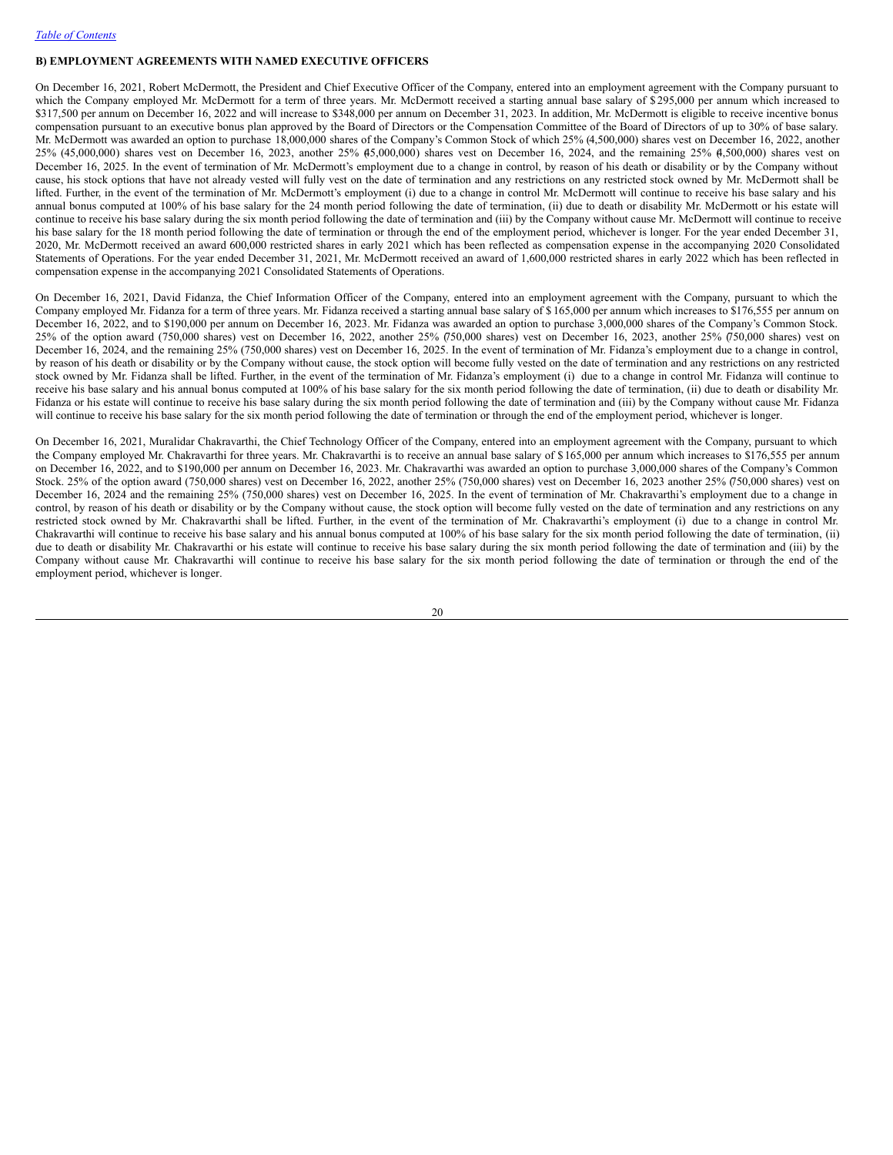### **B) EMPLOYMENT AGREEMENTS WITH NAMED EXECUTIVE OFFICERS**

On December 16, 2021, Robert McDermott, the President and Chief Executive Officer of the Company, entered into an employment agreement with the Company pursuant to which the Company employed Mr. McDermott for a term of three years. Mr. McDermott received a starting annual base salary of \$295,000 per annum which increased to \$317,500 per annum on December 16, 2022 and will increase to \$348,000 per annum on December 31, 2023. In addition, Mr. McDermott is eligible to receive incentive bonus compensation pursuant to an executive bonus plan approved by the Board of Directors or the Compensation Committee of the Board of Directors of up to 30% of base salary. Mr. McDermott was awarded an option to purchase 18,000,000 shares of the Company's Common Stock of which 25% (4,500,000) shares vest on December 16, 2022, another 25% (45,000,000) shares vest on December 16, 2023, another 25% (45,000,000) shares vest on December 16, 2024, and the remaining 25% (4,500,000) shares vest on December 16, 2025. In the event of termination of Mr. McDermott's employment due to a change in control, by reason of his death or disability or by the Company without cause, his stock options that have not already vested will fully vest on the date of termination and any restrictions on any restricted stock owned by Mr. McDermott shall be lifted. Further, in the event of the termination of Mr. McDermott's employment (i) due to a change in control Mr. McDermott will continue to receive his base salary and his annual bonus computed at 100% of his base salary for the 24 month period following the date of termination, (ii) due to death or disability Mr. McDermott or his estate will continue to receive his base salary during the six month period following the date of termination and (iii) by the Company without cause Mr. McDermott will continue to receive his base salary for the 18 month period following the date of termination or through the end of the employment period, whichever is longer. For the year ended December 31, 2020, Mr. McDermott received an award 600,000 restricted shares in early 2021 which has been reflected as compensation expense in the accompanying 2020 Consolidated Statements of Operations. For the year ended December 31, 2021, Mr. McDermott received an award of 1,600,000 restricted shares in early 2022 which has been reflected in compensation expense in the accompanying 2021 Consolidated Statements of Operations.

On December 16, 2021, David Fidanza, the Chief Information Officer of the Company, entered into an employment agreement with the Company, pursuant to which the Company employed Mr. Fidanza for a term of three years. Mr. Fidanza received a starting annual base salary of \$165,000 per annum which increases to \$176,555 per annum on December 16, 2022, and to \$190,000 per annum on December 16, 2023. Mr. Fidanza was awarded an option to purchase 3,000,000 shares of the Company's Common Stock. 25% of the option award (750,000 shares) vest on December 16, 2022, another 25% (750,000 shares) vest on December 16, 2023, another 25% (750,000 shares) vest on December 16, 2024, and the remaining 25% (750,000 shares) vest on December 16, 2025. In the event of termination of Mr. Fidanza's employment due to a change in control, by reason of his death or disability or by the Company without cause, the stock option will become fully vested on the date of termination and any restrictions on any restricted stock owned by Mr. Fidanza shall be lifted. Further, in the event of the termination of Mr. Fidanza's employment (i) due to a change in control Mr. Fidanza will continue to receive his base salary and his annual bonus computed at 100% of his base salary for the six month period following the date of termination, (ii) due to death or disability Mr. Fidanza or his estate will continue to receive his base salary during the six month period following the date of termination and (iii) by the Company without cause Mr. Fidanza will continue to receive his base salary for the six month period following the date of termination or through the end of the employment period, whichever is longer.

On December 16, 2021, Muralidar Chakravarthi, the Chief Technology Officer of the Company, entered into an employment agreement with the Company, pursuant to which the Company employed Mr. Chakravarthi for three years. Mr. Chakravarthi is to receive an annual base salary of \$165,000 per annum which increases to \$176,555 per annum on December 16, 2022, and to \$190,000 per annum on December 16, 2023. Mr. Chakravarthi was awarded an option to purchase 3,000,000 shares of the Company's Common Stock. 25% of the option award (750,000 shares) vest on December 16, 2022, another 25% (750,000 shares) vest on December 16, 2023 another 25% (750,000 shares) vest on December 16, 2024 and the remaining 25% (750,000 shares) vest on December 16, 2025. In the event of termination of Mr. Chakravarthi's employment due to a change in control, by reason of his death or disability or by the Company without cause, the stock option will become fully vested on the date of termination and any restrictions on any restricted stock owned by Mr. Chakravarthi shall be lifted. Further, in the event of the termination of Mr. Chakravarthi's employment (i) due to a change in control Mr. Chakravarthi will continue to receive his base salary and his annual bonus computed at 100% of his base salary for the six month period following the date of termination, (ii) due to death or disability Mr. Chakravarthi or his estate will continue to receive his base salary during the six month period following the date of termination and (iii) by the Company without cause Mr. Chakravarthi will continue to receive his base salary for the six month period following the date of termination or through the end of the employment period, whichever is longer.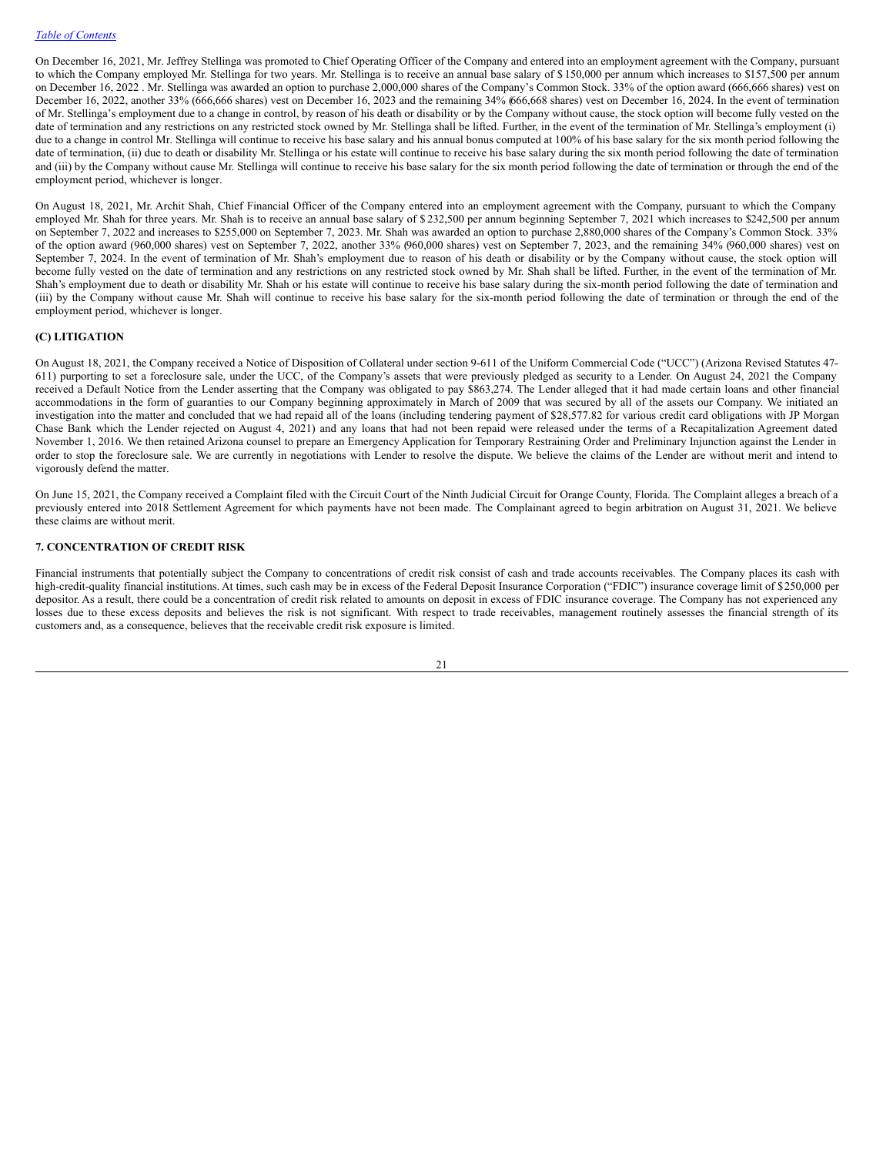On December 16, 2021, Mr. Jeffrey Stellinga was promoted to Chief Operating Officer of the Company and entered into an employment agreement with the Company, pursuant to which the Company employed Mr. Stellinga for two years. Mr. Stellinga is to receive an annual base salary of \$150,000 per annum which increases to \$157,500 per annum on December 16, 2022 . Mr. Stellinga was awarded an option to purchase 2,000,000 shares of the Company's Common Stock. 33% of the option award (666,666 shares) vest on December 16, 2022, another 33% (666,666 shares) vest on December 16, 2023 and the remaining 34% (666,668 shares) vest on December 16, 2024. In the event of termination of Mr. Stellinga's employment due to a change in control, by reason of his death or disability or by the Company without cause, the stock option will become fully vested on the date of termination and any restrictions on any restricted stock owned by Mr. Stellinga shall be lifted. Further, in the event of the termination of Mr. Stellinga's employment (i) due to a change in control Mr. Stellinga will continue to receive his base salary and his annual bonus computed at 100% of his base salary for the six month period following the date of termination, (ii) due to death or disability Mr. Stellinga or his estate will continue to receive his base salary during the six month period following the date of termination and (iii) by the Company without cause Mr. Stellinga will continue to receive his base salary for the six month period following the date of termination or through the end of the employment period, whichever is longer.

On August 18, 2021, Mr. Archit Shah, Chief Financial Officer of the Company entered into an employment agreement with the Company, pursuant to which the Company employed Mr. Shah for three years. Mr. Shah is to receive an annual base salary of \$232,500 per annum beginning September 7, 2021 which increases to \$242,500 per annum on September 7, 2022 and increases to \$255,000 on September 7, 2023. Mr. Shah was awarded an option to purchase 2,880,000 shares of the Company's Common Stock. 33% of the option award (960,000 shares) vest on September 7, 2022, another 33% (960,000 shares) vest on September 7, 2023, and the remaining 34% (960,000 shares) vest on September 7, 2024. In the event of termination of Mr. Shah's employment due to reason of his death or disability or by the Company without cause, the stock option will become fully vested on the date of termination and any restrictions on any restricted stock owned by Mr. Shah shall be lifted. Further, in the event of the termination of Mr. Shah's employment due to death or disability Mr. Shah or his estate will continue to receive his base salary during the six-month period following the date of termination and (iii) by the Company without cause Mr. Shah will continue to receive his base salary for the six-month period following the date of termination or through the end of the employment period, whichever is longer.

### **(C) LITIGATION**

On August 18, 2021, the Company received a Notice of Disposition of Collateral under section 9-611 of the Uniform Commercial Code ("UCC") (Arizona Revised Statutes 47- 611) purporting to set a foreclosure sale, under the UCC, of the Company's assets that were previously pledged as security to a Lender. On August 24, 2021 the Company received a Default Notice from the Lender asserting that the Company was obligated to pay \$863,274. The Lender alleged that it had made certain loans and other financial accommodations in the form of guaranties to our Company beginning approximately in March of 2009 that was secured by all of the assets our Company. We initiated an investigation into the matter and concluded that we had repaid all of the loans (including tendering payment of \$28,577.82 for various credit card obligations with JP Morgan Chase Bank which the Lender rejected on August 4, 2021) and any loans that had not been repaid were released under the terms of a Recapitalization Agreement dated November 1, 2016. We then retained Arizona counsel to prepare an Emergency Application for Temporary Restraining Order and Preliminary Injunction against the Lender in order to stop the foreclosure sale. We are currently in negotiations with Lender to resolve the dispute. We believe the claims of the Lender are without merit and intend to vigorously defend the matter.

On June 15, 2021, the Company received a Complaint filed with the Circuit Court of the Ninth Judicial Circuit for Orange County, Florida. The Complaint alleges a breach of a previously entered into 2018 Settlement Agreement for which payments have not been made. The Complainant agreed to begin arbitration on August 31, 2021. We believe these claims are without merit.

# **7. CONCENTRATION OF CREDIT RISK**

Financial instruments that potentially subject the Company to concentrations of credit risk consist of cash and trade accounts receivables. The Company places its cash with high-credit-quality financial institutions. At times, such cash may be in excess of the Federal Deposit Insurance Corporation ("FDIC") insurance coverage limit of \$250,000 per depositor. As a result, there could be a concentration of credit risk related to amounts on deposit in excess of FDIC insurance coverage. The Company has not experienced any losses due to these excess deposits and believes the risk is not significant. With respect to trade receivables, management routinely assesses the financial strength of its customers and, as a consequence, believes that the receivable credit risk exposure is limited.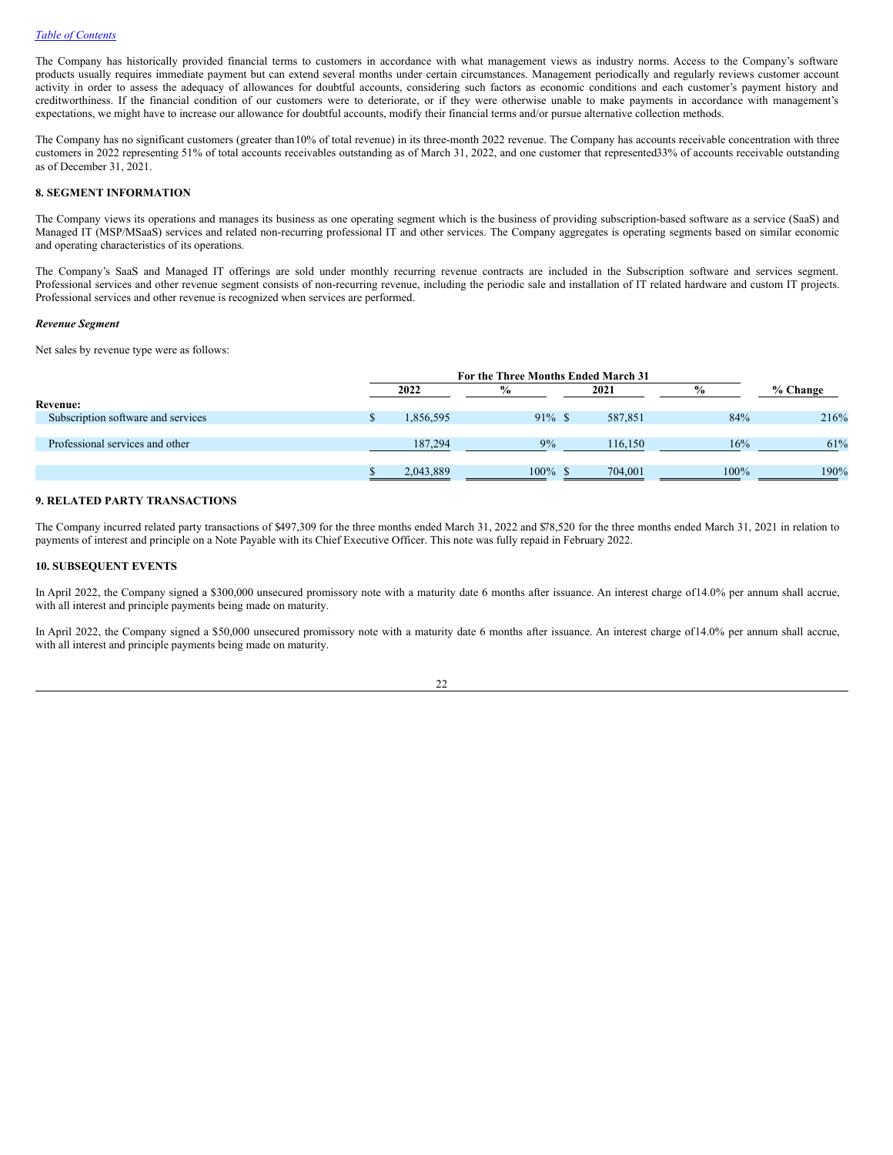The Company has historically provided financial terms to customers in accordance with what management views as industry norms. Access to the Company's software products usually requires immediate payment but can extend several months under certain circumstances. Management periodically and regularly reviews customer account activity in order to assess the adequacy of allowances for doubtful accounts, considering such factors as economic conditions and each customer's payment history and creditworthiness. If the financial condition of our customers were to deteriorate, or if they were otherwise unable to make payments in accordance with management's expectations, we might have to increase our allowance for doubtful accounts, modify their financial terms and/or pursue alternative collection methods.

The Company has no significant customers (greater than 10% of total revenue) in its three-month 2022 revenue. The Company has accounts receivable concentration with three customers in 2022 representing 51% of total accounts receivables outstanding as of March 31, 2022, and one customer that represented33% of accounts receivable outstanding as of December 31, 2021.

# **8. SEGMENT INFORMATION**

The Company views its operations and manages its business as one operating segment which is the business of providing subscription-based software as a service (SaaS) and Managed IT (MSP/MSaaS) services and related non-recurring professional IT and other services. The Company aggregates is operating segments based on similar economic and operating characteristics of its operations.

The Company's SaaS and Managed IT offerings are sold under monthly recurring revenue contracts are included in the Subscription software and services segment. Professional services and other revenue segment consists of non-recurring revenue, including the periodic sale and installation of IT related hardware and custom IT projects. Professional services and other revenue is recognized when services are performed.

### *Revenue Segment*

Net sales by revenue type were as follows:

|                                    |           | For the Three Months Ended March 31 |         |               |          |
|------------------------------------|-----------|-------------------------------------|---------|---------------|----------|
|                                    | 2022      | $\frac{0}{0}$                       | 2021    | $\frac{0}{0}$ | % Change |
| <b>Revenue:</b>                    |           |                                     |         |               |          |
| Subscription software and services | 1,856,595 | $91\%$ \$                           | 587,851 | 84%           | 216%     |
|                                    |           |                                     |         |               |          |
| Professional services and other    | 187.294   | 9%                                  | 116.150 | 16%           | 61%      |
|                                    |           |                                     |         |               |          |
|                                    | 2,043,889 | $100\%$                             | 704.001 | 100%          | 190%     |
|                                    |           |                                     |         |               |          |

# **9. RELATED PARTY TRANSACTIONS**

The Company incurred related party transactions of \$497,309 for the three months ended March 31, 2022 and \$78,520 for the three months ended March 31, 2021 in relation to payments of interest and principle on a Note Payable with its Chief Executive Officer. This note was fully repaid in February 2022.

# **10. SUBSEQUENT EVENTS**

In April 2022, the Company signed a \$300,000 unsecured promissory note with a maturity date 6 months after issuance. An interest charge of14.0% per annum shall accrue, with all interest and principle payments being made on maturity.

In April 2022, the Company signed a \$50,000 unsecured promissory note with a maturity date 6 months after issuance. An interest charge of 14.0% per annum shall accrue, with all interest and principle payments being made on maturity.

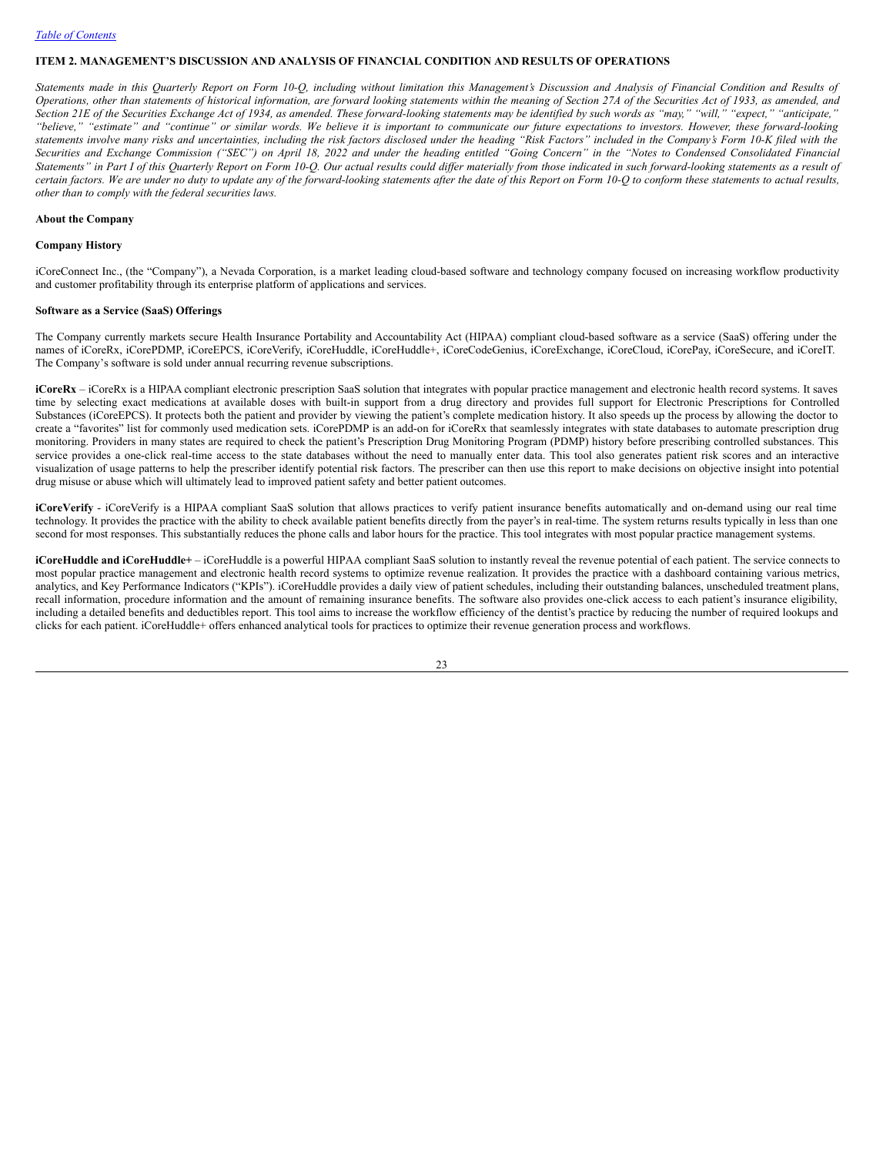### <span id="page-22-0"></span>**ITEM 2. MANAGEMENT'S DISCUSSION AND ANALYSIS OF FINANCIAL CONDITION AND RESULTS OF OPERATIONS**

Statements made in this Quarterly Report on Form 10-Q, including without limitation this Management's Discussion and Analysis of Financial Condition and Results of Operations, other than statements of historical information, are forward looking statements within the meaning of Section 27A of the Securities Act of 1933, as amended, and Section 21E of the Securities Exchange Act of 1934, as amended. These forward-looking statements may be identified by such words as "may," "will," "expect," "anticipate," "believe," "estimate" and "continue" or similar words. We believe it is important to communicate our future expectations to investors. However, these forward-looking statements involve many risks and uncertainties, including the risk factors disclosed under the heading "Risk Factors" included in the Company's Form 10-K filed with the Securities and Exchange Commission ("SEC") on April 18, 2022 and under the heading entitled "Going Concern" in the "Notes to Condensed Consolidated Financial Statements" in Part I of this Quarterly Report on Form 10-Q. Our actual results could differ materially from those indicated in such forward-looking statements as a result of certain factors. We are under no duty to update any of the forward-looking statements after the date of this Report on Form 10-Q to conform these statements to actual results, *other than to comply with the federal securities laws.*

#### **About the Company**

#### **Company History**

iCoreConnect Inc., (the "Company"), a Nevada Corporation, is a market leading cloud-based software and technology company focused on increasing workflow productivity and customer profitability through its enterprise platform of applications and services.

### **Software as a Service (SaaS) Offerings**

The Company currently markets secure Health Insurance Portability and Accountability Act (HIPAA) compliant cloud-based software as a service (SaaS) offering under the names of iCoreRx, iCorePDMP, iCoreEPCS, iCoreVerify, iCoreHuddle, iCoreHuddle+, iCoreCodeGenius, iCoreExchange, iCoreCloud, iCorePay, iCoreSecure, and iCoreIT. The Company's software is sold under annual recurring revenue subscriptions.

**iCoreRx** – iCoreRx is a HIPAA compliant electronic prescription SaaS solution that integrates with popular practice management and electronic health record systems. It saves time by selecting exact medications at available doses with built-in support from a drug directory and provides full support for Electronic Prescriptions for Controlled Substances (iCoreEPCS). It protects both the patient and provider by viewing the patient's complete medication history. It also speeds up the process by allowing the doctor to create a "favorites" list for commonly used medication sets. iCorePDMP is an add-on for iCoreRx that seamlessly integrates with state databases to automate prescription drug monitoring. Providers in many states are required to check the patient's Prescription Drug Monitoring Program (PDMP) history before prescribing controlled substances. This service provides a one-click real-time access to the state databases without the need to manually enter data. This tool also generates patient risk scores and an interactive visualization of usage patterns to help the prescriber identify potential risk factors. The prescriber can then use this report to make decisions on objective insight into potential drug misuse or abuse which will ultimately lead to improved patient safety and better patient outcomes.

**iCoreVerify** - iCoreVerify is a HIPAA compliant SaaS solution that allows practices to verify patient insurance benefits automatically and on-demand using our real time technology. It provides the practice with the ability to check available patient benefits directly from the payer's in real-time. The system returns results typically in less than one second for most responses. This substantially reduces the phone calls and labor hours for the practice. This tool integrates with most popular practice management systems.

**iCoreHuddle and iCoreHuddle+** – iCoreHuddle is a powerful HIPAA compliant SaaS solution to instantly reveal the revenue potential of each patient. The service connects to most popular practice management and electronic health record systems to optimize revenue realization. It provides the practice with a dashboard containing various metrics, analytics, and Key Performance Indicators ("KPIs"). iCoreHuddle provides a daily view of patient schedules, including their outstanding balances, unscheduled treatment plans, recall information, procedure information and the amount of remaining insurance benefits. The software also provides one-click access to each patient's insurance eligibility, including a detailed benefits and deductibles report. This tool aims to increase the workflow efficiency of the dentist's practice by reducing the number of required lookups and clicks for each patient. iCoreHuddle+ offers enhanced analytical tools for practices to optimize their revenue generation process and workflows.

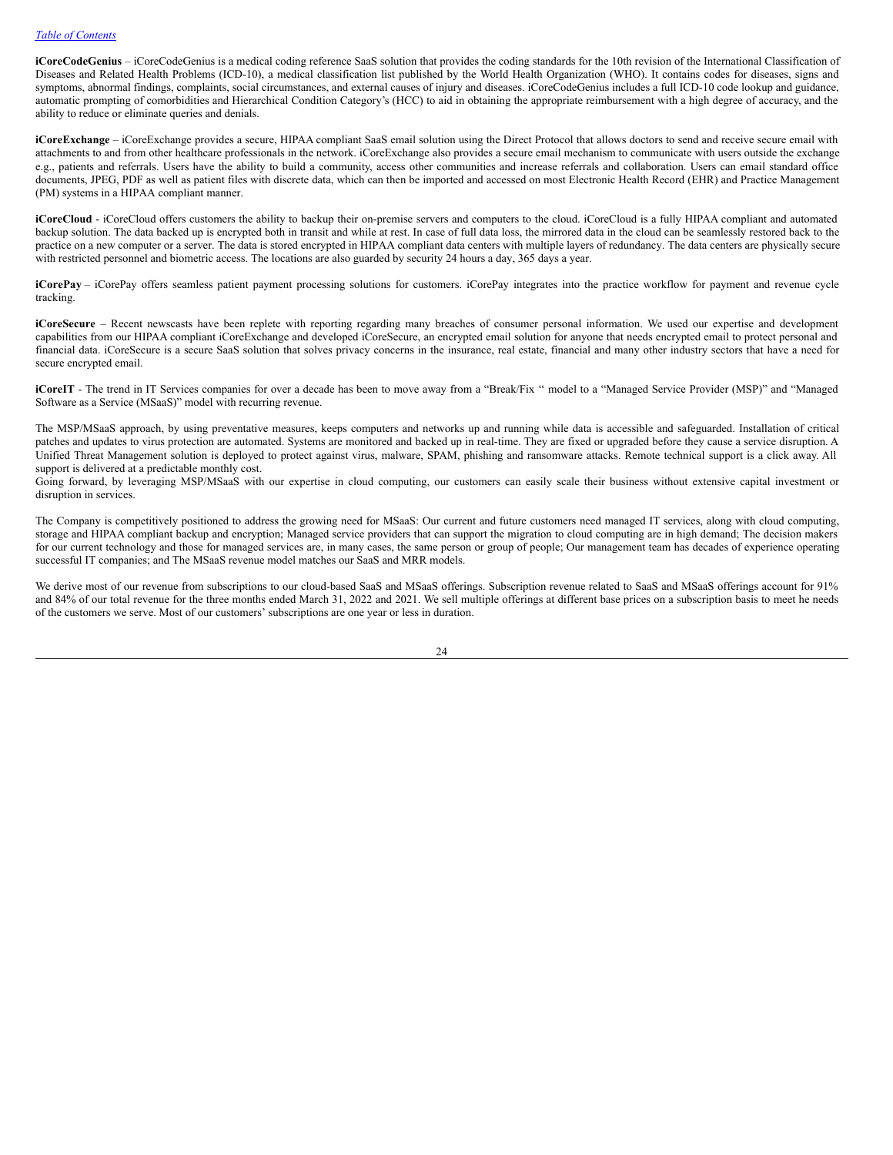**iCoreCodeGenius** – iCoreCodeGenius is a medical coding reference SaaS solution that provides the coding standards for the 10th revision of the International Classification of Diseases and Related Health Problems (ICD-10), a medical classification list published by the World Health Organization (WHO). It contains codes for diseases, signs and symptoms, abnormal findings, complaints, social circumstances, and external causes of injury and diseases. iCoreCodeGenius includes a full ICD-10 code lookup and guidance, automatic prompting of comorbidities and Hierarchical Condition Category's (HCC) to aid in obtaining the appropriate reimbursement with a high degree of accuracy, and the ability to reduce or eliminate queries and denials.

**iCoreExchange** – iCoreExchange provides a secure, HIPAA compliant SaaS email solution using the Direct Protocol that allows doctors to send and receive secure email with attachments to and from other healthcare professionals in the network. iCoreExchange also provides a secure email mechanism to communicate with users outside the exchange e.g., patients and referrals. Users have the ability to build a community, access other communities and increase referrals and collaboration. Users can email standard office documents, JPEG, PDF as well as patient files with discrete data, which can then be imported and accessed on most Electronic Health Record (EHR) and Practice Management (PM) systems in a HIPAA compliant manner.

**iCoreCloud** - iCoreCloud offers customers the ability to backup their on-premise servers and computers to the cloud. iCoreCloud is a fully HIPAA compliant and automated backup solution. The data backed up is encrypted both in transit and while at rest. In case of full data loss, the mirrored data in the cloud can be seamlessly restored back to the practice on a new computer or a server. The data is stored encrypted in HIPAA compliant data centers with multiple layers of redundancy. The data centers are physically secure with restricted personnel and biometric access. The locations are also guarded by security 24 hours a day, 365 days a year.

**iCorePay** – iCorePay offers seamless patient payment processing solutions for customers. iCorePay integrates into the practice workflow for payment and revenue cycle tracking.

**iCoreSecure** – Recent newscasts have been replete with reporting regarding many breaches of consumer personal information. We used our expertise and development capabilities from our HIPAA compliant iCoreExchange and developed iCoreSecure, an encrypted email solution for anyone that needs encrypted email to protect personal and financial data. iCoreSecure is a secure SaaS solution that solves privacy concerns in the insurance, real estate, financial and many other industry sectors that have a need for secure encrypted email.

**iCoreIT** - The trend in IT Services companies for over a decade has been to move away from a "Break/Fix '' model to a "Managed Service Provider (MSP)" and "Managed Software as a Service (MSaaS)" model with recurring revenue.

The MSP/MSaaS approach, by using preventative measures, keeps computers and networks up and running while data is accessible and safeguarded. Installation of critical patches and updates to virus protection are automated. Systems are monitored and backed up in real-time. They are fixed or upgraded before they cause a service disruption. A Unified Threat Management solution is deployed to protect against virus, malware, SPAM, phishing and ransomware attacks. Remote technical support is a click away. All support is delivered at a predictable monthly cost.

Going forward, by leveraging MSP/MSaaS with our expertise in cloud computing, our customers can easily scale their business without extensive capital investment or disruption in services.

The Company is competitively positioned to address the growing need for MSaaS: Our current and future customers need managed IT services, along with cloud computing, storage and HIPAA compliant backup and encryption; Managed service providers that can support the migration to cloud computing are in high demand; The decision makers for our current technology and those for managed services are, in many cases, the same person or group of people; Our management team has decades of experience operating successful IT companies; and The MSaaS revenue model matches our SaaS and MRR models.

We derive most of our revenue from subscriptions to our cloud-based SaaS and MSaaS offerings. Subscription revenue related to SaaS and MSaaS offerings account for 91% and 84% of our total revenue for the three months ended March 31, 2022 and 2021. We sell multiple offerings at different base prices on a subscription basis to meet he needs of the customers we serve. Most of our customers' subscriptions are one year or less in duration.

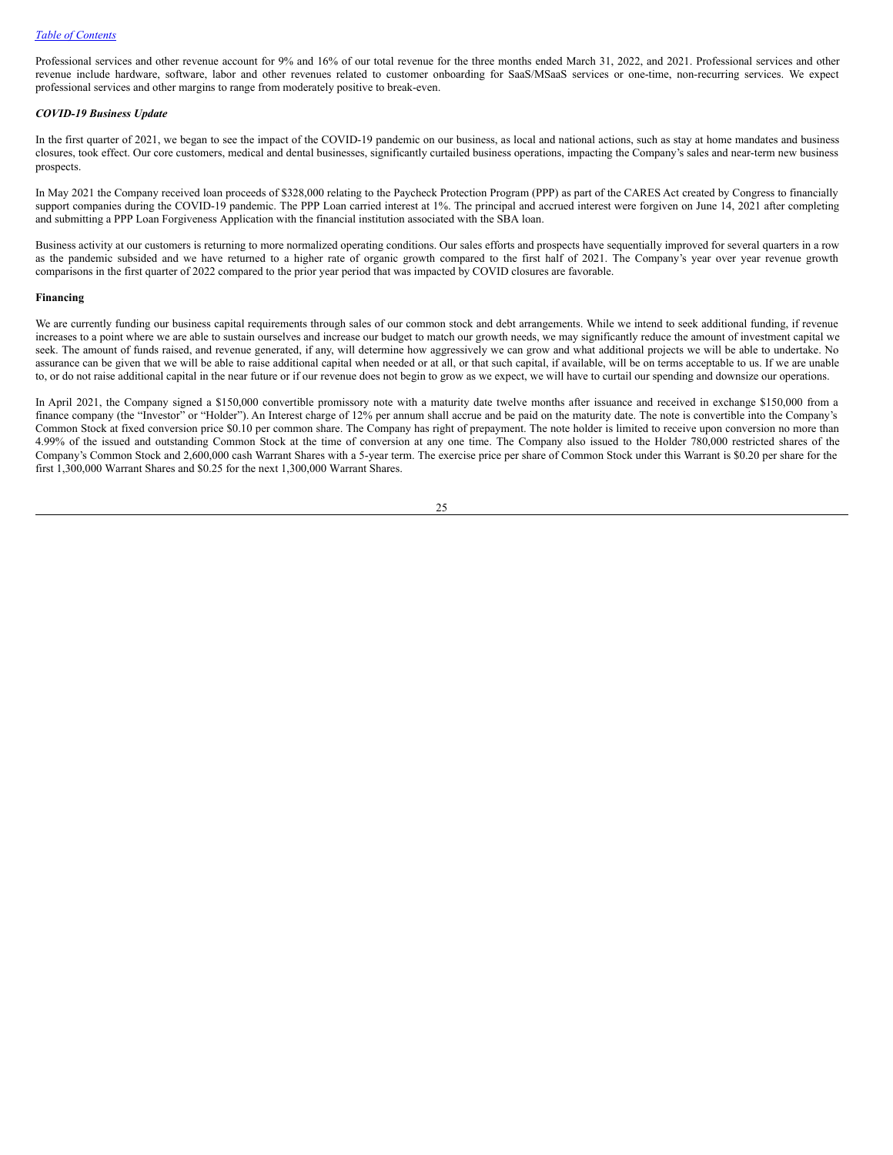### *Table of [Contents](#page-1-0)*

Professional services and other revenue account for 9% and 16% of our total revenue for the three months ended March 31, 2022, and 2021. Professional services and other revenue include hardware, software, labor and other revenues related to customer onboarding for SaaS/MSaaS services or one-time, non-recurring services. We expect professional services and other margins to range from moderately positive to break-even.

#### *COVID-19 Business Update*

In the first quarter of 2021, we began to see the impact of the COVID-19 pandemic on our business, as local and national actions, such as stay at home mandates and business closures, took effect. Our core customers, medical and dental businesses, significantly curtailed business operations, impacting the Company's sales and near-term new business prospects.

In May 2021 the Company received loan proceeds of \$328,000 relating to the Paycheck Protection Program (PPP) as part of the CARES Act created by Congress to financially support companies during the COVID-19 pandemic. The PPP Loan carried interest at 1%. The principal and accrued interest were forgiven on June 14, 2021 after completing and submitting a PPP Loan Forgiveness Application with the financial institution associated with the SBA loan.

Business activity at our customers is returning to more normalized operating conditions. Our sales efforts and prospects have sequentially improved for several quarters in a row as the pandemic subsided and we have returned to a higher rate of organic growth compared to the first half of 2021. The Company's year over year revenue growth comparisons in the first quarter of 2022 compared to the prior year period that was impacted by COVID closures are favorable.

### **Financing**

We are currently funding our business capital requirements through sales of our common stock and debt arrangements. While we intend to seek additional funding, if revenue increases to a point where we are able to sustain ourselves and increase our budget to match our growth needs, we may significantly reduce the amount of investment capital we seek. The amount of funds raised, and revenue generated, if any, will determine how aggressively we can grow and what additional projects we will be able to undertake. No assurance can be given that we will be able to raise additional capital when needed or at all, or that such capital, if available, will be on terms acceptable to us. If we are unable to, or do not raise additional capital in the near future or if our revenue does not begin to grow as we expect, we will have to curtail our spending and downsize our operations.

In April 2021, the Company signed a \$150,000 convertible promissory note with a maturity date twelve months after issuance and received in exchange \$150,000 from a finance company (the "Investor" or "Holder"). An Interest charge of 12% per annum shall accrue and be paid on the maturity date. The note is convertible into the Company's Common Stock at fixed conversion price \$0.10 per common share. The Company has right of prepayment. The note holder is limited to receive upon conversion no more than 4.99% of the issued and outstanding Common Stock at the time of conversion at any one time. The Company also issued to the Holder 780,000 restricted shares of the Company's Common Stock and 2,600,000 cash Warrant Shares with a 5-year term. The exercise price per share of Common Stock under this Warrant is \$0.20 per share for the first 1,300,000 Warrant Shares and \$0.25 for the next 1,300,000 Warrant Shares.

$$
25\quad
$$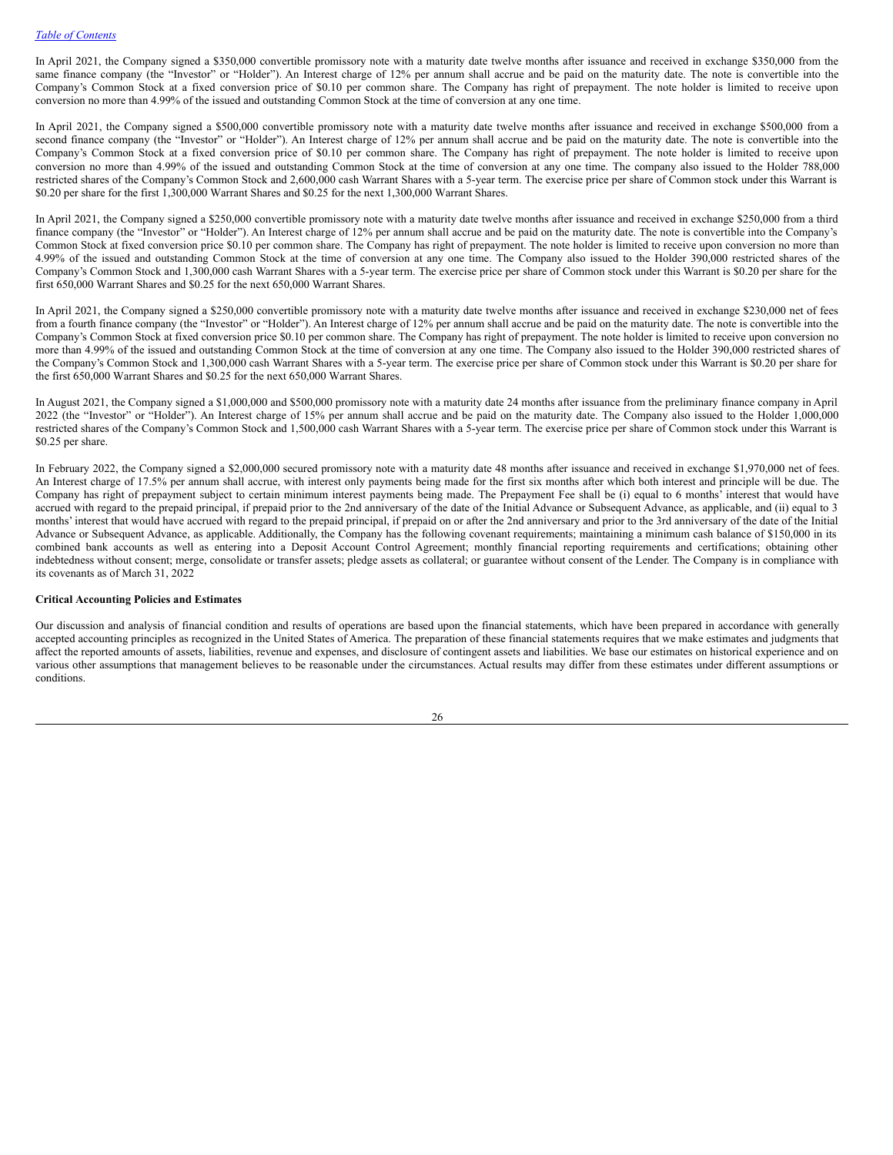In April 2021, the Company signed a \$350,000 convertible promissory note with a maturity date twelve months after issuance and received in exchange \$350,000 from the same finance company (the "Investor" or "Holder"). An Interest charge of 12% per annum shall accrue and be paid on the maturity date. The note is convertible into the Company's Common Stock at a fixed conversion price of \$0.10 per common share. The Company has right of prepayment. The note holder is limited to receive upon conversion no more than 4.99% of the issued and outstanding Common Stock at the time of conversion at any one time.

In April 2021, the Company signed a \$500,000 convertible promissory note with a maturity date twelve months after issuance and received in exchange \$500,000 from a second finance company (the "Investor" or "Holder"). An Interest charge of 12% per annum shall accrue and be paid on the maturity date. The note is convertible into the Company's Common Stock at a fixed conversion price of \$0.10 per common share. The Company has right of prepayment. The note holder is limited to receive upon conversion no more than 4.99% of the issued and outstanding Common Stock at the time of conversion at any one time. The company also issued to the Holder 788,000 restricted shares of the Company's Common Stock and 2,600,000 cash Warrant Shares with a 5-year term. The exercise price per share of Common stock under this Warrant is \$0.20 per share for the first 1,300,000 Warrant Shares and \$0.25 for the next 1,300,000 Warrant Shares.

In April 2021, the Company signed a \$250,000 convertible promissory note with a maturity date twelve months after issuance and received in exchange \$250,000 from a third finance company (the "Investor" or "Holder"). An Interest charge of 12% per annum shall accrue and be paid on the maturity date. The note is convertible into the Company's Common Stock at fixed conversion price \$0.10 per common share. The Company has right of prepayment. The note holder is limited to receive upon conversion no more than 4.99% of the issued and outstanding Common Stock at the time of conversion at any one time. The Company also issued to the Holder 390,000 restricted shares of the Company's Common Stock and 1,300,000 cash Warrant Shares with a 5-year term. The exercise price per share of Common stock under this Warrant is \$0.20 per share for the first 650,000 Warrant Shares and \$0.25 for the next 650,000 Warrant Shares.

In April 2021, the Company signed a \$250,000 convertible promissory note with a maturity date twelve months after issuance and received in exchange \$230,000 net of fees from a fourth finance company (the "Investor" or "Holder"). An Interest charge of 12% per annum shall accrue and be paid on the maturity date. The note is convertible into the Company's Common Stock at fixed conversion price \$0.10 per common share. The Company has right of prepayment. The note holder is limited to receive upon conversion no more than 4.99% of the issued and outstanding Common Stock at the time of conversion at any one time. The Company also issued to the Holder 390,000 restricted shares of the Company's Common Stock and 1,300,000 cash Warrant Shares with a 5-year term. The exercise price per share of Common stock under this Warrant is \$0.20 per share for the first 650,000 Warrant Shares and \$0.25 for the next 650,000 Warrant Shares.

In August 2021, the Company signed a \$1,000,000 and \$500,000 promissory note with a maturity date 24 months after issuance from the preliminary finance company in April 2022 (the "Investor" or "Holder"). An Interest charge of 15% per annum shall accrue and be paid on the maturity date. The Company also issued to the Holder 1,000,000 restricted shares of the Company's Common Stock and 1,500,000 cash Warrant Shares with a 5-year term. The exercise price per share of Common stock under this Warrant is \$0.25 per share.

In February 2022, the Company signed a \$2,000,000 secured promissory note with a maturity date 48 months after issuance and received in exchange \$1,970,000 net of fees. An Interest charge of 17.5% per annum shall accrue, with interest only payments being made for the first six months after which both interest and principle will be due. The Company has right of prepayment subject to certain minimum interest payments being made. The Prepayment Fee shall be (i) equal to 6 months' interest that would have accrued with regard to the prepaid principal, if prepaid prior to the 2nd anniversary of the date of the Initial Advance or Subsequent Advance, as applicable, and (ii) equal to 3 months' interest that would have accrued with regard to the prepaid principal, if prepaid on or after the 2nd anniversary and prior to the 3rd anniversary of the date of the Initial Advance or Subsequent Advance, as applicable. Additionally, the Company has the following covenant requirements; maintaining a minimum cash balance of \$150,000 in its combined bank accounts as well as entering into a Deposit Account Control Agreement; monthly financial reporting requirements and certifications; obtaining other indebtedness without consent; merge, consolidate or transfer assets; pledge assets as collateral; or guarantee without consent of the Lender. The Company is in compliance with its covenants as of March 31, 2022

### **Critical Accounting Policies and Estimates**

Our discussion and analysis of financial condition and results of operations are based upon the financial statements, which have been prepared in accordance with generally accepted accounting principles as recognized in the United States of America. The preparation of these financial statements requires that we make estimates and judgments that affect the reported amounts of assets, liabilities, revenue and expenses, and disclosure of contingent assets and liabilities. We base our estimates on historical experience and on various other assumptions that management believes to be reasonable under the circumstances. Actual results may differ from these estimates under different assumptions or conditions.

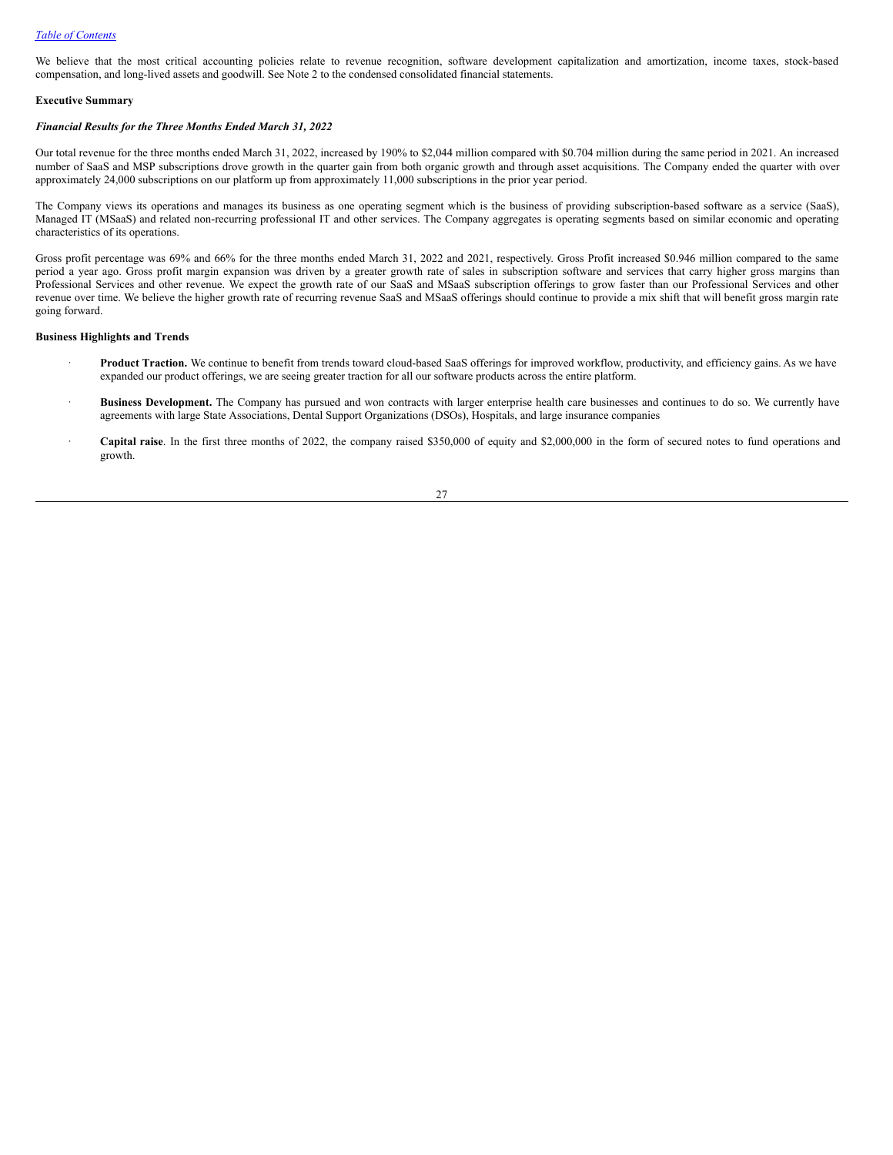We believe that the most critical accounting policies relate to revenue recognition, software development capitalization and amortization, income taxes, stock-based compensation, and long-lived assets and goodwill. See Note 2 to the condensed consolidated financial statements.

### **Executive Summary**

#### *Financial Results for the Three Months Ended March 31, 2022*

Our total revenue for the three months ended March 31, 2022, increased by 190% to \$2,044 million compared with \$0.704 million during the same period in 2021. An increased number of SaaS and MSP subscriptions drove growth in the quarter gain from both organic growth and through asset acquisitions. The Company ended the quarter with over approximately 24,000 subscriptions on our platform up from approximately 11,000 subscriptions in the prior year period.

The Company views its operations and manages its business as one operating segment which is the business of providing subscription-based software as a service (SaaS), Managed IT (MSaaS) and related non-recurring professional IT and other services. The Company aggregates is operating segments based on similar economic and operating characteristics of its operations.

Gross profit percentage was 69% and 66% for the three months ended March 31, 2022 and 2021, respectively. Gross Profit increased \$0.946 million compared to the same period a year ago. Gross profit margin expansion was driven by a greater growth rate of sales in subscription software and services that carry higher gross margins than Professional Services and other revenue. We expect the growth rate of our SaaS and MSaaS subscription offerings to grow faster than our Professional Services and other revenue over time. We believe the higher growth rate of recurring revenue SaaS and MSaaS offerings should continue to provide a mix shift that will benefit gross margin rate going forward.

### **Business Highlights and Trends**

- Product Traction. We continue to benefit from trends toward cloud-based SaaS offerings for improved workflow, productivity, and efficiency gains. As we have expanded our product offerings, we are seeing greater traction for all our software products across the entire platform.
- Business Development. The Company has pursued and won contracts with larger enterprise health care businesses and continues to do so. We currently have agreements with large State Associations, Dental Support Organizations (DSOs), Hospitals, and large insurance companies
- · **Capital raise**. In the first three months of 2022, the company raised \$350,000 of equity and \$2,000,000 in the form of secured notes to fund operations and growth.

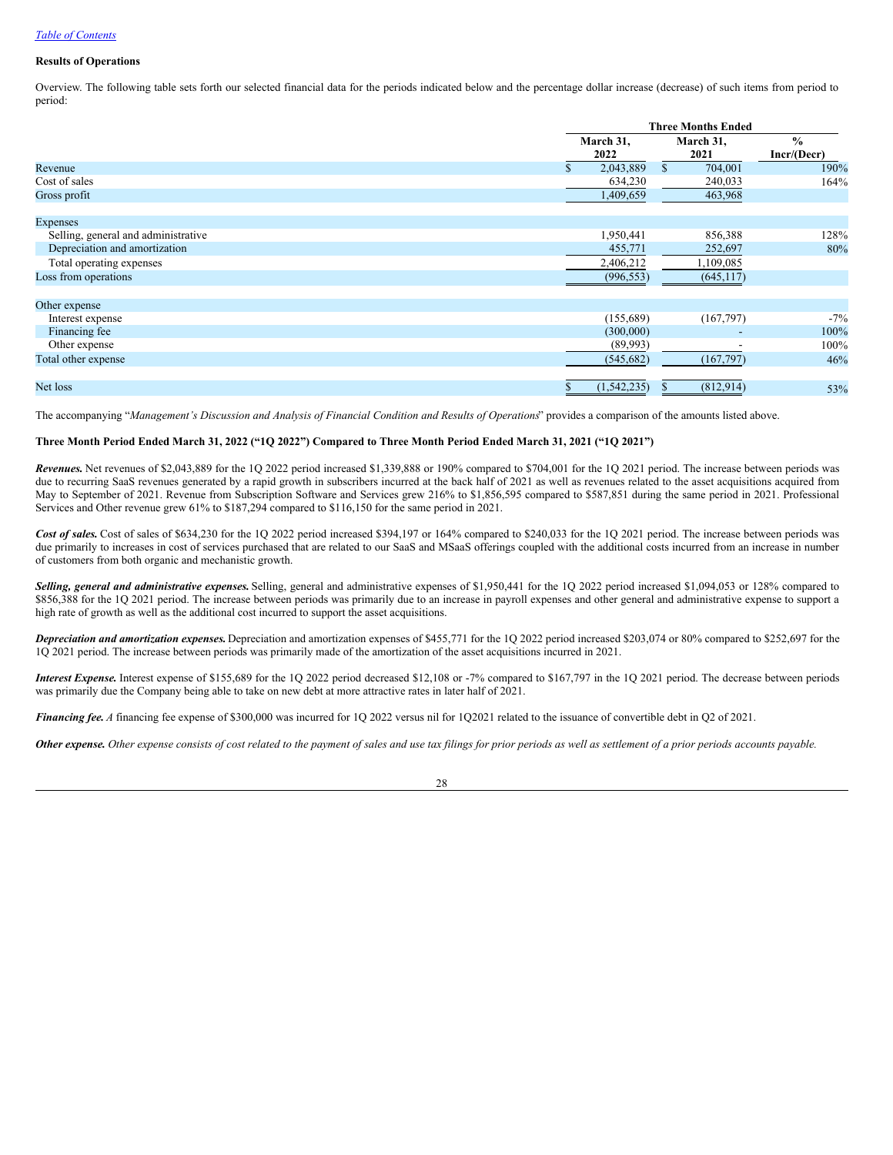# **Results of Operations**

Overview. The following table sets forth our selected financial data for the periods indicated below and the percentage dollar increase (decrease) of such items from period to period:

|                                     |              | <b>Three Months Ended</b> |    |                          |                              |  |
|-------------------------------------|--------------|---------------------------|----|--------------------------|------------------------------|--|
|                                     |              | March 31,<br>2022         |    | March 31,                | $\frac{0}{0}$<br>Incr/(Decr) |  |
|                                     |              |                           |    | 2021                     |                              |  |
| Revenue                             | $\mathbb{S}$ | 2,043,889                 | \$ | 704,001                  | 190%                         |  |
| Cost of sales                       |              | 634,230                   |    | 240,033                  | 164%                         |  |
| Gross profit                        |              | 1,409,659                 |    | 463,968                  |                              |  |
| <b>Expenses</b>                     |              |                           |    |                          |                              |  |
| Selling, general and administrative |              | 1,950,441                 |    | 856,388                  | 128%                         |  |
| Depreciation and amortization       |              | 455,771                   |    | 252,697                  | 80%                          |  |
| Total operating expenses            |              | 2,406,212                 |    | 1,109,085                |                              |  |
| Loss from operations                |              | (996, 553)                |    | (645, 117)               |                              |  |
| Other expense                       |              |                           |    |                          |                              |  |
| Interest expense                    |              | (155,689)                 |    | (167,797)                | $-7\%$                       |  |
| Financing fee                       |              | (300,000)                 |    | $\overline{\phantom{a}}$ | 100%                         |  |
| Other expense                       |              | (89,993)                  |    |                          | 100%                         |  |
| Total other expense                 |              | (545, 682)                |    | (167, 797)               | 46%                          |  |
| Net loss                            |              | (1, 542, 235)             |    | (812, 914)               | 53%                          |  |

The accompanying "Management's Discussion and Analysis of Financial Condition and Results of Operations" provides a comparison of the amounts listed above.

# Three Month Period Ended March 31, 2022 ("1Q 2022") Compared to Three Month Period Ended March 31, 2021 ("1Q 2021")

*Revenues.* Net revenues of \$2,043,889 for the 1Q 2022 period increased \$1,339,888 or 190% compared to \$704,001 for the 1Q 2021 period. The increase between periods was due to recurring SaaS revenues generated by a rapid growth in subscribers incurred at the back half of 2021 as well as revenues related to the asset acquisitions acquired from May to September of 2021. Revenue from Subscription Software and Services grew 216% to \$1,856,595 compared to \$587,851 during the same period in 2021. Professional Services and Other revenue grew 61% to \$187,294 compared to \$116,150 for the same period in 2021.

*Cost of sales.* Cost of sales of \$634,230 for the 1Q 2022 period increased \$394,197 or 164% compared to \$240,033 for the 1Q 2021 period. The increase between periods was due primarily to increases in cost of services purchased that are related to our SaaS and MSaaS offerings coupled with the additional costs incurred from an increase in number of customers from both organic and mechanistic growth.

*Selling, general and administrative expenses.* Selling, general and administrative expenses of \$1,950,441 for the 1Q 2022 period increased \$1,094,053 or 128% compared to \$856,388 for the 1Q 2021 period. The increase between periods was primarily due to an increase in payroll expenses and other general and administrative expense to support a high rate of growth as well as the additional cost incurred to support the asset acquisitions.

*Depreciation and amortization expenses.* Depreciation and amortization expenses of \$455,771 for the 1Q 2022 period increased \$203,074 or 80% compared to \$252,697 for the 1Q 2021 period. The increase between periods was primarily made of the amortization of the asset acquisitions incurred in 2021.

*Interest Expense.* Interest expense of \$155,689 for the 1Q 2022 period decreased \$12,108 or -7% compared to \$167,797 in the 1Q 2021 period. The decrease between periods was primarily due the Company being able to take on new debt at more attractive rates in later half of 2021.

*Financing fee. A* financing fee expense of \$300,000 was incurred for 1Q 2022 versus nil for 1Q2021 related to the issuance of convertible debt in Q2 of 2021.

Other expense. Other expense consists of cost related to the payment of sales and use tax filings for prior periods as well as settlement of a prior periods accounts payable.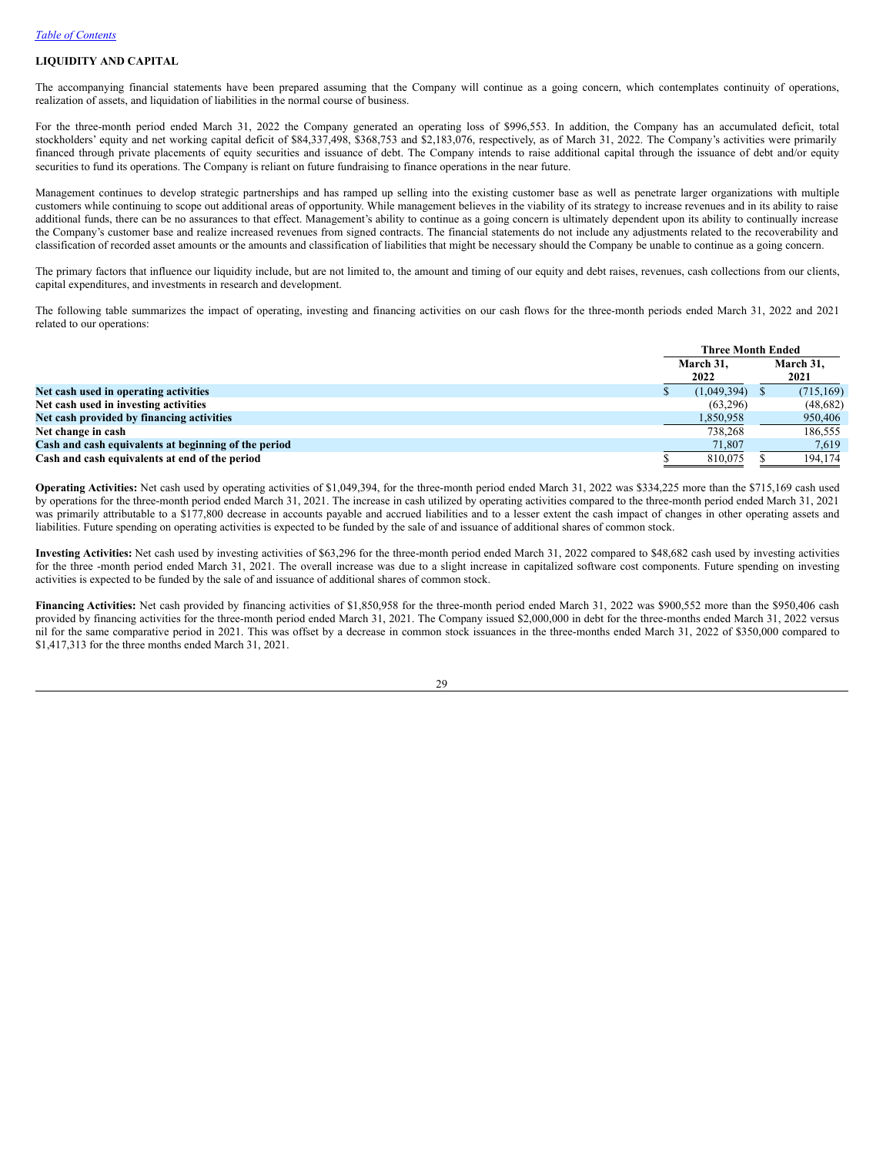### **LIQUIDITY AND CAPITAL**

The accompanying financial statements have been prepared assuming that the Company will continue as a going concern, which contemplates continuity of operations, realization of assets, and liquidation of liabilities in the normal course of business.

For the three-month period ended March 31, 2022 the Company generated an operating loss of \$996,553. In addition, the Company has an accumulated deficit, total stockholders' equity and net working capital deficit of \$84,337,498, \$368,753 and \$2,183,076, respectively, as of March 31, 2022. The Company's activities were primarily financed through private placements of equity securities and issuance of debt. The Company intends to raise additional capital through the issuance of debt and/or equity securities to fund its operations. The Company is reliant on future fundraising to finance operations in the near future.

Management continues to develop strategic partnerships and has ramped up selling into the existing customer base as well as penetrate larger organizations with multiple customers while continuing to scope out additional areas of opportunity. While management believes in the viability of its strategy to increase revenues and in its ability to raise additional funds, there can be no assurances to that effect. Management's ability to continue as a going concern is ultimately dependent upon its ability to continually increase the Company's customer base and realize increased revenues from signed contracts. The financial statements do not include any adjustments related to the recoverability and classification of recorded asset amounts or the amounts and classification of liabilities that might be necessary should the Company be unable to continue as a going concern.

The primary factors that influence our liquidity include, but are not limited to, the amount and timing of our equity and debt raises, revenues, cash collections from our clients, capital expenditures, and investments in research and development.

The following table summarizes the impact of operating, investing and financing activities on our cash flows for the three-month periods ended March 31, 2022 and 2021 related to our operations:

|                                                      |                   | <b>Three Month Ended</b> |  |  |
|------------------------------------------------------|-------------------|--------------------------|--|--|
|                                                      | March 31.<br>2022 | March 31,<br>2021        |  |  |
| Net cash used in operating activities                | (1,049,394)       | (715, 169)               |  |  |
| Net cash used in investing activities                | (63.296)          | (48,682)                 |  |  |
| Net cash provided by financing activities            | 1.850.958         | 950,406                  |  |  |
| Net change in cash                                   | 738.268           | 186.555                  |  |  |
| Cash and cash equivalents at beginning of the period | 71,807            | 7,619                    |  |  |
| Cash and cash equivalents at end of the period       | 810.075           | 194,174                  |  |  |

**Operating Activities:** Net cash used by operating activities of \$1,049,394, for the three-month period ended March 31, 2022 was \$334,225 more than the \$715,169 cash used by operations for the three-month period ended March 31, 2021. The increase in cash utilized by operating activities compared to the three-month period ended March 31, 2021 was primarily attributable to a \$177,800 decrease in accounts payable and accrued liabilities and to a lesser extent the cash impact of changes in other operating assets and liabilities. Future spending on operating activities is expected to be funded by the sale of and issuance of additional shares of common stock.

**Investing Activities:** Net cash used by investing activities of \$63,296 for the three-month period ended March 31, 2022 compared to \$48,682 cash used by investing activities for the three -month period ended March 31, 2021. The overall increase was due to a slight increase in capitalized software cost components. Future spending on investing activities is expected to be funded by the sale of and issuance of additional shares of common stock.

Financing Activities: Net cash provided by financing activities of \$1,850,958 for the three-month period ended March 31, 2022 was \$900,552 more than the \$950,406 cash provided by financing activities for the three-month period ended March 31, 2021. The Company issued \$2,000,000 in debt for the three-months ended March 31, 2022 versus nil for the same comparative period in 2021. This was offset by a decrease in common stock issuances in the three-months ended March 31, 2022 of \$350,000 compared to \$1,417,313 for the three months ended March 31, 2021.

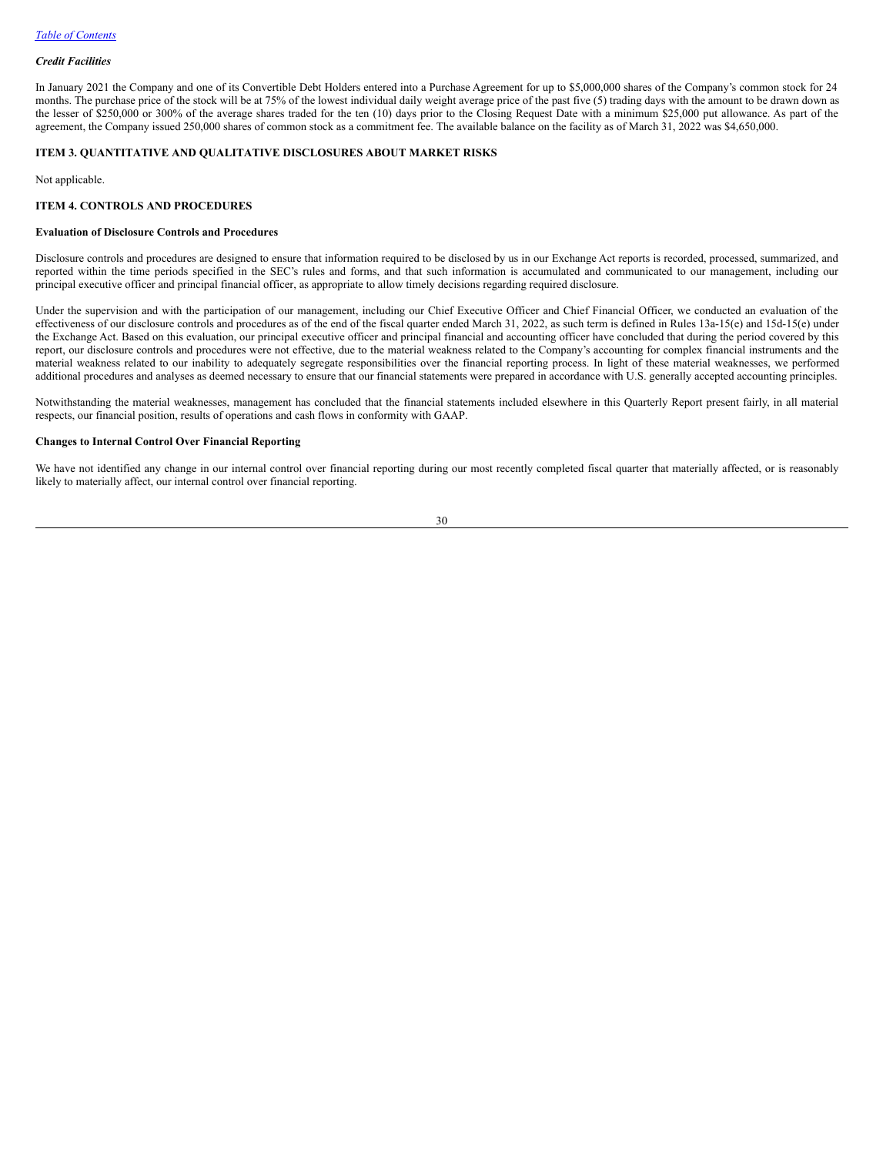### *Credit Facilities*

In January 2021 the Company and one of its Convertible Debt Holders entered into a Purchase Agreement for up to \$5,000,000 shares of the Company's common stock for 24 months. The purchase price of the stock will be at 75% of the lowest individual daily weight average price of the past five (5) trading days with the amount to be drawn down as the lesser of \$250,000 or 300% of the average shares traded for the ten (10) days prior to the Closing Request Date with a minimum \$25,000 put allowance. As part of the agreement, the Company issued 250,000 shares of common stock as a commitment fee. The available balance on the facility as of March 31, 2022 was \$4,650,000.

### <span id="page-29-0"></span>**ITEM 3. QUANTITATIVE AND QUALITATIVE DISCLOSURES ABOUT MARKET RISKS**

Not applicable.

### <span id="page-29-1"></span>**ITEM 4. CONTROLS AND PROCEDURES**

### **Evaluation of Disclosure Controls and Procedures**

Disclosure controls and procedures are designed to ensure that information required to be disclosed by us in our Exchange Act reports is recorded, processed, summarized, and reported within the time periods specified in the SEC's rules and forms, and that such information is accumulated and communicated to our management, including our principal executive officer and principal financial officer, as appropriate to allow timely decisions regarding required disclosure.

Under the supervision and with the participation of our management, including our Chief Executive Officer and Chief Financial Officer, we conducted an evaluation of the effectiveness of our disclosure controls and procedures as of the end of the fiscal quarter ended March 31, 2022, as such term is defined in Rules 13a-15(e) and 15d-15(e) under the Exchange Act. Based on this evaluation, our principal executive officer and principal financial and accounting officer have concluded that during the period covered by this report, our disclosure controls and procedures were not effective, due to the material weakness related to the Company's accounting for complex financial instruments and the material weakness related to our inability to adequately segregate responsibilities over the financial reporting process. In light of these material weaknesses, we performed additional procedures and analyses as deemed necessary to ensure that our financial statements were prepared in accordance with U.S. generally accepted accounting principles.

Notwithstanding the material weaknesses, management has concluded that the financial statements included elsewhere in this Quarterly Report present fairly, in all material respects, our financial position, results of operations and cash flows in conformity with GAAP.

## **Changes to Internal Control Over Financial Reporting**

We have not identified any change in our internal control over financial reporting during our most recently completed fiscal quarter that materially affected, or is reasonably likely to materially affect, our internal control over financial reporting.

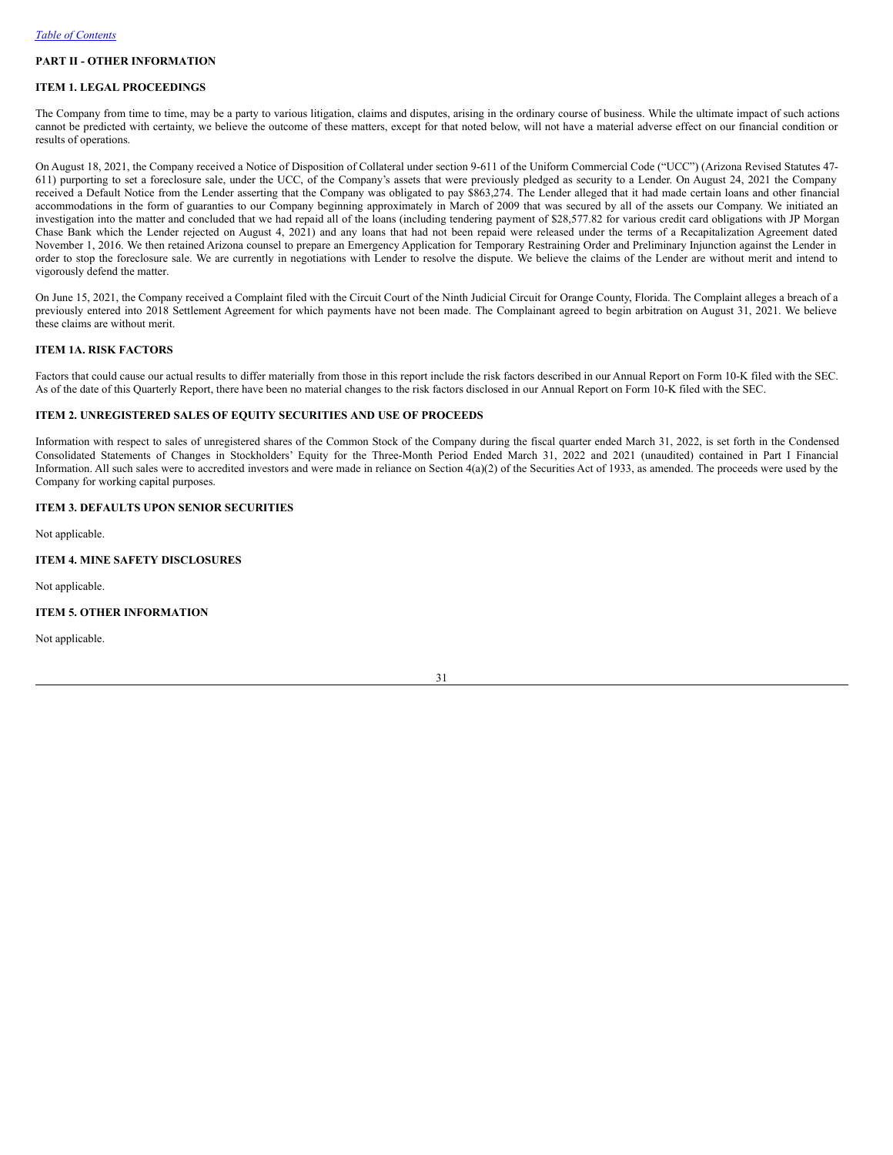# <span id="page-30-0"></span>**PART II - OTHER INFORMATION**

# <span id="page-30-1"></span>**ITEM 1. LEGAL PROCEEDINGS**

The Company from time to time, may be a party to various litigation, claims and disputes, arising in the ordinary course of business. While the ultimate impact of such actions cannot be predicted with certainty, we believe the outcome of these matters, except for that noted below, will not have a material adverse effect on our financial condition or results of operations.

On August 18, 2021, the Company received a Notice of Disposition of Collateral under section 9-611 of the Uniform Commercial Code ("UCC") (Arizona Revised Statutes 47- 611) purporting to set a foreclosure sale, under the UCC, of the Company's assets that were previously pledged as security to a Lender. On August 24, 2021 the Company received a Default Notice from the Lender asserting that the Company was obligated to pay \$863,274. The Lender alleged that it had made certain loans and other financial accommodations in the form of guaranties to our Company beginning approximately in March of 2009 that was secured by all of the assets our Company. We initiated an investigation into the matter and concluded that we had repaid all of the loans (including tendering payment of \$28,577.82 for various credit card obligations with JP Morgan Chase Bank which the Lender rejected on August 4, 2021) and any loans that had not been repaid were released under the terms of a Recapitalization Agreement dated November 1, 2016. We then retained Arizona counsel to prepare an Emergency Application for Temporary Restraining Order and Preliminary Injunction against the Lender in order to stop the foreclosure sale. We are currently in negotiations with Lender to resolve the dispute. We believe the claims of the Lender are without merit and intend to vigorously defend the matter.

On June 15, 2021, the Company received a Complaint filed with the Circuit Court of the Ninth Judicial Circuit for Orange County, Florida. The Complaint alleges a breach of a previously entered into 2018 Settlement Agreement for which payments have not been made. The Complainant agreed to begin arbitration on August 31, 2021. We believe these claims are without merit.

### <span id="page-30-2"></span>**ITEM 1A. RISK FACTORS**

Factors that could cause our actual results to differ materially from those in this report include the risk factors described in our Annual Report on Form 10-K filed with the SEC. As of the date of this Quarterly Report, there have been no material changes to the risk factors disclosed in our Annual Report on Form 10-K filed with the SEC.

# <span id="page-30-3"></span>**ITEM 2. UNREGISTERED SALES OF EQUITY SECURITIES AND USE OF PROCEEDS**

Information with respect to sales of unregistered shares of the Common Stock of the Company during the fiscal quarter ended March 31, 2022, is set forth in the Condensed Consolidated Statements of Changes in Stockholders' Equity for the Three-Month Period Ended March 31, 2022 and 2021 (unaudited) contained in Part I Financial Information. All such sales were to accredited investors and were made in reliance on Section  $4(a)(2)$  of the Securities Act of 1933, as amended. The proceeds were used by the Company for working capital purposes.

### <span id="page-30-4"></span>**ITEM 3. DEFAULTS UPON SENIOR SECURITIES**

Not applicable.

## <span id="page-30-5"></span>**ITEM 4. MINE SAFETY DISCLOSURES**

Not applicable.

# <span id="page-30-6"></span>**ITEM 5. OTHER INFORMATION**

Not applicable.

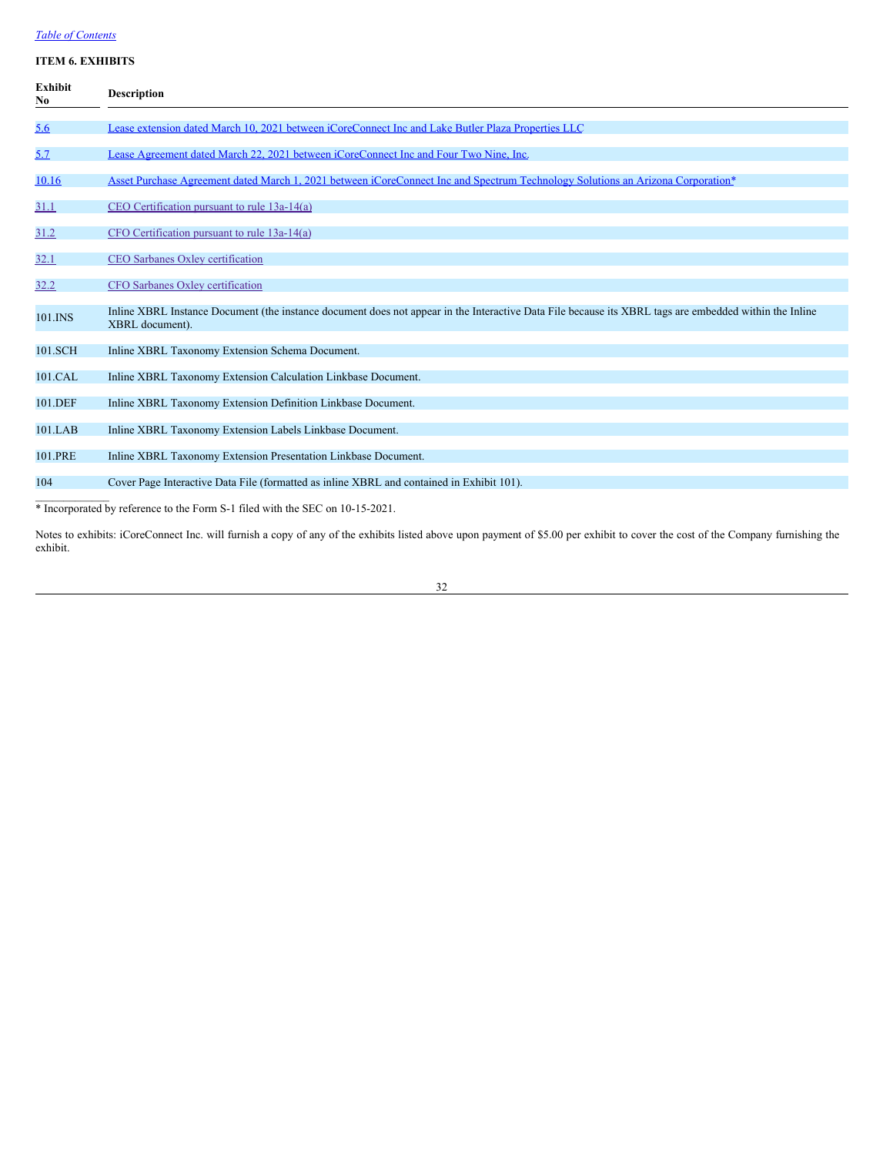# *Table of [Contents](#page-1-0)*

# <span id="page-31-0"></span>**ITEM 6. EXHIBITS**

| <b>Exhibit</b><br>No | <b>Description</b>                                                                                                                                                        |
|----------------------|---------------------------------------------------------------------------------------------------------------------------------------------------------------------------|
| <u>5.6</u>           | Lease extension dated March 10, 2021 between iCoreConnect Inc and Lake Butler Plaza Properties LLC                                                                        |
| 5.7                  | Lease Agreement dated March 22, 2021 between iCoreConnect Inc and Four Two Nine, Inc.                                                                                     |
| 10.16                | Asset Purchase Agreement dated March 1, 2021 between iCoreConnect Inc and Spectrum Technology Solutions an Arizona Corporation*                                           |
| <u>31.1</u>          | CEO Certification pursuant to rule $13a-14(a)$                                                                                                                            |
| <u>31.2</u>          | $CFO$ Certification pursuant to rule $13a-14(a)$                                                                                                                          |
| 32.1                 | CEO Sarbanes Oxley certification                                                                                                                                          |
| 32.2                 | <b>CFO</b> Sarbanes Oxley certification                                                                                                                                   |
| 101.INS              | Inline XBRL Instance Document (the instance document does not appear in the Interactive Data File because its XBRL tags are embedded within the Inline<br>XBRL document). |
| 101.SCH              | Inline XBRL Taxonomy Extension Schema Document.                                                                                                                           |
| 101.CAL              | Inline XBRL Taxonomy Extension Calculation Linkbase Document.                                                                                                             |
| 101.DEF              | Inline XBRL Taxonomy Extension Definition Linkbase Document.                                                                                                              |
| 101.LAB              | Inline XBRL Taxonomy Extension Labels Linkbase Document.                                                                                                                  |
| 101.PRE              | Inline XBRL Taxonomy Extension Presentation Linkbase Document.                                                                                                            |
| 104                  | Cover Page Interactive Data File (formatted as inline XBRL and contained in Exhibit 101).                                                                                 |

\* Incorporated by reference to the Form S-1 filed with the SEC on 10-15-2021.

Notes to exhibits: iCoreConnect Inc. will furnish a copy of any of the exhibits listed above upon payment of \$5.00 per exhibit to cover the cost of the Company furnishing the exhibit.

32

<u> 1980 - Johann Barbara, martxa amerikan per</u>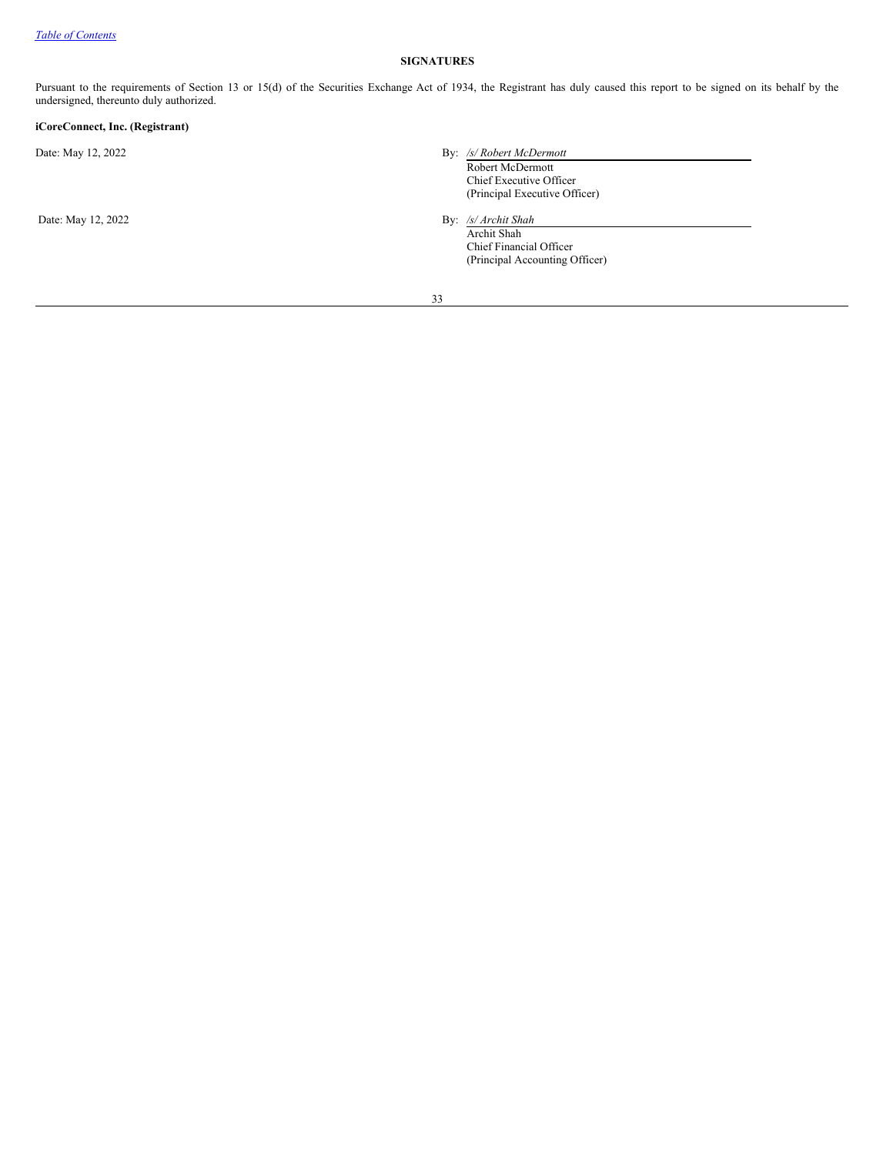#### <span id="page-32-0"></span>**SIGNATURES**

Pursuant to the requirements of Section 13 or 15(d) of the Securities Exchange Act of 1934, the Registrant has duly caused this report to be signed on its behalf by the undersigned, thereunto duly authorized.

# **iCoreConnect, Inc. (Registrant)**

Date: May 12, 2022 By: */s/ Archit Shah*

Date: May 12, 2022 By: */s/ Robert McDermott* Robert McDermott Chief Executive Officer (Principal Executive Officer)

Archit Shah Chief Financial Officer (Principal Accounting Officer)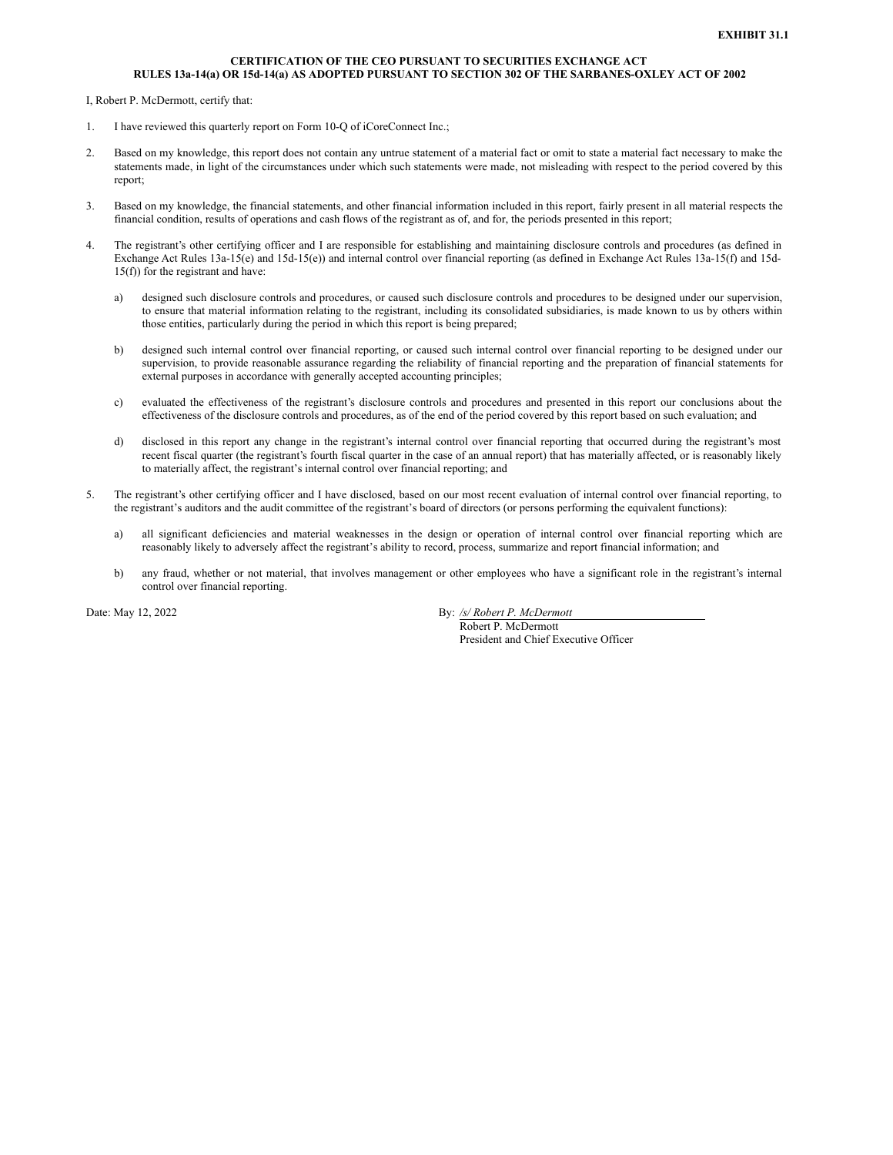### <span id="page-33-0"></span>**CERTIFICATION OF THE CEO PURSUANT TO SECURITIES EXCHANGE ACT RULES 13a-14(a) OR 15d-14(a) AS ADOPTED PURSUANT TO SECTION 302 OF THE SARBANES-OXLEY ACT OF 2002**

I, Robert P. McDermott, certify that:

- 1. I have reviewed this quarterly report on Form 10-Q of iCoreConnect Inc.;
- 2. Based on my knowledge, this report does not contain any untrue statement of a material fact or omit to state a material fact necessary to make the statements made, in light of the circumstances under which such statements were made, not misleading with respect to the period covered by this report;
- 3. Based on my knowledge, the financial statements, and other financial information included in this report, fairly present in all material respects the financial condition, results of operations and cash flows of the registrant as of, and for, the periods presented in this report;
- 4. The registrant's other certifying officer and I are responsible for establishing and maintaining disclosure controls and procedures (as defined in Exchange Act Rules 13a-15(e) and 15d-15(e)) and internal control over financial reporting (as defined in Exchange Act Rules 13a-15(f) and 15d-15(f)) for the registrant and have:
	- a) designed such disclosure controls and procedures, or caused such disclosure controls and procedures to be designed under our supervision, to ensure that material information relating to the registrant, including its consolidated subsidiaries, is made known to us by others within those entities, particularly during the period in which this report is being prepared;
	- b) designed such internal control over financial reporting, or caused such internal control over financial reporting to be designed under our supervision, to provide reasonable assurance regarding the reliability of financial reporting and the preparation of financial statements for external purposes in accordance with generally accepted accounting principles;
	- c) evaluated the effectiveness of the registrant's disclosure controls and procedures and presented in this report our conclusions about the effectiveness of the disclosure controls and procedures, as of the end of the period covered by this report based on such evaluation; and
	- d) disclosed in this report any change in the registrant's internal control over financial reporting that occurred during the registrant's most recent fiscal quarter (the registrant's fourth fiscal quarter in the case of an annual report) that has materially affected, or is reasonably likely to materially affect, the registrant's internal control over financial reporting; and
- 5. The registrant's other certifying officer and I have disclosed, based on our most recent evaluation of internal control over financial reporting, to the registrant's auditors and the audit committee of the registrant's board of directors (or persons performing the equivalent functions):
	- a) all significant deficiencies and material weaknesses in the design or operation of internal control over financial reporting which are reasonably likely to adversely affect the registrant's ability to record, process, summarize and report financial information; and
	- b) any fraud, whether or not material, that involves management or other employees who have a significant role in the registrant's internal control over financial reporting.

Date: May 12, 2022 By: /s/ *Robert P. McDermott* Robert P. McDermott President and Chief Executive Officer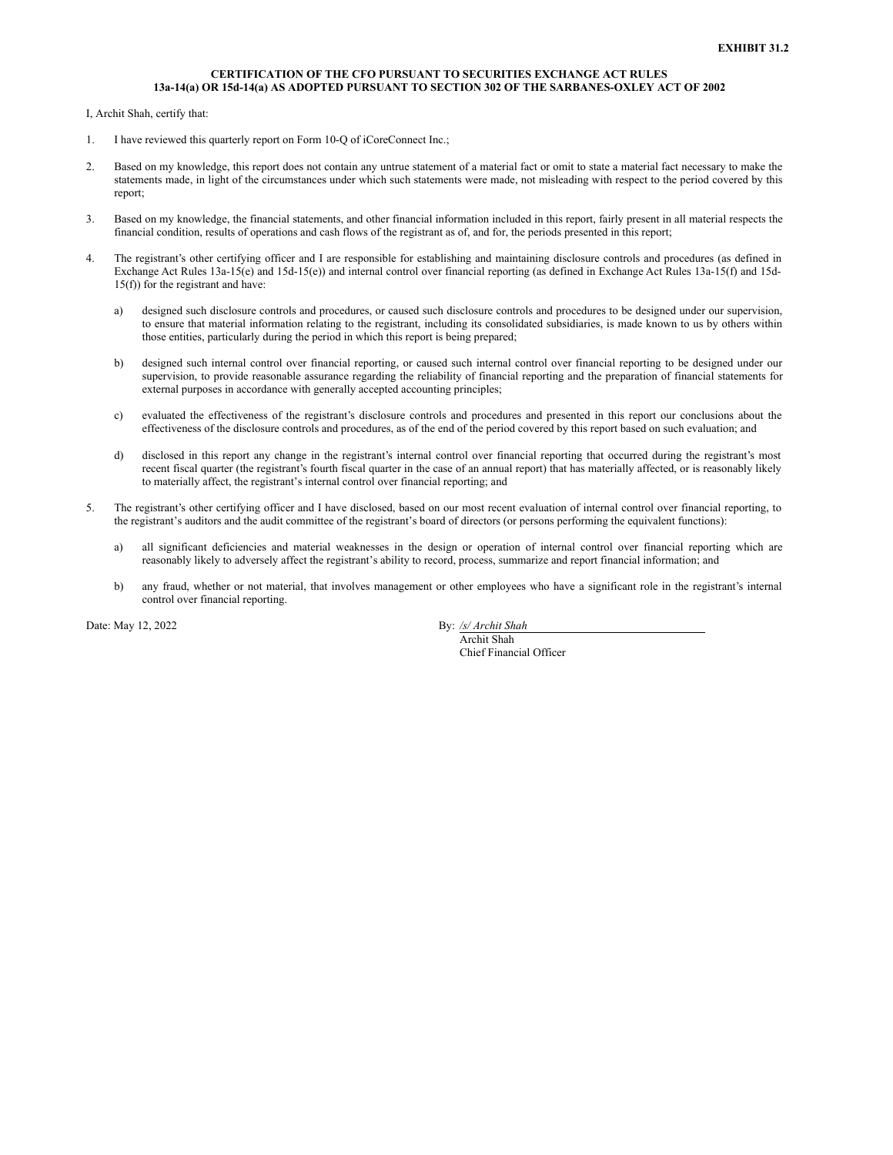# <span id="page-34-0"></span>**CERTIFICATION OF THE CFO PURSUANT TO SECURITIES EXCHANGE ACT RULES 13a-14(a) OR 15d-14(a) AS ADOPTED PURSUANT TO SECTION 302 OF THE SARBANES-OXLEY ACT OF 2002**

I, Archit Shah, certify that:

- 1. I have reviewed this quarterly report on Form 10-Q of iCoreConnect Inc.;
- 2. Based on my knowledge, this report does not contain any untrue statement of a material fact or omit to state a material fact necessary to make the statements made, in light of the circumstances under which such statements were made, not misleading with respect to the period covered by this report;
- 3. Based on my knowledge, the financial statements, and other financial information included in this report, fairly present in all material respects the financial condition, results of operations and cash flows of the registrant as of, and for, the periods presented in this report;
- 4. The registrant's other certifying officer and I are responsible for establishing and maintaining disclosure controls and procedures (as defined in Exchange Act Rules 13a-15(e) and 15d-15(e)) and internal control over financial reporting (as defined in Exchange Act Rules 13a-15(f) and 15d-15(f)) for the registrant and have:
	- a) designed such disclosure controls and procedures, or caused such disclosure controls and procedures to be designed under our supervision, to ensure that material information relating to the registrant, including its consolidated subsidiaries, is made known to us by others within those entities, particularly during the period in which this report is being prepared;
	- b) designed such internal control over financial reporting, or caused such internal control over financial reporting to be designed under our supervision, to provide reasonable assurance regarding the reliability of financial reporting and the preparation of financial statements for external purposes in accordance with generally accepted accounting principles;
	- c) evaluated the effectiveness of the registrant's disclosure controls and procedures and presented in this report our conclusions about the effectiveness of the disclosure controls and procedures, as of the end of the period covered by this report based on such evaluation; and
	- d) disclosed in this report any change in the registrant's internal control over financial reporting that occurred during the registrant's most recent fiscal quarter (the registrant's fourth fiscal quarter in the case of an annual report) that has materially affected, or is reasonably likely to materially affect, the registrant's internal control over financial reporting; and
- 5. The registrant's other certifying officer and I have disclosed, based on our most recent evaluation of internal control over financial reporting, to the registrant's auditors and the audit committee of the registrant's board of directors (or persons performing the equivalent functions):
	- a) all significant deficiencies and material weaknesses in the design or operation of internal control over financial reporting which are reasonably likely to adversely affect the registrant's ability to record, process, summarize and report financial information; and
	- b) any fraud, whether or not material, that involves management or other employees who have a significant role in the registrant's internal control over financial reporting.

Date: May 12, 2022 **By:** /s/ *Archit Shah* Archit Shah

Chief Financial Officer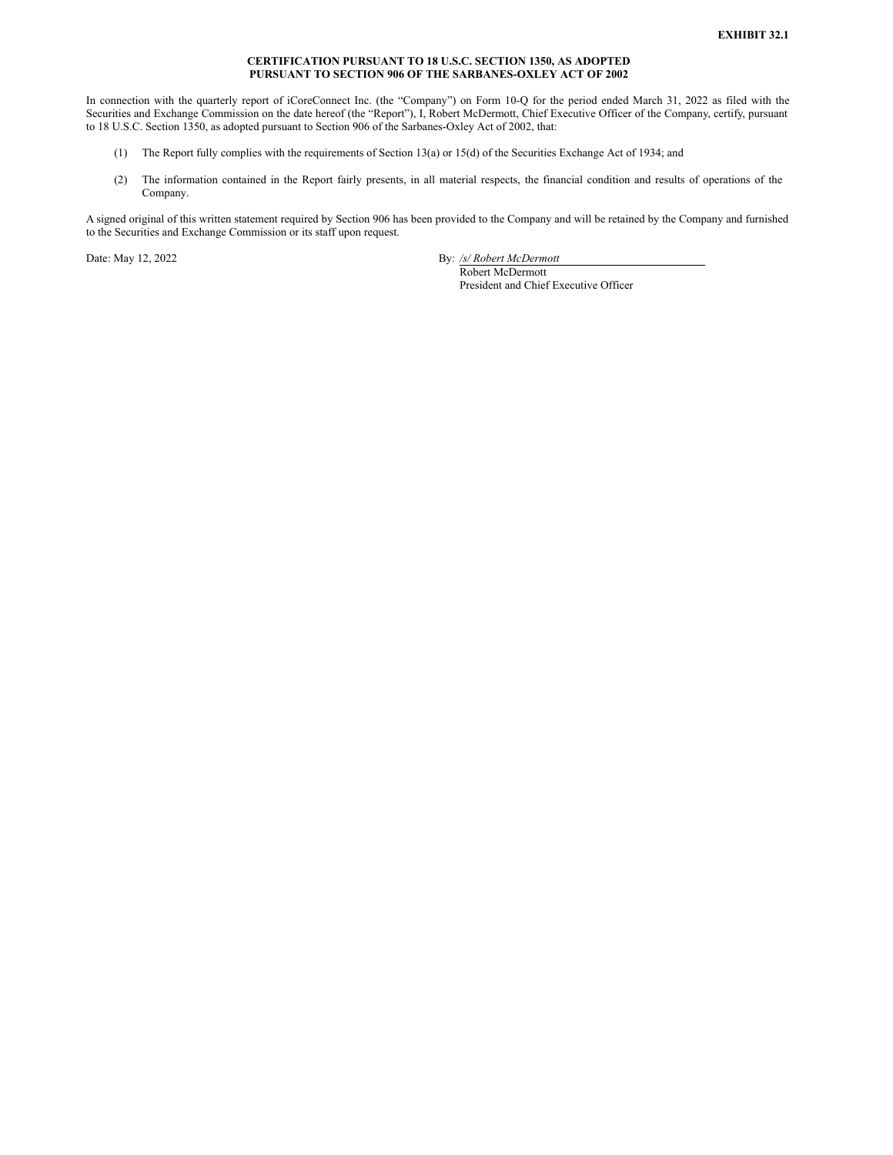### **CERTIFICATION PURSUANT TO 18 U.S.C. SECTION 1350, AS ADOPTED PURSUANT TO SECTION 906 OF THE SARBANES-OXLEY ACT OF 2002**

<span id="page-35-0"></span>In connection with the quarterly report of iCoreConnect Inc. (the "Company") on Form 10-Q for the period ended March 31, 2022 as filed with the Securities and Exchange Commission on the date hereof (the "Report"), I, Robert McDermott, Chief Executive Officer of the Company, certify, pursuant to 18 U.S.C. Section 1350, as adopted pursuant to Section 906 of the Sarbanes-Oxley Act of 2002, that:

- (1) The Report fully complies with the requirements of Section 13(a) or 15(d) of the Securities Exchange Act of 1934; and
- (2) The information contained in the Report fairly presents, in all material respects, the financial condition and results of operations of the Company.

A signed original of this written statement required by Section 906 has been provided to the Company and will be retained by the Company and furnished to the Securities and Exchange Commission or its staff upon request.

Date: May 12, 2022 By: /s/ *Robert McDermott* 

Robert McDermott President and Chief Executive Officer